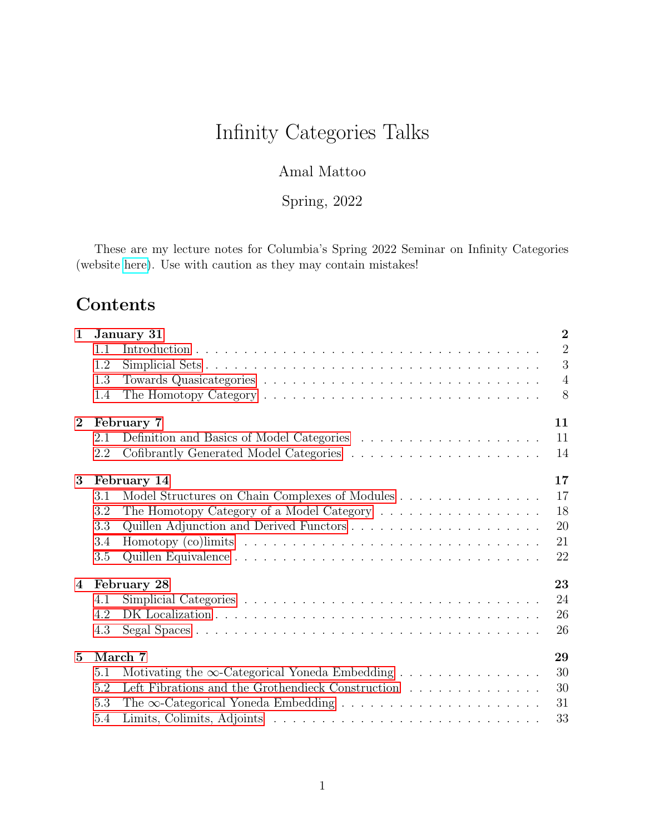# Infinity Categories Talks

### Amal Mattoo

Spring, 2022

These are my lecture notes for Columbia's Spring 2022 Seminar on Infinity Categories (website [here\)](https://math.columbia.edu/~amattoo/infinity). Use with caution as they may contain mistakes!

# Contents

| January 31<br>$\mathbf{1}$ |                   |                                                                                                           |  |  |  |
|----------------------------|-------------------|-----------------------------------------------------------------------------------------------------------|--|--|--|
|                            | 1.1               | $\overline{2}$                                                                                            |  |  |  |
|                            | 1.2               | 3                                                                                                         |  |  |  |
|                            | 1.3               | $\overline{4}$                                                                                            |  |  |  |
|                            | 1.4               | 8                                                                                                         |  |  |  |
| $\bf{2}$                   | 11<br>February 7  |                                                                                                           |  |  |  |
|                            | 2.1               | 11                                                                                                        |  |  |  |
|                            | 2.2               | 14                                                                                                        |  |  |  |
| 3                          | 17<br>February 14 |                                                                                                           |  |  |  |
|                            | 3.1               | 17<br>Model Structures on Chain Complexes of Modules                                                      |  |  |  |
|                            | 3.2               | 18                                                                                                        |  |  |  |
|                            | 3.3               | 20                                                                                                        |  |  |  |
|                            | 3.4               | 21<br>Homotopy (co) limits $\ldots \ldots \ldots \ldots \ldots \ldots \ldots \ldots \ldots \ldots \ldots$ |  |  |  |
|                            | 3.5               | 22                                                                                                        |  |  |  |
| $\overline{4}$             | 23<br>February 28 |                                                                                                           |  |  |  |
|                            | 4.1               | 24                                                                                                        |  |  |  |
|                            | 4.2               | 26                                                                                                        |  |  |  |
|                            | 4.3               | 26                                                                                                        |  |  |  |
| $5^{\circ}$                | March 7<br>29     |                                                                                                           |  |  |  |
|                            | 5.1               | 30<br>Motivating the $\infty$ -Categorical Yoneda Embedding                                               |  |  |  |
|                            | 5.2               | Left Fibrations and the Grothendieck Construction<br>30                                                   |  |  |  |
|                            | 5.3               | The $\infty$ -Categorical Yoneda Embedding<br>31                                                          |  |  |  |
|                            | 5.4               | 33                                                                                                        |  |  |  |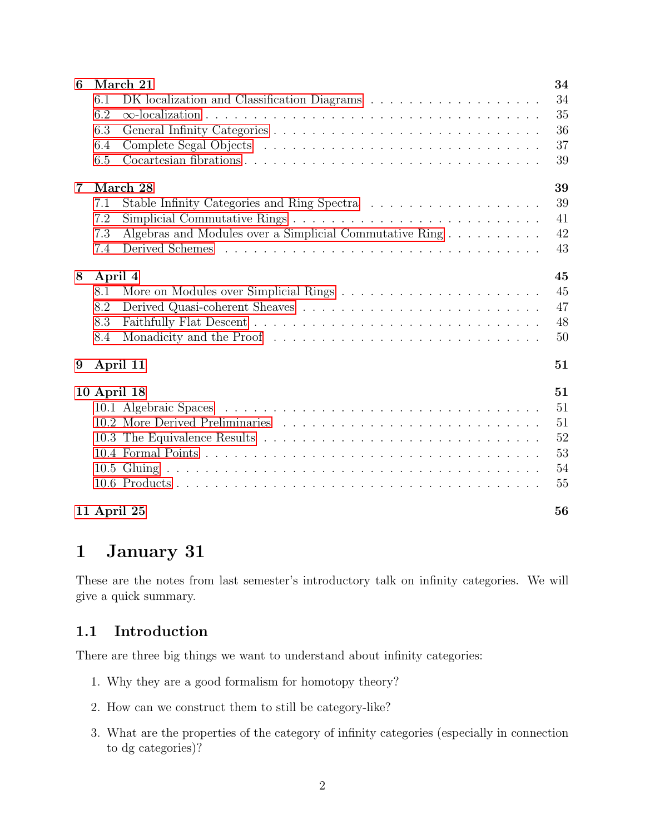| 6                 | March 21<br>34                                                 |    |  |  |
|-------------------|----------------------------------------------------------------|----|--|--|
|                   | 6.1                                                            | 34 |  |  |
|                   | 6.2                                                            | 35 |  |  |
|                   | 6.3                                                            | 36 |  |  |
|                   | 6.4                                                            | 37 |  |  |
|                   | 6.5                                                            | 39 |  |  |
| $\overline{7}$    | March 28                                                       | 39 |  |  |
|                   | 7.1                                                            | 39 |  |  |
|                   | 7.2                                                            | 41 |  |  |
|                   | Algebras and Modules over a Simplicial Commutative Ring<br>7.3 | 42 |  |  |
|                   | 7.4                                                            | 43 |  |  |
| April 4<br>8      |                                                                | 45 |  |  |
|                   | 8.1                                                            | 45 |  |  |
|                   | 8.2                                                            | 47 |  |  |
|                   | 8.3                                                            | 48 |  |  |
|                   | Monadicity and the Proof<br>8.4                                | 50 |  |  |
| 9                 | April 11                                                       | 51 |  |  |
| 10 April 18<br>51 |                                                                |    |  |  |
|                   |                                                                | 51 |  |  |
|                   |                                                                | 51 |  |  |
|                   |                                                                | 52 |  |  |
|                   |                                                                | 53 |  |  |
|                   |                                                                | 54 |  |  |
|                   |                                                                | 55 |  |  |
|                   | 11 April 25                                                    | 56 |  |  |

# <span id="page-1-0"></span>1 January 31

These are the notes from last semester's introductory talk on infinity categories. We will give a quick summary.

### <span id="page-1-1"></span>1.1 Introduction

There are three big things we want to understand about infinity categories:

- 1. Why they are a good formalism for homotopy theory?
- 2. How can we construct them to still be category-like?
- 3. What are the properties of the category of infinity categories (especially in connection to dg categories)?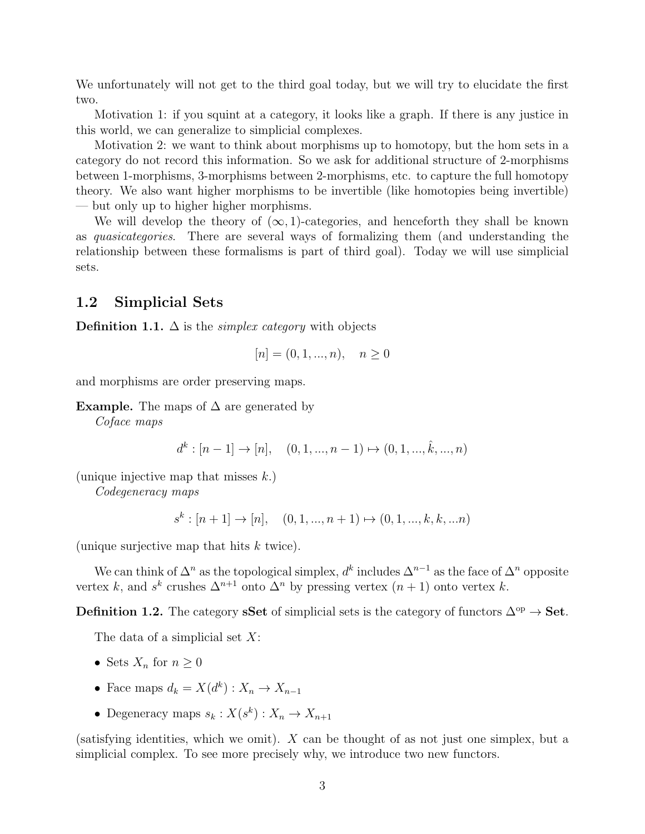We unfortunately will not get to the third goal today, but we will try to elucidate the first two.

Motivation 1: if you squint at a category, it looks like a graph. If there is any justice in this world, we can generalize to simplicial complexes.

Motivation 2: we want to think about morphisms up to homotopy, but the hom sets in a category do not record this information. So we ask for additional structure of 2-morphisms between 1-morphisms, 3-morphisms between 2-morphisms, etc. to capture the full homotopy theory. We also want higher morphisms to be invertible (like homotopies being invertible) — but only up to higher higher morphisms.

We will develop the theory of  $(\infty, 1)$ -categories, and henceforth they shall be known as quasicategories. There are several ways of formalizing them (and understanding the relationship between these formalisms is part of third goal). Today we will use simplicial sets.

#### <span id="page-2-0"></span>1.2 Simplicial Sets

**Definition 1.1.**  $\Delta$  is the *simplex category* with objects

$$
[n] = (0, 1, ..., n), \quad n \ge 0
$$

and morphisms are order preserving maps.

Example. The maps of  $\Delta$  are generated by

Coface maps

$$
d^k : [n-1] \to [n], \quad (0, 1, ..., n-1) \mapsto (0, 1, ..., \hat{k}, ..., n)
$$

(unique injective map that misses  $k$ .)

Codegeneracy maps

 $s^k : [n+1] \to [n], \quad (0, 1, ..., n+1) \mapsto (0, 1, ..., k, k, ...n)$ 

(unique surjective map that hits  $k$  twice).

We can think of  $\Delta^n$  as the topological simplex,  $d^k$  includes  $\Delta^{n-1}$  as the face of  $\Delta^n$  opposite vertex k, and  $s^k$  crushes  $\Delta^{n+1}$  onto  $\Delta^n$  by pressing vertex  $(n+1)$  onto vertex k.

Definition 1.2. The category sSet of simplicial sets is the category of functors  $\Delta^{op} \to$  Set.

The data of a simplicial set  $X$ :

- Sets  $X_n$  for  $n \geq 0$
- Face maps  $d_k = X(d^k) : X_n \to X_{n-1}$
- Degeneracy maps  $s_k: X(s^k): X_n \to X_{n+1}$

(satisfying identities, which we omit). X can be thought of as not just one simplex, but a simplicial complex. To see more precisely why, we introduce two new functors.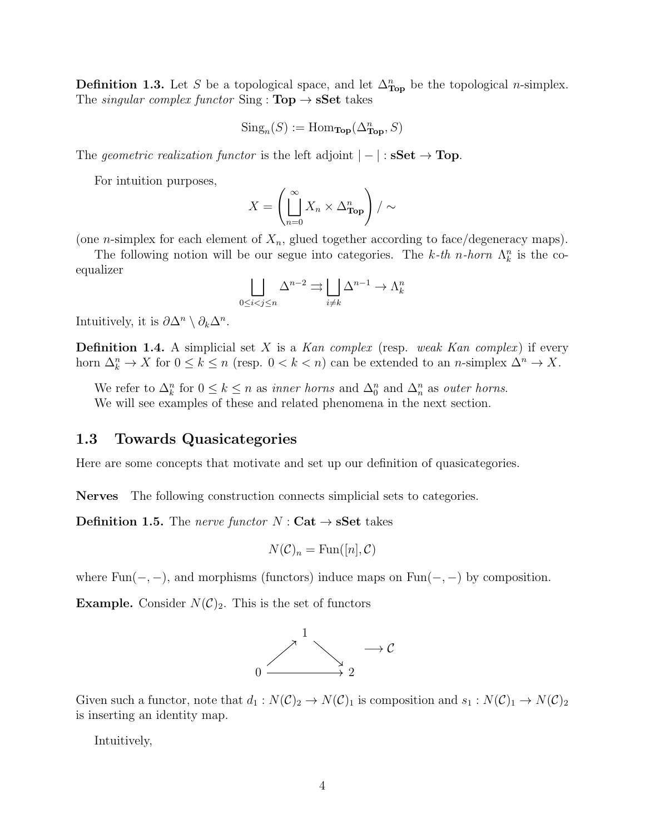**Definition 1.3.** Let S be a topological space, and let  $\Delta_{\text{Top}}^n$  be the topological *n*-simplex. The *singular complex functor* Sing :  $Top \rightarrow sSet$  takes

$$
Sing_n(S) := Hom_{\mathbf{Top}}(\Delta^n_{\mathbf{Top}}, S)
$$

The geometric realization functor is the left adjoint  $|-|: \mathbf{sSet} \to \mathbf{Top}$ .

For intuition purposes,

$$
X = \left(\prod_{n=0}^{\infty} X_n \times \Delta_{\text{Top}}^n\right) / \sim
$$

(one *n*-simplex for each element of  $X_n$ , glued together according to face/degeneracy maps).

The following notion will be our segue into categories. The k-th n-horn  $\Lambda_k^n$  is the coequalizer

$$
\bigsqcup_{0 \le i < j \le n} \Delta^{n-2} \rightrightarrows \bigsqcup_{i \ne k} \Delta^{n-1} \to \Lambda^n_k
$$

Intuitively, it is  $\partial \Delta^n \setminus \partial_k \Delta^n$ .

**Definition 1.4.** A simplicial set X is a Kan complex (resp. weak Kan complex) if every horn  $\Delta_k^n \to X$  for  $0 \le k \le n$  (resp.  $0 < k < n$ ) can be extended to an *n*-simplex  $\Delta^n \to X$ .

We refer to  $\Delta_k^n$  for  $0 \le k \le n$  as *inner horns* and  $\Delta_0^n$  and  $\Delta_n^n$  as *outer horns.* We will see examples of these and related phenomena in the next section.

#### <span id="page-3-0"></span>1.3 Towards Quasicategories

Here are some concepts that motivate and set up our definition of quasicategories.

Nerves The following construction connects simplicial sets to categories.

**Definition 1.5.** The nerve functor  $N:$  Cat  $\rightarrow$  sSet takes

$$
N(\mathcal{C})_n = \text{Fun}([n], \mathcal{C})
$$

where  $Fun(-, -)$ , and morphisms (functors) induce maps on  $Fun(-, -)$  by composition.

**Example.** Consider  $N(\mathcal{C})_2$ . This is the set of functors



Given such a functor, note that  $d_1 : N(\mathcal{C})_2 \to N(\mathcal{C})_1$  is composition and  $s_1 : N(\mathcal{C})_1 \to N(\mathcal{C})_2$ is inserting an identity map.

Intuitively,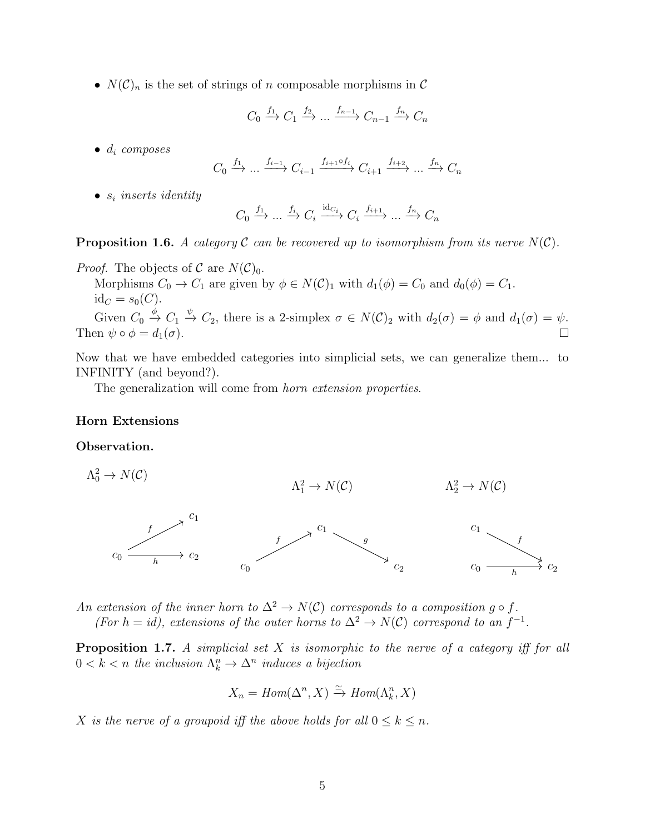•  $N(\mathcal{C})_n$  is the set of strings of n composable morphisms in  $\mathcal C$ 

$$
C_0 \xrightarrow{f_1} C_1 \xrightarrow{f_2} \dots \xrightarrow{f_{n-1}} C_{n-1} \xrightarrow{f_n} C_n
$$

 $\bullet$   $d_i$  composes

$$
C_0 \xrightarrow{f_1} \dots \xrightarrow{f_{i-1}} C_{i-1} \xrightarrow{f_{i+1} \circ f_i} C_{i+1} \xrightarrow{f_{i+2}} \dots \xrightarrow{f_n} C_n
$$

 $\bullet$   $s_i$  inserts identity

$$
C_0 \xrightarrow{f_1} \dots \xrightarrow{f_i} C_i \xrightarrow{\mathrm{id}_{C_i}} C_i \xrightarrow{f_{i+1}} \dots \xrightarrow{f_n} C_n
$$

#### <span id="page-4-0"></span>**Proposition 1.6.** A category C can be recovered up to isomorphism from its nerve  $N(\mathcal{C})$ .

#### *Proof.* The objects of  $\mathcal C$  are  $N(\mathcal C)_0$ .

Morphisms  $C_0 \to C_1$  are given by  $\phi \in N(\mathcal{C})_1$  with  $d_1(\phi) = C_0$  and  $d_0(\phi) = C_1$ .  $id_C = s_0(C)$ .

Given  $C_0 \stackrel{\phi}{\to} C_1 \stackrel{\psi}{\to} C_2$ , there is a 2-simplex  $\sigma \in N(C)_2$  with  $d_2(\sigma) = \phi$  and  $d_1(\sigma) = \psi$ . Then  $\psi \circ \phi = d_1(\sigma)$ .  $\Box$ 

Now that we have embedded categories into simplicial sets, we can generalize them... to INFINITY (and beyond?).

The generalization will come from *horn extension properties*.

#### Horn Extensions

#### Observation.

 $\Lambda_0^2 \to N(\mathcal{C})$  $c_1$  $c_0 \xrightarrow{k} c_2$ f h  $\Lambda_1^2 \to N(\mathcal{C})$  $\overline{c_1}$  $c_0$  and  $c_2$  $f \sim$  g  $\Lambda^2_2 \to N(\mathcal{C})$  $c_1$  $c_0 \longrightarrow c_2$ f h

An extension of the inner horn to  $\Delta^2 \to N(C)$  corresponds to a composition g  $\circ$  f.

(For  $h = id$ ), extensions of the outer horns to  $\Delta^2 \to N(\mathcal{C})$  correspond to an  $f^{-1}$ .

**Proposition 1.7.** A simplicial set  $X$  is isomorphic to the nerve of a category iff for all  $0 < k < n$  the inclusion  $\Lambda_k^n \to \Delta^n$  induces a bijection

$$
X_n = Hom(\Delta^n, X) \xrightarrow{\simeq} Hom(\Lambda^n_k, X)
$$

X is the nerve of a groupoid iff the above holds for all  $0 \leq k \leq n$ .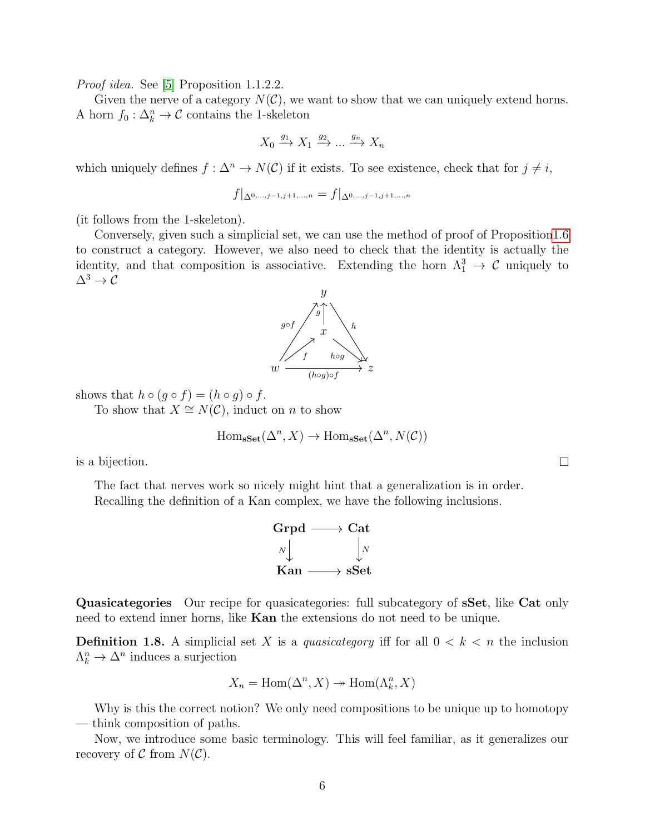Proof idea. See [\[5\]](#page-55-1) Proposition 1.1.2.2.

Given the nerve of a category  $N(\mathcal{C})$ , we want to show that we can uniquely extend horns. A horn  $f_0: \Delta_k^n \to \mathcal{C}$  contains the 1-skeleton

$$
X_0 \xrightarrow{g_1} X_1 \xrightarrow{g_2} \dots \xrightarrow{g_n} X_n
$$

which uniquely defines  $f : \Delta^n \to N(\mathcal{C})$  if it exists. To see existence, check that for  $j \neq i$ ,

$$
f|_{\Delta^{0,\dots,j-1,j+1,\dots,n}} = f|_{\Delta^{0,\dots,j-1,j+1,\dots,n}}
$$

(it follows from the 1-skeleton).

Conversely, given such a simplicial set, we can use the method of proof of Propositio[n1.6](#page-4-0) to construct a category. However, we also need to check that the identity is actually the identity, and that composition is associative. Extending the horn  $\Lambda_1^3 \to \mathcal{C}$  uniquely to  $\Delta^3 \rightarrow \mathcal{C}$ 



To show that  $X \cong N(\mathcal{C})$ , induct on n to show

$$
\mathrm{Hom}_{\mathbf{sSet}}(\Delta^n, X) \to \mathrm{Hom}_{\mathbf{sSet}}(\Delta^n, N(\mathcal{C}))
$$

is a bijection.

The fact that nerves work so nicely might hint that a generalization is in order. Recalling the definition of a Kan complex, we have the following inclusions.



Quasicategories Our recipe for quasicategories: full subcategory of **sSet**, like Cat only need to extend inner horns, like Kan the extensions do not need to be unique.

**Definition 1.8.** A simplicial set X is a *quasicategory* iff for all  $0 < k < n$  the inclusion  $\Lambda_k^n \to \Delta^n$  induces a surjection

$$
X_n = \text{Hom}(\Delta^n, X) \twoheadrightarrow \text{Hom}(\Lambda^n_k, X)
$$

Why is this the correct notion? We only need compositions to be unique up to homotopy — think composition of paths.

Now, we introduce some basic terminology. This will feel familiar, as it generalizes our recovery of  $\mathcal C$  from  $N(\mathcal C)$ .

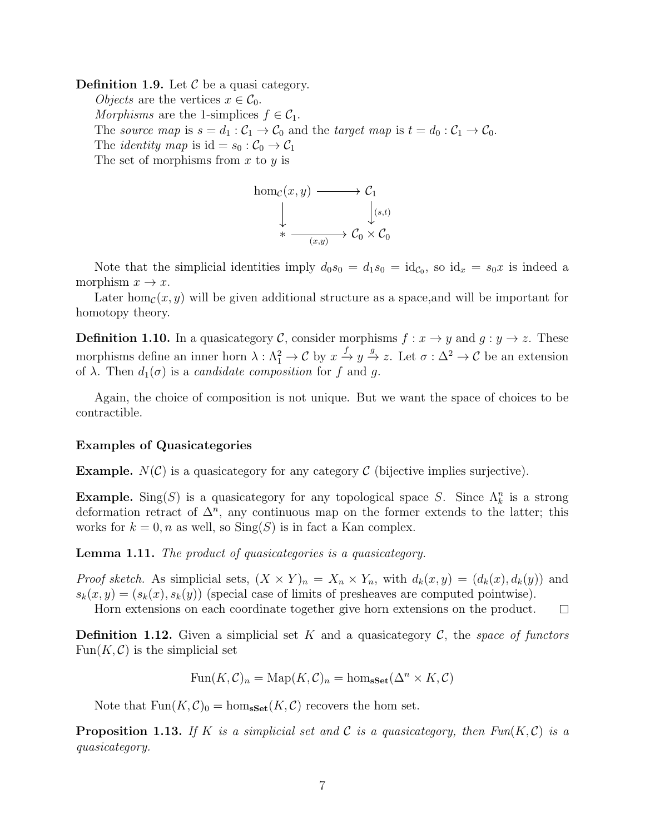**Definition 1.9.** Let  $\mathcal{C}$  be a quasi category.

*Objects* are the vertices  $x \in C_0$ . Morphisms are the 1-simplices  $f \in C_1$ . The source map is  $s = d_1 : C_1 \to C_0$  and the target map is  $t = d_0 : C_1 \to C_0$ . The *identity* map is  $id = s_0 : C_0 \to C_1$ The set of morphisms from x to y is

hom<sub>c</sub>(x, y) 
$$
\longrightarrow
$$
 C<sub>1</sub>  
\n
$$
\downarrow \qquad \qquad \downarrow (s,t)
$$
\n
$$
\ast \longrightarrow C_0 \times C_0
$$

Note that the simplicial identities imply  $d_0s_0 = d_1s_0 = id_{\mathcal{C}_0}$ , so  $id_x = s_0x$  is indeed a morphism  $x \to x$ .

Later hom<sub>c</sub> $(x, y)$  will be given additional structure as a space, and will be important for homotopy theory.

**Definition 1.10.** In a quasicategory C, consider morphisms  $f: x \to y$  and  $g: y \to z$ . These morphisms define an inner horn  $\lambda : \Lambda_1^2 \to \mathcal{C}$  by  $x \xrightarrow{f} y \xrightarrow{g} z$ . Let  $\sigma : \Delta^2 \to \mathcal{C}$  be an extension of  $\lambda$ . Then  $d_1(\sigma)$  is a *candidate composition* for f and q.

Again, the choice of composition is not unique. But we want the space of choices to be contractible.

#### Examples of Quasicategories

**Example.**  $N(\mathcal{C})$  is a quasicategory for any category  $\mathcal{C}$  (bijective implies surjective).

**Example.** Sing(S) is a quasicategory for any topological space S. Since  $\Lambda_k^n$  is a strong deformation retract of  $\Delta^n$ , any continuous map on the former extends to the latter; this works for  $k = 0$ , n as well, so  $\text{Sing}(S)$  is in fact a Kan complex.

Lemma 1.11. The product of quasicategories is a quasicategory.

*Proof sketch.* As simplicial sets,  $(X \times Y)_n = X_n \times Y_n$ , with  $d_k(x, y) = (d_k(x), d_k(y))$  and  $s_k(x, y) = (s_k(x), s_k(y))$  (special case of limits of presheaves are computed pointwise).

Horn extensions on each coordinate together give horn extensions on the product.  $\Box$ 

**Definition 1.12.** Given a simplicial set K and a quasicategory C, the space of functors  $Fun(K, \mathcal{C})$  is the simplicial set

$$
\text{Fun}(K,\mathcal{C})_n = \text{Map}(K,\mathcal{C})_n = \text{hom}_{\textbf{sSet}}(\Delta^n \times K,\mathcal{C})
$$

Note that  $Fun(K,\mathcal{C})_0 = hom_{\textbf{sSet}}(K,\mathcal{C})$  recovers the hom set.

<span id="page-6-0"></span>**Proposition 1.13.** If K is a simplicial set and C is a quasicategory, then  $Fun(K, \mathcal{C})$  is a quasicategory.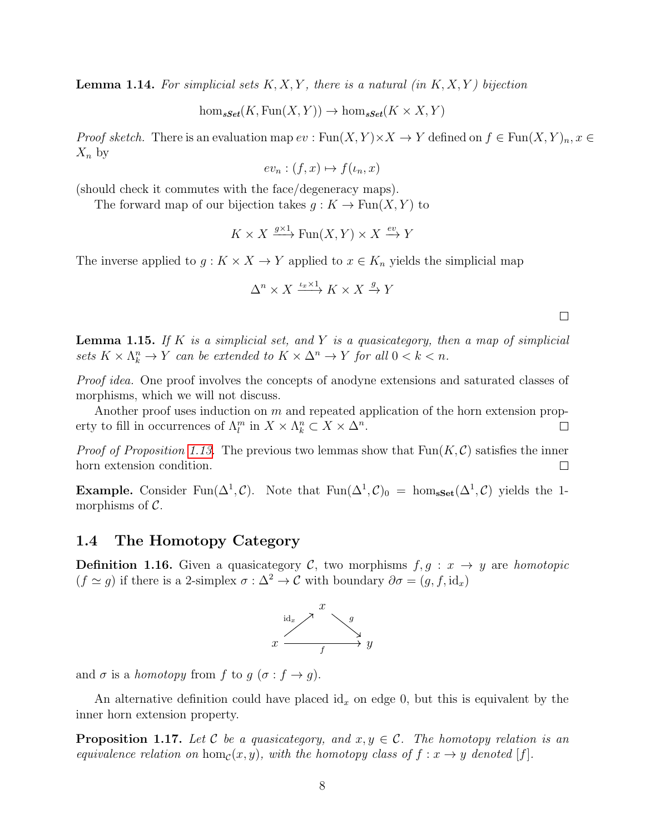**Lemma 1.14.** For simplicial sets  $K, X, Y$ , there is a natural (in  $K, X, Y$ ) bijection

 $hom_{\mathbf{sSet}}(K, \mathrm{Fun}(X, Y)) \to \hom_{\mathbf{sSet}}(K \times X, Y)$ 

*Proof sketch.* There is an evaluation map  $ev : \text{Fun}(X, Y) \times X \to Y$  defined on  $f \in \text{Fun}(X, Y)_n, x \in Y$  $X_n$  by

 $ev_n : (f, x) \mapsto f(\iota_n, x)$ 

(should check it commutes with the face/degeneracy maps).

The forward map of our bijection takes  $g: K \to \text{Fun}(X, Y)$  to

$$
K \times X \xrightarrow{g \times 1} \text{Fun}(X, Y) \times X \xrightarrow{ev} Y
$$

The inverse applied to  $g: K \times X \to Y$  applied to  $x \in K_n$  yields the simplicial map

$$
\Delta^n \times X \xrightarrow{\iota_x \times 1} K \times X \xrightarrow{g} Y
$$

**Lemma 1.15.** If K is a simplicial set, and Y is a quasicategory, then a map of simplicial sets  $K \times \Lambda_k^n \to Y$  can be extended to  $K \times \Delta^n \to Y$  for all  $0 < k < n$ .

Proof idea. One proof involves the concepts of anodyne extensions and saturated classes of morphisms, which we will not discuss.

Another proof uses induction on  $m$  and repeated application of the horn extension property to fill in occurrences of  $\Lambda_l^m$  in  $X \times \Lambda_k^n \subset X \times \Delta^n$ .  $\Box$ 

*Proof of Proposition [1.13.](#page-6-0)* The previous two lemmas show that  $Fun(K,\mathcal{C})$  satisfies the inner horn extension condition.  $\Box$ 

**Example.** Consider Fun( $\Delta^1$ , C). Note that Fun( $\Delta^1$ , C)<sub>0</sub> = hom<sub>sSet</sub>( $\Delta^1$ , C) yields the 1morphisms of  $\mathcal{C}$ .

#### <span id="page-7-0"></span>1.4 The Homotopy Category

**Definition 1.16.** Given a quasicategory C, two morphisms  $f, g : x \rightarrow y$  are homotopic  $(f \simeq g)$  if there is a 2-simplex  $\sigma : \Delta^2 \to \mathcal{C}$  with boundary  $\partial \sigma = (g, f, id_x)$ 



and  $\sigma$  is a *homotopy* from f to  $g(\sigma : f \to g)$ .

An alternative definition could have placed  $\mathrm{id}_x$  on edge 0, but this is equivalent by the inner horn extension property.

**Proposition 1.17.** Let C be a quasicategory, and  $x, y \in C$ . The homotopy relation is an equivalence relation on hom<sub>C</sub>(x, y), with the homotopy class of  $f : x \rightarrow y$  denoted [f].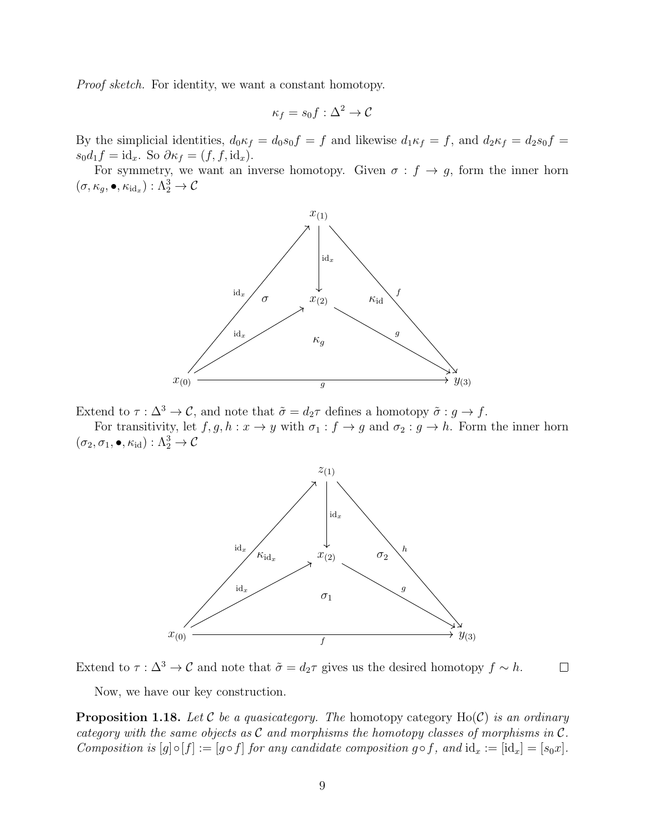Proof sketch. For identity, we want a constant homotopy.

$$
\kappa_f = s_0 f : \Delta^2 \to \mathcal{C}
$$

By the simplicial identities,  $d_0 \kappa_f = d_0 s_0 f = f$  and likewise  $d_1 \kappa_f = f$ , and  $d_2 \kappa_f = d_2 s_0 f = f$  $s_0d_1f = id_x$ . So  $\partial \kappa_f = (f, f, id_x)$ .

For symmetry, we want an inverse homotopy. Given  $\sigma : f \to g$ , form the inner horn  $(\sigma, \kappa_g, \bullet, \kappa_{\mathrm{id}_x}) : \Lambda^3_2 \to \mathcal{C}$ 



Extend to  $\tau : \Delta^3 \to \mathcal{C}$ , and note that  $\tilde{\sigma} = d_2 \tau$  defines a homotopy  $\tilde{\sigma} : g \to f$ .

For transitivity, let  $f, g, h : x \to y$  with  $\sigma_1 : f \to g$  and  $\sigma_2 : g \to h$ . Form the inner horn  $(\sigma_2, \sigma_1, \bullet, \kappa_{\mathrm{id}}): \Lambda^3_2 \to \mathcal{C}$ 



Extend to  $\tau : \Delta^3 \to \mathcal{C}$  and note that  $\tilde{\sigma} = d_2 \tau$  gives us the desired homotopy  $f \sim h$ .  $\Box$ 

Now, we have our key construction.

**Proposition 1.18.** Let C be a quasicategory. The homotopy category  $Ho(\mathcal{C})$  is an ordinary category with the same objects as  $\mathcal C$  and morphisms the homotopy classes of morphisms in  $\mathcal C$ . Composition is  $[g] \circ [f] := [g \circ f]$  for any candidate composition  $g \circ f$ , and  $id_x := [id_x] = [s_0x]$ .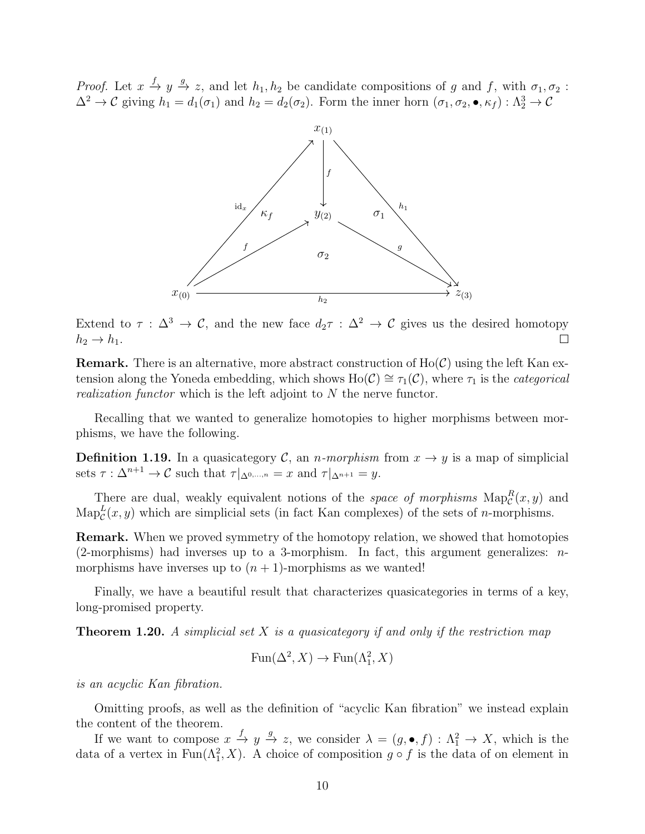*Proof.* Let  $x \stackrel{f}{\rightarrow} y \stackrel{g}{\rightarrow} z$ , and let  $h_1, h_2$  be candidate compositions of g and f, with  $\sigma_1, \sigma_2$ :  $\Delta^2 \to \mathcal{C}$  giving  $h_1 = d_1(\sigma_1)$  and  $h_2 = d_2(\sigma_2)$ . Form the inner horn  $(\sigma_1, \sigma_2, \bullet, \kappa_f) : \Lambda_2^3 \to \mathcal{C}$ 



Extend to  $\tau : \Delta^3 \to \mathcal{C}$ , and the new face  $d_2\tau : \Delta^2 \to \mathcal{C}$  gives us the desired homotopy  $h_2 \rightarrow h_1$ .  $\Box$ 

**Remark.** There is an alternative, more abstract construction of  $Ho(\mathcal{C})$  using the left Kan extension along the Yoneda embedding, which shows Ho( $\mathcal{C}$ ) ≅  $\tau_1(\mathcal{C})$ , where  $\tau_1$  is the *categorical* realization functor which is the left adjoint to N the nerve functor.

Recalling that we wanted to generalize homotopies to higher morphisms between morphisms, we have the following.

**Definition 1.19.** In a quasicategory C, an *n*-morphism from  $x \to y$  is a map of simplicial sets  $\tau : \Delta^{n+1} \to \mathcal{C}$  such that  $\tau|_{\Delta^{0,\dots,n}} = x$  and  $\tau|_{\Delta^{n+1}} = y$ .

There are dual, weakly equivalent notions of the *space of morphisms*  $\text{Map}_{\mathcal{C}}^R(x, y)$  and  $\text{Map}_{\mathcal{C}}^{L}(x, y)$  which are simplicial sets (in fact Kan complexes) of the sets of *n*-morphisms.

Remark. When we proved symmetry of the homotopy relation, we showed that homotopies  $(2\text{-morphisms})$  had inverses up to a 3-morphism. In fact, this argument generalizes: *n*morphisms have inverses up to  $(n + 1)$ -morphisms as we wanted!

Finally, we have a beautiful result that characterizes quasicategories in terms of a key, long-promised property.

**Theorem 1.20.** A simplicial set X is a quasicategory if and only if the restriction map

$$
Fun(\Delta^2, X) \to Fun(\Lambda^2_1, X)
$$

is an acyclic Kan fibration.

Omitting proofs, as well as the definition of "acyclic Kan fibration" we instead explain the content of the theorem.

If we want to compose  $x \stackrel{f}{\to} y \stackrel{g}{\to} z$ , we consider  $\lambda = (g, \bullet, f) : \Lambda_1^2 \to X$ , which is the data of a vertex in  $\text{Fun}(\Lambda_1^2, X)$ . A choice of composition  $g \circ f$  is the data of on element in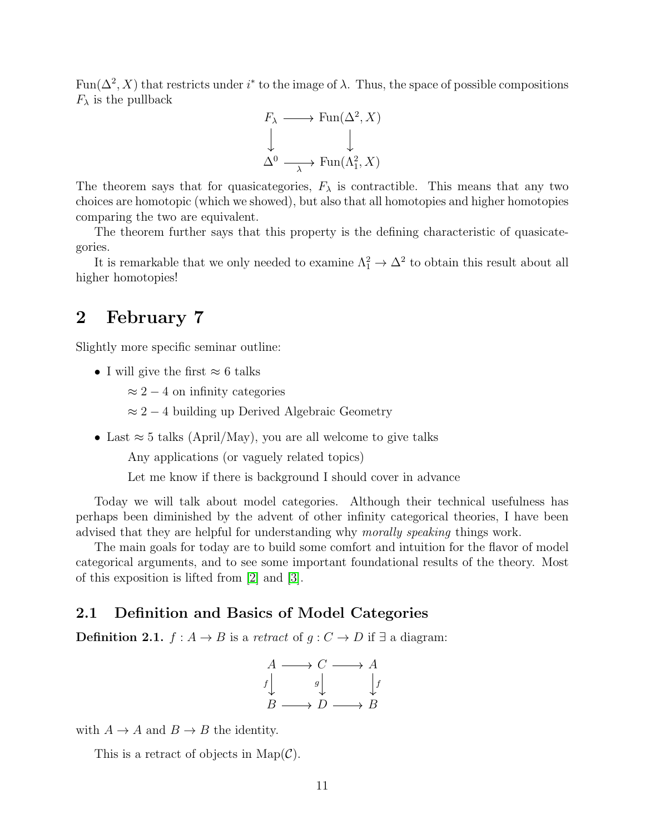Fun( $\Delta^2$ , X) that restricts under i<sup>\*</sup> to the image of  $\lambda$ . Thus, the space of possible compositions  $F_{\lambda}$  is the pullback



The theorem says that for quasicategories,  $F_{\lambda}$  is contractible. This means that any two choices are homotopic (which we showed), but also that all homotopies and higher homotopies comparing the two are equivalent.

The theorem further says that this property is the defining characteristic of quasicategories.

It is remarkable that we only needed to examine  $\Lambda_1^2 \to \Delta^2$  to obtain this result about all higher homotopies!

### <span id="page-10-0"></span>2 February 7

Slightly more specific seminar outline:

• I will give the first  $\approx 6$  talks

 $\approx 2-4$  on infinity categories

- $\approx 2-4$  building up Derived Algebraic Geometry
- Last  $\approx$  5 talks (April/May), you are all welcome to give talks

Any applications (or vaguely related topics)

Let me know if there is background I should cover in advance

Today we will talk about model categories. Although their technical usefulness has perhaps been diminished by the advent of other infinity categorical theories, I have been advised that they are helpful for understanding why morally speaking things work.

The main goals for today are to build some comfort and intuition for the flavor of model categorical arguments, and to see some important foundational results of the theory. Most of this exposition is lifted from [\[2\]](#page-55-2) and [\[3\]](#page-55-3).

#### <span id="page-10-1"></span>2.1 Definition and Basics of Model Categories

**Definition 2.1.**  $f : A \rightarrow B$  is a retract of  $g : C \rightarrow D$  if ∃ a diagram:

$$
A \longrightarrow C \longrightarrow A
$$
  
\n
$$
f \downarrow g \downarrow f
$$
  
\n
$$
B \longrightarrow D \longrightarrow B
$$

with  $A \to A$  and  $B \to B$  the identity.

This is a retract of objects in  $\text{Map}(\mathcal{C})$ .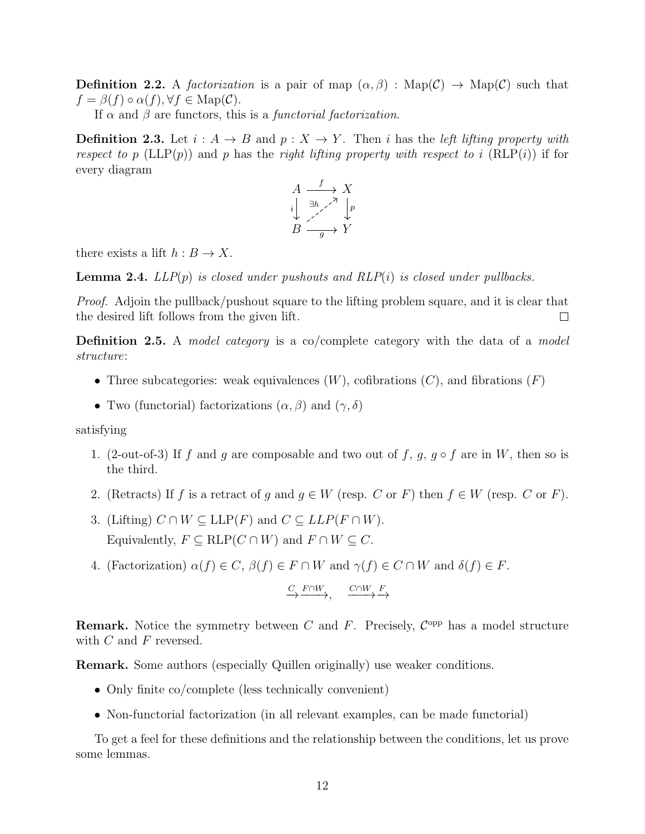**Definition 2.2.** A factorization is a pair of map  $(\alpha, \beta)$ : Map( $\mathcal{C}$ )  $\rightarrow$  Map( $\mathcal{C}$ ) such that  $f = \beta(f) \circ \alpha(f), \forall f \in \text{Map}(\mathcal{C}).$ 

If  $\alpha$  and  $\beta$  are functors, this is a *functorial factorization*.

**Definition 2.3.** Let  $i : A \rightarrow B$  and  $p : X \rightarrow Y$ . Then i has the left lifting property with respect to p (LLP(p)) and p has the right lifting property with respect to i (RLP(i)) if for every diagram



there exists a lift  $h : B \to X$ .

**Lemma 2.4.**  $LLP(p)$  is closed under pushouts and  $RLP(i)$  is closed under pullbacks.

Proof. Adjoin the pullback/pushout square to the lifting problem square, and it is clear that the desired lift follows from the given lift.  $\Box$ 

Definition 2.5. A *model category* is a co/complete category with the data of a *model* structure:

- Three subcategories: weak equivalences  $(W)$ , cofibrations  $(C)$ , and fibrations  $(F)$
- Two (functorial) factorizations  $(\alpha, \beta)$  and  $(\gamma, \delta)$

satisfying

- 1. (2-out-of-3) If f and g are composable and two out of f, g,  $g \circ f$  are in W, then so is the third.
- 2. (Retracts) If f is a retract of q and  $q \in W$  (resp. C or F) then  $f \in W$  (resp. C or F).
- 3. (Lifting)  $C \cap W \subseteq \text{LLP}(F)$  and  $C \subseteq \text{LLP}(F \cap W)$ . Equivalently,  $F \subseteq RLP(C \cap W)$  and  $F \cap W \subseteq C$ .
- 4. (Factorization)  $\alpha(f) \in C$ ,  $\beta(f) \in F \cap W$  and  $\gamma(f) \in C \cap W$  and  $\delta(f) \in F$ .

$$
\xrightarrow{C} \xrightarrow{F \cap W} \xrightarrow{\qquad} \xrightarrow{C \cap W} \xrightarrow{F}
$$

**Remark.** Notice the symmetry between C and F. Precisely,  $C^{opp}$  has a model structure with  $C$  and  $F$  reversed.

Remark. Some authors (especially Quillen originally) use weaker conditions.

- Only finite co/complete (less technically convenient)
- Non-functorial factorization (in all relevant examples, can be made functorial)

To get a feel for these definitions and the relationship between the conditions, let us prove some lemmas.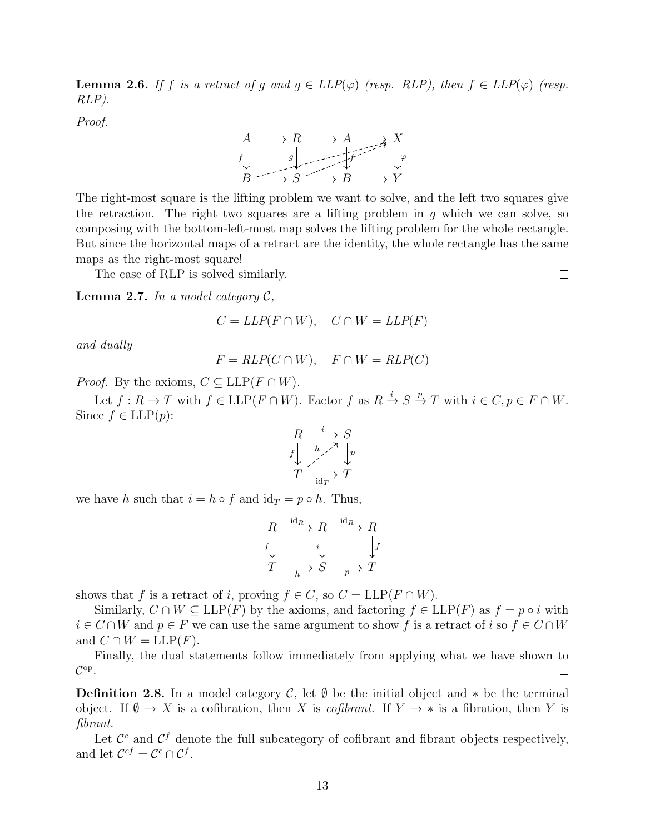**Lemma 2.6.** If f is a retract of g and  $g \in LLP(\varphi)$  (resp. RLP), then  $f \in LLP(\varphi)$  (resp. RLP).

Proof.



The right-most square is the lifting problem we want to solve, and the left two squares give the retraction. The right two squares are a lifting problem in  $q$  which we can solve, so composing with the bottom-left-most map solves the lifting problem for the whole rectangle. But since the horizontal maps of a retract are the identity, the whole rectangle has the same maps as the right-most square!

The case of RLP is solved similarly.

**Lemma 2.7.** In a model category  $\mathcal{C}$ ,

$$
C = LLP(F \cap W), \quad C \cap W = LLP(F)
$$

and dually

$$
F = RLP(C \cap W), \quad F \cap W = RLP(C)
$$

*Proof.* By the axioms,  $C \subseteq \text{LLP}(F \cap W)$ .

Let  $f: R \to T$  with  $f \in \mathrm{LLP}(F \cap W)$ . Factor  $f$  as  $R \xrightarrow{i} S \xrightarrow{p} T$  with  $i \in C, p \in F \cap W$ . Since  $f \in \text{LLP}(p)$ :

$$
R \xrightarrow{\phantom{a}i \phantom{a}} S
$$
  

$$
f \downarrow \phantom{f} \xrightarrow{h \phantom{a}} \phantom{f} \downarrow
$$
  

$$
T \xrightarrow{\phantom{a}i \phantom{a}} \phantom{a}i \phantom{a}T
$$

we have h such that  $i = h \circ f$  and  $id_T = p \circ h$ . Thus,

$$
R \xrightarrow{\text{id}_R} R \xrightarrow{i \text{d}_R} R
$$
  

$$
f \downarrow \qquad i \downarrow \qquad f
$$
  

$$
T \xrightarrow{\phantom{\text{id}_R}} S \xrightarrow{\phantom{\text{id}_R}} T
$$

shows that f is a retract of i, proving  $f \in C$ , so  $C = LLP(F \cap W)$ .

Similarly,  $C \cap W \subseteq \text{LLP}(F)$  by the axioms, and factoring  $f \in \text{LLP}(F)$  as  $f = p \circ i$  with  $i \in C \cap W$  and  $p \in F$  we can use the same argument to show f is a retract of i so  $f \in C \cap W$ and  $C \cap W = \text{LLP}(F)$ .

Finally, the dual statements follow immediately from applying what we have shown to  $\mathcal{C}^{\mathrm{op}}$  .  $\Box$ 

**Definition 2.8.** In a model category C, let  $\emptyset$  be the initial object and  $*$  be the terminal object. If  $\emptyset \to X$  is a cofibration, then X is *cofibrant*. If  $Y \to *$  is a fibration, then Y is fibrant.

Let  $\mathcal{C}^c$  and  $\mathcal{C}^f$  denote the full subcategory of cofibrant and fibrant objects respectively, and let  $\mathcal{C}^{cf} = \mathcal{C}^c \cap \mathcal{C}^f$ .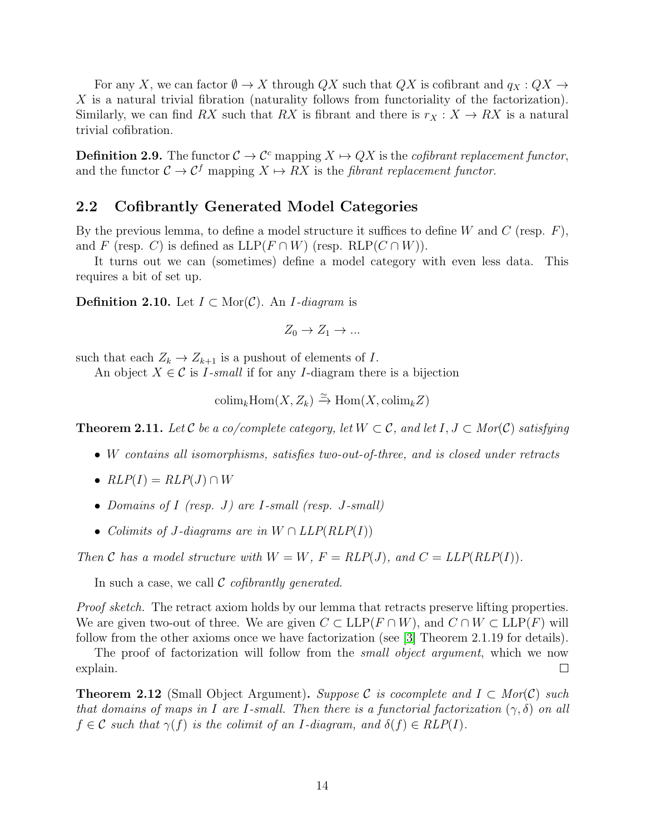For any X, we can factor  $\emptyset \to X$  through QX such that QX is cofibrant and  $q_X: QX \to$ X is a natural trivial fibration (naturality follows from functoriality of the factorization). Similarly, we can find RX such that RX is fibrant and there is  $r_X : X \to RX$  is a natural trivial cofibration.

**Definition 2.9.** The functor  $C \to C^c$  mapping  $X \mapsto QX$  is the *cofibrant replacement functor*, and the functor  $C \to C^f$  mapping  $X \to RX$  is the *fibrant replacement functor*.

#### <span id="page-13-0"></span>2.2 Cofibrantly Generated Model Categories

By the previous lemma, to define a model structure it suffices to define W and C (resp.  $F$ ), and F (resp. C) is defined as  $LLP(F \cap W)$  (resp.  $RLP(C \cap W)$ ).

It turns out we can (sometimes) define a model category with even less data. This requires a bit of set up.

**Definition 2.10.** Let  $I \subset \text{Mor}(\mathcal{C})$ . An *I*-diagram is

$$
Z_0 \to Z_1 \to \dots
$$

such that each  $Z_k \to Z_{k+1}$  is a pushout of elements of I.

An object  $X \in \mathcal{C}$  is *I*-small if for any *I*-diagram there is a bijection

$$
\text{colim}_{k} \text{Hom}(X, Z_{k}) \xrightarrow{\simeq} \text{Hom}(X, \text{colim}_{k} Z)
$$

**Theorem 2.11.** Let C be a co/complete category, let  $W \subset \mathcal{C}$ , and let  $I, J \subset Mor(\mathcal{C})$  satisfying

- W contains all isomorphisms, satisfies two-out-of-three, and is closed under retracts
- $RLP(I) = RLP(J) \cap W$
- Domains of I (resp. J) are I-small (resp. J-small)
- Colimits of J-diagrams are in  $W \cap LLP(RLP(I))$

Then C has a model structure with  $W = W$ ,  $F = RLP(J)$ , and  $C = LLP(RLP(I))$ .

In such a case, we call  $\mathcal C$  cofibrantly generated.

Proof sketch. The retract axiom holds by our lemma that retracts preserve lifting properties. We are given two-out of three. We are given  $C \subset \text{LLP}(F \cap W)$ , and  $C \cap W \subset \text{LLP}(F)$  will follow from the other axioms once we have factorization (see [\[3\]](#page-55-3) Theorem 2.1.19 for details).

The proof of factorization will follow from the *small object argument*, which we now explain.  $\Box$ 

**Theorem 2.12** (Small Object Argument). Suppose C is cocomplete and  $I \subset Mor(C)$  such that domains of maps in I are I-small. Then there is a functorial factorization  $(\gamma, \delta)$  on all  $f \in \mathcal{C}$  such that  $\gamma(f)$  is the colimit of an I-diagram, and  $\delta(f) \in RLP(I)$ .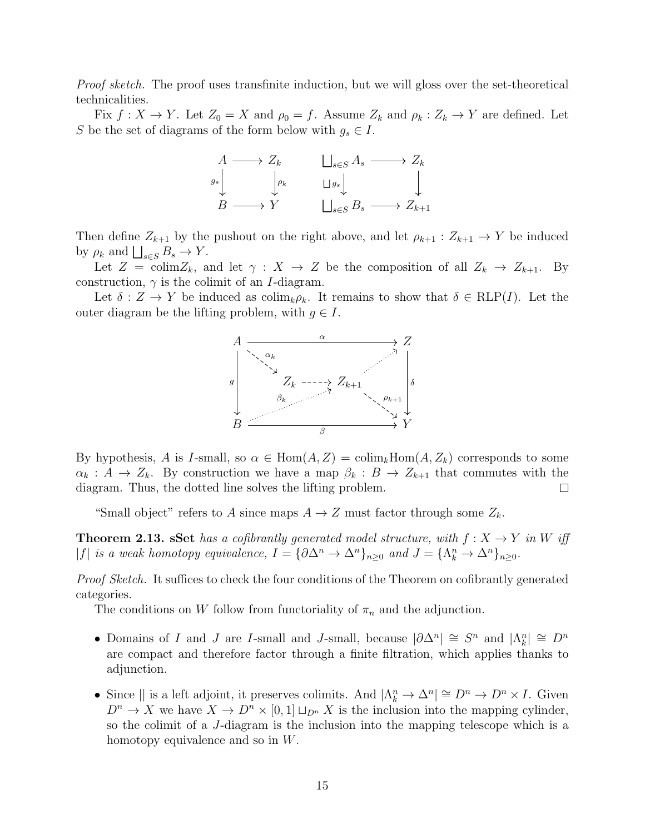Proof sketch. The proof uses transfinite induction, but we will gloss over the set-theoretical technicalities.

Fix  $f: X \to Y$ . Let  $Z_0 = X$  and  $\rho_0 = f$ . Assume  $Z_k$  and  $\rho_k: Z_k \to Y$  are defined. Let S be the set of diagrams of the form below with  $g_s \in I$ .

$$
\begin{array}{ccc}\nA \longrightarrow Z_k & \bigsqcup_{s \in S} A_s \longrightarrow Z_k \\
g_s \downarrow & \downarrow_{\rho_k} & \bigsqcup_{g_s} \downarrow & \downarrow \\
B \longrightarrow Y & \bigsqcup_{s \in S} B_s \longrightarrow Z_{k+1} \\
\end{array}
$$

Then define  $Z_{k+1}$  by the pushout on the right above, and let  $\rho_{k+1} : Z_{k+1} \to Y$  be induced by  $\rho_k$  and  $\bigsqcup_{s\in S} B_s \to Y$ .

Let  $Z = \text{colim}Z_k$ , and let  $\gamma : X \to Z$  be the composition of all  $Z_k \to Z_{k+1}$ . By construction,  $\gamma$  is the colimit of an *I*-diagram.

Let  $\delta: Z \to Y$  be induced as colim<sub>k</sub> $\rho_k$ . It remains to show that  $\delta \in RLP(I)$ . Let the outer diagram be the lifting problem, with  $g \in I$ .



By hypothesis, A is I-small, so  $\alpha \in \text{Hom}(A, Z) = \text{colim}_k \text{Hom}(A, Z_k)$  corresponds to some  $\alpha_k : A \to Z_k$ . By construction we have a map  $\beta_k : B \to Z_{k+1}$  that commutes with the diagram. Thus, the dotted line solves the lifting problem.  $\Box$ 

"Small object" refers to A since maps  $A \to Z$  must factor through some  $Z_k$ .

**Theorem 2.13. sSet** has a cofibrantly generated model structure, with  $f: X \to Y$  in W iff |f| is a weak homotopy equivalence,  $I = {\partial \Delta^n \to \Delta^n}_{n \geq 0}$  and  $J = {\Lambda^n_k \to \Delta^n}_{n \geq 0}$ .

Proof Sketch. It suffices to check the four conditions of the Theorem on cofibrantly generated categories.

The conditions on W follow from functoriality of  $\pi_n$  and the adjunction.

- Domains of I and J are I-small and J-small, because  $|\partial \Delta^n| \cong S^n$  and  $|\Lambda^n_k| \cong D^n$ are compact and therefore factor through a finite filtration, which applies thanks to adjunction.
- Since  $||$  is a left adjoint, it preserves colimits. And  $|\Lambda_k^n \to \Delta^n| \cong D^n \to D^n \times I$ . Given  $D^n \to X$  we have  $X \to D^n \times [0,1] \sqcup_{D^n} X$  is the inclusion into the mapping cylinder, so the colimit of a J-diagram is the inclusion into the mapping telescope which is a homotopy equivalence and so in W.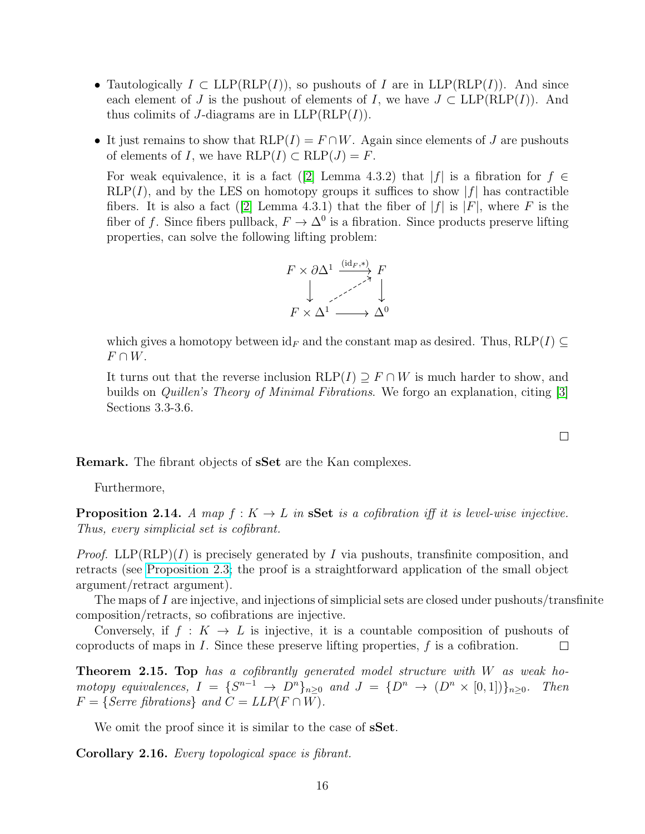- Tautologically  $I \subset \text{LLP}(\text{RLP}(I))$ , so pushouts of I are in  $\text{LLP}(\text{RLP}(I))$ . And since each element of J is the pushout of elements of I, we have  $J \subset \text{LLP}(\text{RLP}(I))$ . And thus colimits of J-diagrams are in  $LLP(RLP(I))$ .
- It just remains to show that  $RLP(I) = F \cap W$ . Again since elements of J are pushouts of elements of I, we have  $RLP(I) \subset RLP(J) = F$ .

Forweak equivalence, it is a fact ([\[2\]](#page-55-2) Lemma 4.3.2) that  $|f|$  is a fibration for  $f \in$  $RLP(I)$ , and by the LES on homotopy groups it suffices to show  $|f|$  has contractible fibers.It is also a fact ([\[2\]](#page-55-2) Lemma 4.3.1) that the fiber of  $|f|$  is  $|F|$ , where F is the fiber of f. Since fibers pullback,  $F \to \Delta^0$  is a fibration. Since products preserve lifting properties, can solve the following lifting problem:



which gives a homotopy between  $id_F$  and the constant map as desired. Thus, RLP(I) ⊆  $F \cap W$ .

It turns out that the reverse inclusion RLP(I)  $\supset F \cap W$  is much harder to show, and builds on Quillen's Theory of Minimal Fibrations. We forgo an explanation, citing [\[3\]](#page-55-3) Sections 3.3-3.6.

Remark. The fibrant objects of sSet are the Kan complexes.

Furthermore,

**Proposition 2.14.** A map  $f: K \to L$  in **sSet** is a cofibration iff it is level-wise injective. Thus, every simplicial set is cofibrant.

*Proof.* LLP(RLP)(I) is precisely generated by I via pushouts, transfinite composition, and retracts (see [Proposition 2.3;](http://nlab-pages.s3.us-east-2.amazonaws.com/nlab/show/cofibrantly+generated+model+category) the proof is a straightforward application of the small object argument/retract argument).

The maps of I are injective, and injections of simplicial sets are closed under pushouts/transfinite composition/retracts, so cofibrations are injective.

Conversely, if  $f: K \to L$  is injective, it is a countable composition of pushouts of coproducts of maps in  $I$ . Since these preserve lifting properties,  $f$  is a cofibration.  $\Box$ 

**Theorem 2.15. Top** has a cofibrantly generated model structure with  $W$  as weak homotopy equivalences,  $I = \{S^{n-1} \to D^n\}_{n\geq 0}$  and  $J = \{D^n \to (D^n \times [0,1])\}_{n\geq 0}$ . Then  $F = \{Serre\ fibrations\}$  and  $C = LLP(F \cap W)$ .

We omit the proof since it is similar to the case of **sSet**.

Corollary 2.16. Every topological space is fibrant.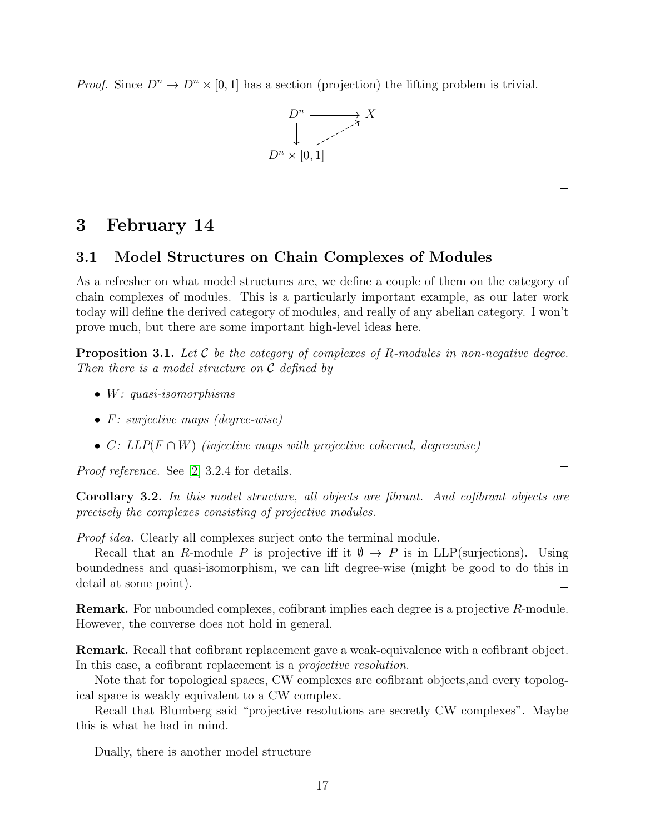*Proof.* Since  $D^n \to D^n \times [0,1]$  has a section (projection) the lifting problem is trivial.



 $\Box$ 

### <span id="page-16-0"></span>3 February 14

#### <span id="page-16-1"></span>3.1 Model Structures on Chain Complexes of Modules

As a refresher on what model structures are, we define a couple of them on the category of chain complexes of modules. This is a particularly important example, as our later work today will define the derived category of modules, and really of any abelian category. I won't prove much, but there are some important high-level ideas here.

**Proposition 3.1.** Let C be the category of complexes of R-modules in non-negative degree. Then there is a model structure on  $\mathcal C$  defined by

- W: quasi-isomorphisms
- F: surjective maps (degree-wise)
- C:  $LLP(F \cap W)$  (injective maps with projective cokernel, degreewise)

Proof reference. See [\[2\]](#page-55-2) 3.2.4 for details.

Corollary 3.2. In this model structure, all objects are fibrant. And cofibrant objects are precisely the complexes consisting of projective modules.

Proof idea. Clearly all complexes surject onto the terminal module.

Recall that an R-module P is projective iff it  $\emptyset \to P$  is in LLP(surjections). Using boundedness and quasi-isomorphism, we can lift degree-wise (might be good to do this in detail at some point).  $\Box$ 

Remark. For unbounded complexes, cofibrant implies each degree is a projective R-module. However, the converse does not hold in general.

Remark. Recall that cofibrant replacement gave a weak-equivalence with a cofibrant object. In this case, a cofibrant replacement is a projective resolution.

Note that for topological spaces, CW complexes are cofibrant objects,and every topological space is weakly equivalent to a CW complex.

Recall that Blumberg said "projective resolutions are secretly CW complexes". Maybe this is what he had in mind.

Dually, there is another model structure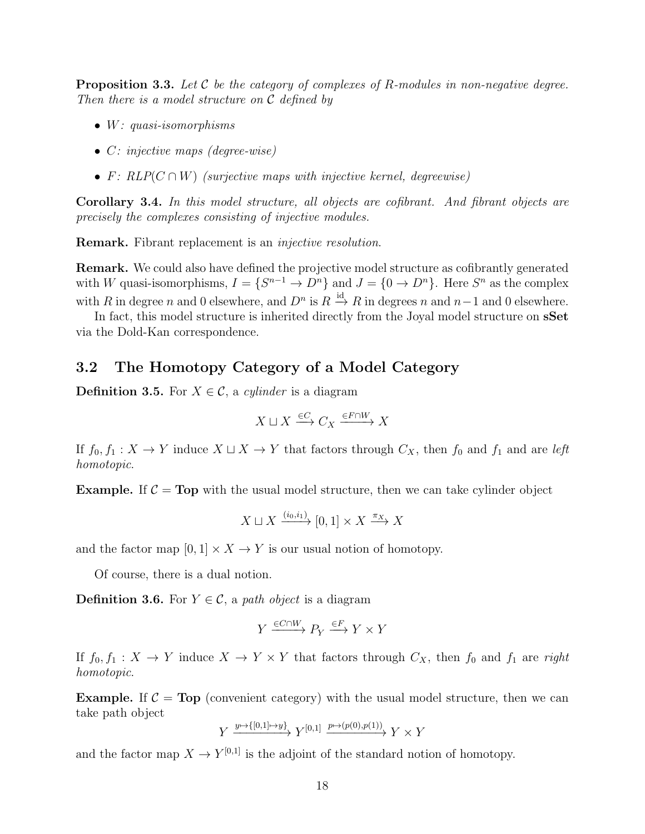**Proposition 3.3.** Let  $\mathcal{C}$  be the category of complexes of R-modules in non-negative degree. Then there is a model structure on C defined by

- W: quasi-isomorphisms
- C: injective maps (degree-wise)
- F:  $RLP(C \cap W)$  (surjective maps with injective kernel, degreewise)

Corollary 3.4. In this model structure, all objects are cofibrant. And fibrant objects are precisely the complexes consisting of injective modules.

Remark. Fibrant replacement is an injective resolution.

Remark. We could also have defined the projective model structure as cofibrantly generated with W quasi-isomorphisms,  $I = \{S^{n-1} \to D^n\}$  and  $J = \{0 \to D^n\}$ . Here  $S^n$  as the complex with R in degree n and 0 elsewhere, and  $D^n$  is  $R \stackrel{\text{id}}{\rightarrow} R$  in degrees n and  $n-1$  and 0 elsewhere.

In fact, this model structure is inherited directly from the Joyal model structure on **sSet** via the Dold-Kan correspondence.

#### <span id="page-17-0"></span>3.2 The Homotopy Category of a Model Category

**Definition 3.5.** For  $X \in \mathcal{C}$ , a *cylinder* is a diagram

$$
X\sqcup X \xrightarrow{\in C} C_X \xrightarrow{\in F\cap W} X
$$

If  $f_0, f_1 : X \to Y$  induce  $X \sqcup X \to Y$  that factors through  $C_X$ , then  $f_0$  and  $f_1$  and are left homotopic.

**Example.** If  $C = Top$  with the usual model structure, then we can take cylinder object

$$
X \sqcup X \xrightarrow{(i_0, i_1)} [0, 1] \times X \xrightarrow{\pi_X} X
$$

and the factor map  $[0, 1] \times X \to Y$  is our usual notion of homotopy.

Of course, there is a dual notion.

**Definition 3.6.** For  $Y \in \mathcal{C}$ , a path object is a diagram

$$
Y\xrightarrow{\in C\cap W}P_Y\xrightarrow{\in F}Y\times Y
$$

If  $f_0, f_1 : X \to Y$  induce  $X \to Y \times Y$  that factors through  $C_X$ , then  $f_0$  and  $f_1$  are right homotopic.

**Example.** If  $C = Top$  (convenient category) with the usual model structure, then we can take path object

$$
Y \xrightarrow{y \mapsto \{[0,1] \mapsto y\}} Y^{[0,1]} \xrightarrow{p \mapsto (p(0),p(1))} Y \times Y
$$

and the factor map  $X \to Y^{[0,1]}$  is the adjoint of the standard notion of homotopy.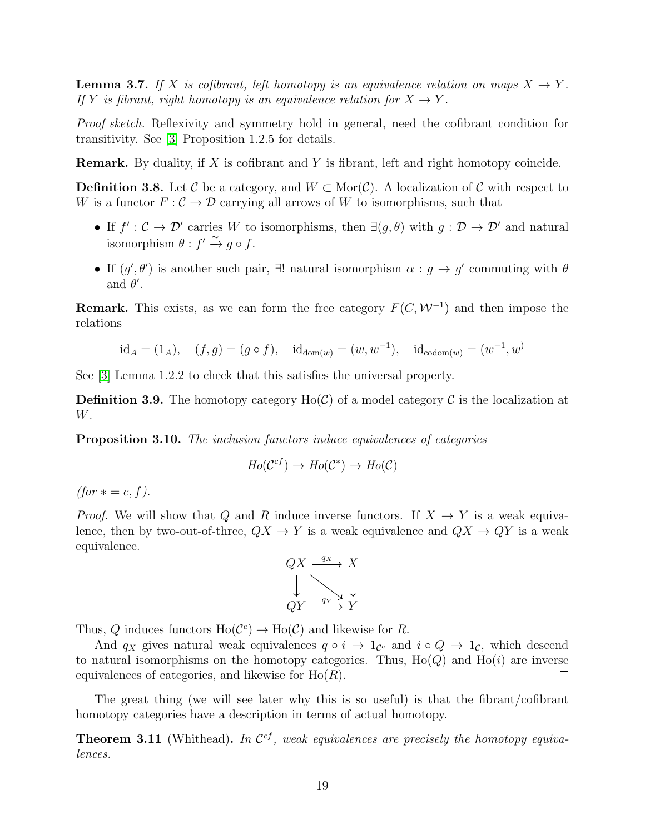**Lemma 3.7.** If X is cofibrant, left homotopy is an equivalence relation on maps  $X \to Y$ . If Y is fibrant, right homotopy is an equivalence relation for  $X \to Y$ .

Proof sketch. Reflexivity and symmetry hold in general, need the cofibrant condition for transitivity. See [\[3\]](#page-55-3) Proposition 1.2.5 for details.  $\Box$ 

**Remark.** By duality, if X is cofibrant and Y is fibrant, left and right homotopy coincide.

**Definition 3.8.** Let C be a category, and  $W \subset \text{Mor}(\mathcal{C})$ . A localization of C with respect to W is a functor  $F: \mathcal{C} \to \mathcal{D}$  carrying all arrows of W to isomorphisms, such that

- If  $f': \mathcal{C} \to \mathcal{D}'$  carries W to isomorphisms, then  $\exists (g, \theta)$  with  $g: \mathcal{D} \to \mathcal{D}'$  and natural isomorphism  $\theta : f' \stackrel{\simeq}{\rightarrow} g \circ f$ .
- If  $(g', \theta')$  is another such pair,  $\exists!$  natural isomorphism  $\alpha : g \to g'$  commuting with  $\theta$ and  $\theta'$ .

**Remark.** This exists, as we can form the free category  $F(C, W^{-1})$  and then impose the relations

$$
id_A = (1_A),
$$
  $(f, g) = (g \circ f),$   $id_{dom(w)} = (w, w^{-1}),$   $id_{codom(w)} = (w^{-1}, w)$ 

See [\[3\]](#page-55-3) Lemma 1.2.2 to check that this satisfies the universal property.

**Definition 3.9.** The homotopy category  $Ho(\mathcal{C})$  of a model category  $\mathcal{C}$  is the localization at W.

Proposition 3.10. The inclusion functors induce equivalences of categories

$$
Ho(\mathcal{C}^{cf}) \to Ho(\mathcal{C}^*) \to Ho(\mathcal{C})
$$

 $(for \, * = c, f).$ 

*Proof.* We will show that Q and R induce inverse functors. If  $X \to Y$  is a weak equivalence, then by two-out-of-three,  $QX \rightarrow Y$  is a weak equivalence and  $QX \rightarrow QY$  is a weak equivalence.



Thus, Q induces functors  $\text{Ho}(\mathcal{C}^c) \to \text{Ho}(\mathcal{C})$  and likewise for R.

And  $q_X$  gives natural weak equivalences  $q \circ i \to 1_{\mathcal{C}}$  and  $i \circ Q \to 1_{\mathcal{C}}$ , which descend to natural isomorphisms on the homotopy categories. Thus,  $Ho(Q)$  and  $Ho(i)$  are inverse equivalences of categories, and likewise for  $Ho(R)$ .  $\Box$ 

The great thing (we will see later why this is so useful) is that the fibrant/cofibrant homotopy categories have a description in terms of actual homotopy.

**Theorem 3.11** (Whithead). In  $\mathcal{C}^{cf}$ , weak equivalences are precisely the homotopy equivalences.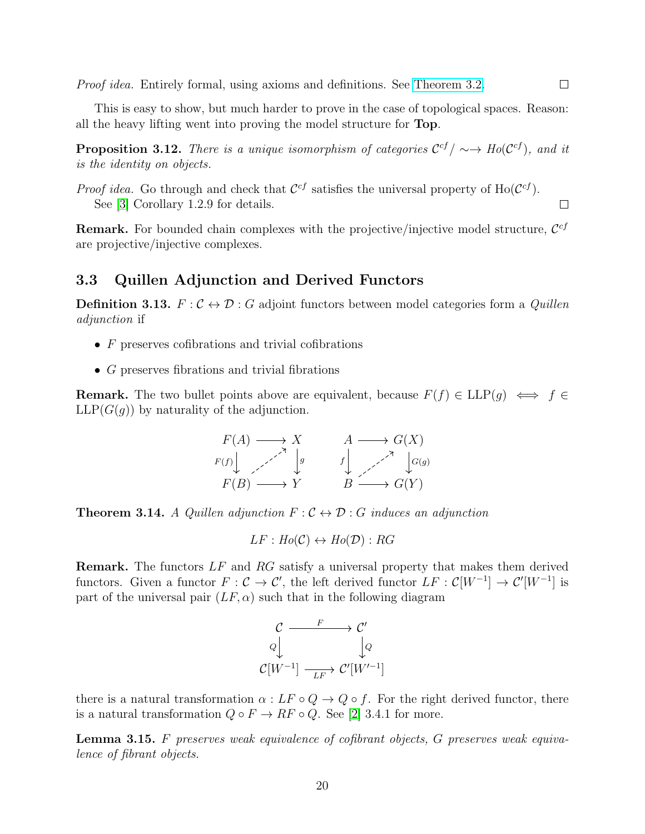Proof idea. Entirely formal, using axioms and definitions. See [Theorem 3.2.](https://math.jhu.edu/~dfuente6/notes/homotopymodelcat.pdf)

This is easy to show, but much harder to prove in the case of topological spaces. Reason: all the heavy lifting went into proving the model structure for Top.

**Proposition 3.12.** There is a unique isomorphism of categories  $C^{cf}/ \sim \rightarrow Ho(C^{cf})$ , and it is the identity on objects.

*Proof idea.* Go through and check that  $\mathcal{C}^{cf}$  satisfies the universal property of Ho( $\mathcal{C}^{cf}$ ). See [\[3\]](#page-55-3) Corollary 1.2.9 for details.

**Remark.** For bounded chain complexes with the projective/injective model structure,  $\mathcal{C}^{cf}$ are projective/injective complexes.

#### <span id="page-19-0"></span>3.3 Quillen Adjunction and Derived Functors

**Definition 3.13.**  $F: \mathcal{C} \leftrightarrow \mathcal{D}: G$  adjoint functors between model categories form a *Quillen* adjunction if

- $\bullet$  F preserves cofibrations and trivial cofibrations
- $\bullet$  G preserves fibrations and trivial fibrations

**Remark.** The two bullet points above are equivalent, because  $F(f) \in LLP(g) \iff f \in$  $LLP(G(q))$  by naturality of the adjunction.

$$
F(A) \longrightarrow X \qquad A \longrightarrow G(X)
$$
  
\n
$$
F(f) \downarrow \qquad \qquad \downarrow \qquad f \downarrow \qquad \qquad \downarrow
$$
  
\n
$$
F(B) \longrightarrow Y \qquad B \longrightarrow G(Y)
$$

**Theorem 3.14.** A Quillen adjunction  $F: \mathcal{C} \leftrightarrow \mathcal{D}: G$  induces an adjunction

$$
LF: Ho(C) \leftrightarrow Ho(D): RG
$$

Remark. The functors LF and RG satisfy a universal property that makes them derived functors. Given a functor  $F: \mathcal{C} \to \mathcal{C}'$ , the left derived functor  $LF: \mathcal{C}[W^{-1}] \to \mathcal{C}'[W^{-1}]$  is part of the universal pair  $(LF, \alpha)$  such that in the following diagram



there is a natural transformation  $\alpha : LF \circ Q \to Q \circ f$ . For the right derived functor, there is a natural transformation  $Q \circ F \to RF \circ Q$ . See [\[2\]](#page-55-2) 3.4.1 for more.

**Lemma 3.15.** F preserves weak equivalence of cofibrant objects, G preserves weak equivalence of fibrant objects.

20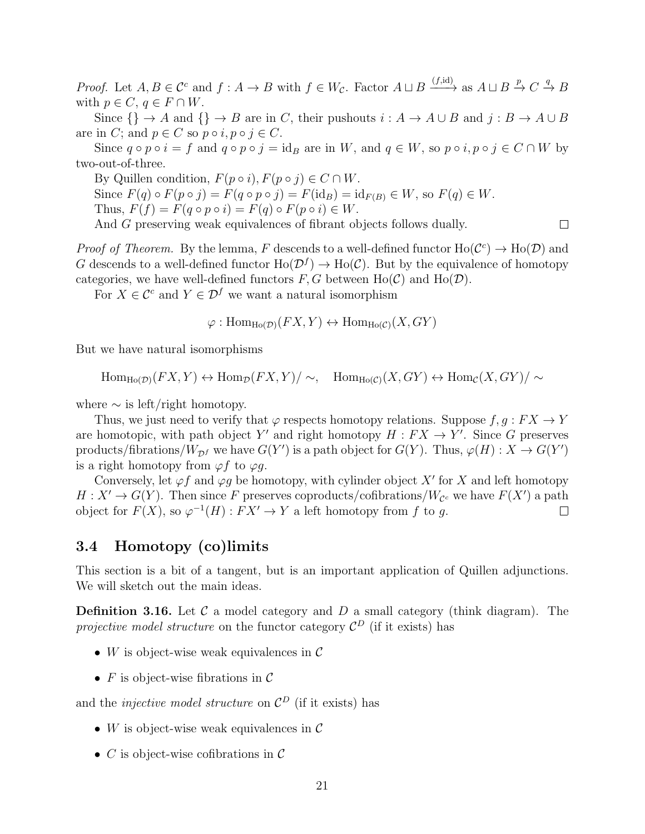*Proof.* Let  $A, B \in \mathcal{C}^c$  and  $f : A \to B$  with  $f \in W_{\mathcal{C}}$ . Factor  $A \sqcup B \xrightarrow{(f, id)}$  as  $A \sqcup B \xrightarrow{p} C \xrightarrow{q} B$ with  $p \in C$ ,  $q \in F \cap W$ .

Since  $\{\}\rightarrow A$  and  $\{\}\rightarrow B$  are in C, their pushouts  $i:A\rightarrow A\cup B$  and  $j:B\rightarrow A\cup B$ are in C; and  $p \in C$  so  $p \circ i, p \circ j \in C$ .

Since  $q \circ p \circ i = f$  and  $q \circ p \circ j = id_B$  are in W, and  $q \in W$ , so  $p \circ i, p \circ j \in C \cap W$  by two-out-of-three.

By Quillen condition,  $F(p \circ i)$ ,  $F(p \circ j) \in C \cap W$ . Since  $F(q) \circ F(p \circ j) = F(q \circ p \circ j) = F(\mathrm{id}_B) = \mathrm{id}_{F(B)} \in W$ , so  $F(q) \in W$ . Thus,  $F(f) = F(q \circ p \circ i) = F(q) \circ F(p \circ i) \in W$ . And G preserving weak equivalences of fibrant objects follows dually.

*Proof of Theorem.* By the lemma, F descends to a well-defined functor  $Ho(\mathcal{C}^c) \to Ho(\mathcal{D})$  and G descends to a well-defined functor  $\text{Ho}(\mathcal{D}^f) \to \text{Ho}(\mathcal{C})$ . But by the equivalence of homotopy categories, we have well-defined functors  $F, G$  between  $Ho(\mathcal{C})$  and  $Ho(\mathcal{D})$ .

For  $X \in \mathcal{C}^c$  and  $Y \in \mathcal{D}^f$  we want a natural isomorphism

 $\varphi: \text{Hom}_{\text{Ho}(\mathcal{D})}(FX, Y) \leftrightarrow \text{Hom}_{\text{Ho}(\mathcal{C})}(X, GY)$ 

But we have natural isomorphisms

 $\text{Hom}_{\text{Ho}(\mathcal{D})}(FX, Y) \leftrightarrow \text{Hom}_{\mathcal{D}}(FX, Y)/\sim, \quad \text{Hom}_{\text{Ho}(\mathcal{C})}(X, GY) \leftrightarrow \text{Hom}_{\mathcal{C}}(X, GY)/\sim$ 

where  $\sim$  is left/right homotopy.

Thus, we just need to verify that  $\varphi$  respects homotopy relations. Suppose  $f, g: FX \to Y$ are homotopic, with path object Y' and right homotopy  $H : FX \to Y'$ . Since G preserves products/fibrations/ $W_{\mathcal{D}^f}$  we have  $G(Y')$  is a path object for  $G(Y)$ . Thus,  $\varphi(H): X \to G(Y')$ is a right homotopy from  $\varphi f$  to  $\varphi q$ .

Conversely, let  $\varphi f$  and  $\varphi g$  be homotopy, with cylinder object X' for X and left homotopy  $H: X' \to G(Y)$ . Then since F preserves coproducts/cofibrations/W<sub>C</sub> we have  $F(X')$  a path object for  $F(X)$ , so  $\varphi^{-1}(H): FX' \to Y$  a left homotopy from f to g.  $\Box$ 

#### <span id="page-20-0"></span>3.4 Homotopy (co)limits

This section is a bit of a tangent, but is an important application of Quillen adjunctions. We will sketch out the main ideas.

**Definition 3.16.** Let  $\mathcal{C}$  a model category and  $D$  a small category (think diagram). The projective model structure on the functor category  $\mathcal{C}^D$  (if it exists) has

- W is object-wise weak equivalences in  $\mathcal C$
- $F$  is object-wise fibrations in  $\mathcal C$

and the *injective model structure* on  $\mathcal{C}^D$  (if it exists) has

- W is object-wise weak equivalences in  $\mathcal C$
- C is object-wise cofibrations in  $\mathcal C$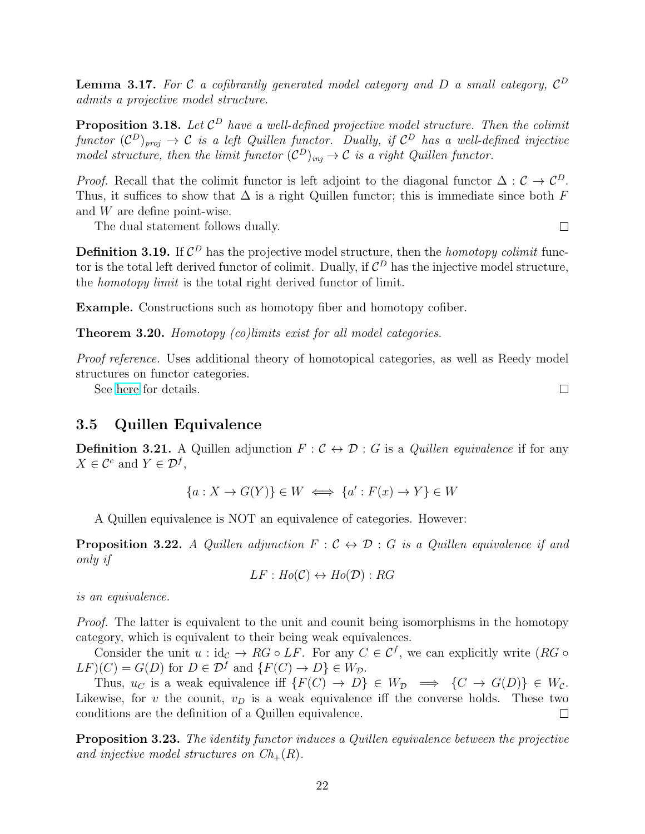**Lemma 3.17.** For C a cofibrantly generated model category and D a small category,  $C^D$ admits a projective model structure.

**Proposition 3.18.** Let  $\mathcal{C}^D$  have a well-defined projective model structure. Then the colimit functor  $(C^D)_{proj} \to C$  is a left Quillen functor. Dually, if  $C^D$  has a well-defined injective model structure, then the limit functor  $(C^D)_{inj} \to C$  is a right Quillen functor.

*Proof.* Recall that the colimit functor is left adjoint to the diagonal functor  $\Delta : \mathcal{C} \to \mathcal{C}^D$ . Thus, it suffices to show that  $\Delta$  is a right Quillen functor; this is immediate since both F and W are define point-wise.

The dual statement follows dually.

**Definition 3.19.** If  $\mathcal{C}^D$  has the projective model structure, then the *homotopy colimit* functor is the total left derived functor of colimit. Dually, if  $\mathcal{C}^D$  has the injective model structure, the homotopy limit is the total right derived functor of limit.

Example. Constructions such as homotopy fiber and homotopy cofiber.

Theorem 3.20. Homotopy (co)limits exist for all model categories.

Proof reference. Uses additional theory of homotopical categories, as well as Reedy model structures on functor categories.

See [here](https://publish.uwo.ca/~mvergura/Homotopy%20colimits.pdf) for details.

#### <span id="page-21-0"></span>3.5 Quillen Equivalence

**Definition 3.21.** A Quillen adjunction  $F : \mathcal{C} \leftrightarrow \mathcal{D} : G$  is a *Quillen equivalence* if for any  $X \in \mathcal{C}^c$  and  $Y \in \mathcal{D}^f$ ,

$$
\{a: X \to G(Y)\} \in W \iff \{a': F(x) \to Y\} \in W
$$

A Quillen equivalence is NOT an equivalence of categories. However:

**Proposition 3.22.** A Quillen adjunction  $F : C \leftrightarrow D : G$  is a Quillen equivalence if and only if

$$
LF: Ho(C) \leftrightarrow Ho(\mathcal{D}): RG
$$

is an equivalence.

Proof. The latter is equivalent to the unit and counit being isomorphisms in the homotopy category, which is equivalent to their being weak equivalences.

Consider the unit  $u : id_{\mathcal{C}} \to RG \circ LF$ . For any  $C \in \mathcal{C}^f$ , we can explicitly write  $(RG \circ$  $LF(C) = G(D)$  for  $D \in \mathcal{D}^f$  and  $\{F(C) \to D\} \in W_{\mathcal{D}}$ .

Thus,  $u_C$  is a weak equivalence iff  $\{F(C) \to D\} \in W_{\mathcal{D}} \implies \{C \to G(D)\} \in W_{\mathcal{C}}$ . Likewise, for v the counit,  $v_D$  is a weak equivalence iff the converse holds. These two conditions are the definition of a Quillen equivalence.  $\Box$ 

**Proposition 3.23.** The identity functor induces a Quillen equivalence between the projective and injective model structures on  $Ch_{+}(R)$ .

 $\Box$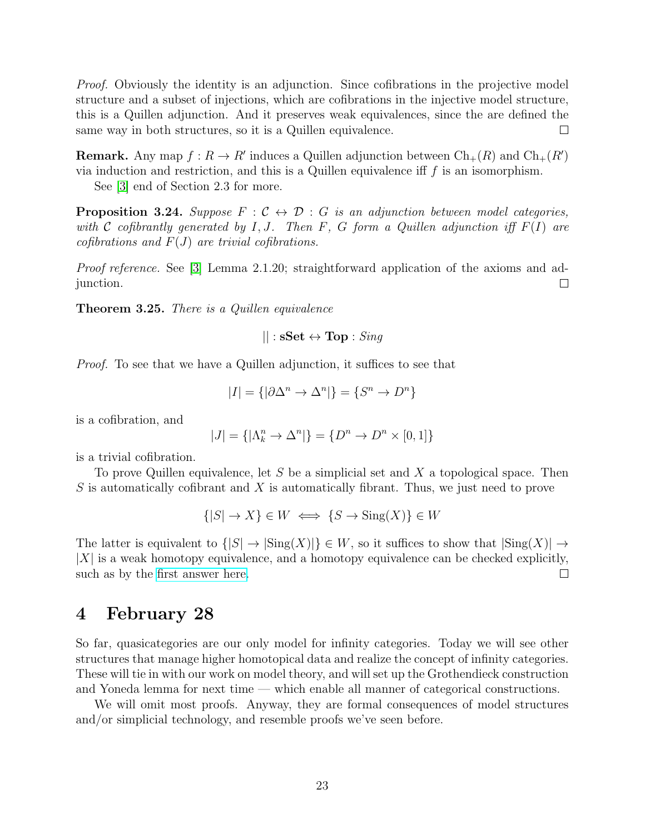Proof. Obviously the identity is an adjunction. Since cofibrations in the projective model structure and a subset of injections, which are cofibrations in the injective model structure, this is a Quillen adjunction. And it preserves weak equivalences, since the are defined the same way in both structures, so it is a Quillen equivalence.  $\Box$ 

**Remark.** Any map  $f: R \to R'$  induces a Quillen adjunction between  $\text{Ch}_+(R)$  and  $\text{Ch}_+(R')$ via induction and restriction, and this is a Quillen equivalence iff  $f$  is an isomorphism.

See [\[3\]](#page-55-3) end of Section 2.3 for more.

**Proposition 3.24.** Suppose  $F : \mathcal{C} \leftrightarrow \mathcal{D} : G$  is an adjunction between model categories, with C cofibrantly generated by I, J. Then F, G form a Quillen adjunction iff  $F(I)$  are cofibrations and  $F(J)$  are trivial cofibrations.

Proof reference. See [\[3\]](#page-55-3) Lemma 2.1.20; straightforward application of the axioms and adjunction.  $\Box$ 

Theorem 3.25. There is a Quillen equivalence

$$
||: \mathbf{sSet} \leftrightarrow \mathbf{Top}: Sing
$$

Proof. To see that we have a Quillen adjunction, it suffices to see that

$$
|I| = \{ |\partial \Delta^n \to \Delta^n| \} = \{ S^n \to D^n \}
$$

is a cofibration, and

$$
|J|=\{|\Lambda^n_k\to\Delta^n|\}=\{D^n\to D^n\times[0,1]\}
$$

is a trivial cofibration.

To prove Quillen equivalence, let S be a simplicial set and X a topological space. Then  $S$  is automatically cofibrant and  $X$  is automatically fibrant. Thus, we just need to prove

$$
\{ |S| \to X \} \in W \iff \{ S \to \text{Sing}(X) \} \in W
$$

The latter is equivalent to  $\{|S| \to |\text{Sing}(X)|\} \in W$ , so it suffices to show that  $|\text{Sing}(X)| \to$  $|X|$  is a weak homotopy equivalence, and a homotopy equivalence can be checked explicitly, such as by the [first answer here.](https://mathoverflow.net/questions/171662/why-does-the-singular-simplicial-space-geometrically-realize-to-the-original-spa)  $\Box$ 

### <span id="page-22-0"></span>4 February 28

So far, quasicategories are our only model for infinity categories. Today we will see other structures that manage higher homotopical data and realize the concept of infinity categories. These will tie in with our work on model theory, and will set up the Grothendieck construction and Yoneda lemma for next time — which enable all manner of categorical constructions.

We will omit most proofs. Anyway, they are formal consequences of model structures and/or simplicial technology, and resemble proofs we've seen before.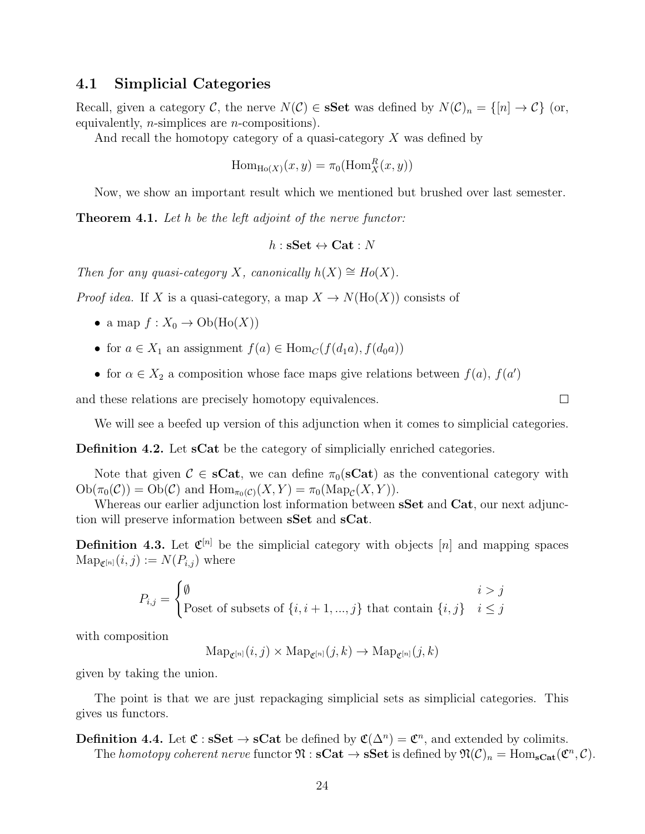#### <span id="page-23-0"></span>4.1 Simplicial Categories

Recall, given a category C, the nerve  $N(\mathcal{C}) \in \mathbf{sSet}$  was defined by  $N(\mathcal{C})_n = \{ [n] \to \mathcal{C} \}$  (or, equivalently, n-simplices are n-compositions).

And recall the homotopy category of a quasi-category  $X$  was defined by

$$
\operatorname{Hom}_{\operatorname{Ho}(X)}(x, y) = \pi_0(\operatorname{Hom}_X^R(x, y))
$$

Now, we show an important result which we mentioned but brushed over last semester.

**Theorem 4.1.** Let h be the left adjoint of the nerve functor:

$$
h:\mathbf{sSet}\leftrightarrow\mathbf{Cat}:N
$$

Then for any quasi-category X, canonically  $h(X) \cong Ho(X)$ .

*Proof idea.* If X is a quasi-category, a map  $X \to N(\text{Ho}(X))$  consists of

- a map  $f: X_0 \to \mathrm{Ob}(\mathrm{Ho}(X))$
- for  $a \in X_1$  an assignment  $f(a) \in \text{Hom}_{\mathcal{C}}(f(d_1a), f(d_0a))$
- for  $\alpha \in X_2$  a composition whose face maps give relations between  $f(a)$ ,  $f(a')$

and these relations are precisely homotopy equivalences.

 $\Box$ 

We will see a beefed up version of this adjunction when it comes to simplicial categories.

Definition 4.2. Let sCat be the category of simplicially enriched categories.

Note that given  $\mathcal{C} \in \mathbf{sCat}$ , we can define  $\pi_0(\mathbf{sCat})$  as the conventional category with  $Ob(\pi_0(\mathcal{C})) = Ob(\mathcal{C})$  and  $Hom_{\pi_0(\mathcal{C})}(X, Y) = \pi_0(Map_{\mathcal{C}}(X, Y)).$ 

Whereas our earlier adjunction lost information between **sSet** and **Cat**, our next adjunction will preserve information between sSet and sCat.

**Definition 4.3.** Let  $\mathfrak{C}^{[n]}$  be the simplicial category with objects [n] and mapping spaces  $\text{Map}_{\mathfrak{C}^{[n]}}(i,j) := N(P_{i,j})$  where

$$
P_{i,j} = \begin{cases} \emptyset & i > j \\ \text{Poset of subsets of } \{i, i+1, \dots, j\} \text{ that contain } \{i, j\} & i \le j \end{cases}
$$

with composition

 $\text{Map}_{\mathcal{C}^{[n]}}(i, j) \times \text{Map}_{\mathcal{C}^{[n]}}(j, k) \rightarrow \text{Map}_{\mathcal{C}^{[n]}}(j, k)$ 

given by taking the union.

The point is that we are just repackaging simplicial sets as simplicial categories. This gives us functors.

**Definition 4.4.** Let  $\mathfrak{C}: \mathbf{sSet} \to \mathbf{sCat}$  be defined by  $\mathfrak{C}(\Delta^n) = \mathfrak{C}^n$ , and extended by colimits. The homotopy coherent nerve functor  $\mathfrak{N}: \mathbf{sCat} \to \mathbf{sSet}$  is defined by  $\mathfrak{N}(\mathcal{C})_n = \text{Hom}_{\mathbf{sCat}}(\mathfrak{C}^n, \mathcal{C})$ .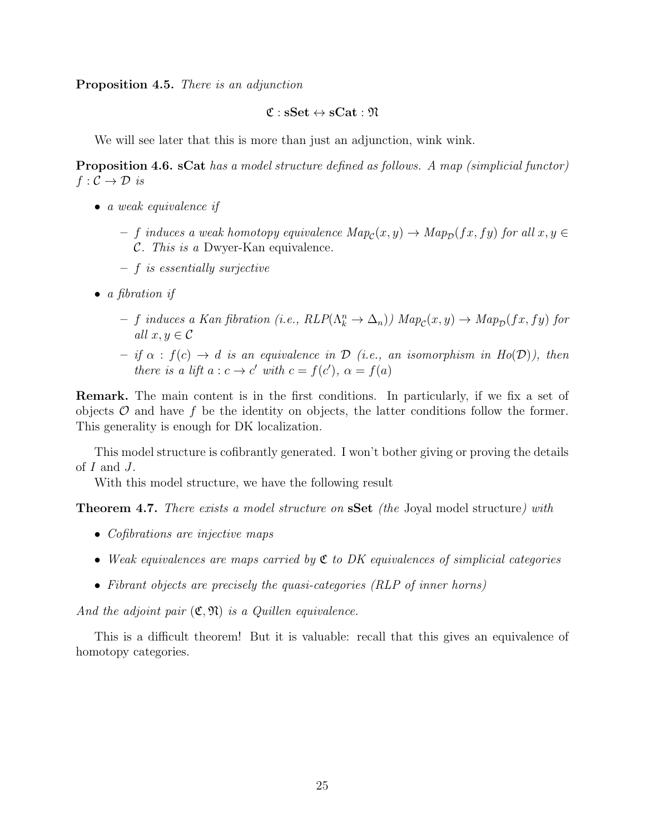Proposition 4.5. There is an adjunction

#### $\mathfrak{C}$  :  $\mathbf{sSet} \leftrightarrow \mathbf{sCat} : \mathfrak{N}$

We will see later that this is more than just an adjunction, wink wink.

Proposition 4.6. sCat has a model structure defined as follows. A map (simplicial functor)  $f: \mathcal{C} \to \mathcal{D}$  is

- a weak equivalence if
	- $-$  f induces a weak homotopy equivalence  $\text{Map}_{\mathcal{C}}(x, y) \to \text{Map}_{\mathcal{D}}(fx, fy)$  for all  $x, y \in$ C. This is a Dwyer-Kan equivalence.
	- f is essentially surjective
- $\bullet$  a fibration if
	- f induces a Kan fibration (i.e.,  $RLP(\Lambda_k^n \to \Delta_n)$ )  $Map_c(x, y) \to Map_p(fx, fy)$  for all  $x, y \in \mathcal{C}$
	- $-$  if  $\alpha$ :  $f(c) \rightarrow d$  is an equivalence in  $\mathcal D$  (i.e., an isomorphism in  $Ho(\mathcal D)$ ), then there is a lift  $a: c \to c'$  with  $c = f(c')$ ,  $\alpha = f(a)$

Remark. The main content is in the first conditions. In particularly, if we fix a set of objects  $\mathcal O$  and have f be the identity on objects, the latter conditions follow the former. This generality is enough for DK localization.

This model structure is cofibrantly generated. I won't bother giving or proving the details of  $I$  and  $J$ .

With this model structure, we have the following result

**Theorem 4.7.** There exists a model structure on **SSet** (the Joyal model structure) with

- Cofibrations are injective maps
- Weak equivalences are maps carried by  $\mathfrak C$  to DK equivalences of simplicial categories
- Fibrant objects are precisely the quasi-categories (RLP of inner horns)

And the adjoint pair  $(\mathfrak{C}, \mathfrak{N})$  is a Quillen equivalence.

This is a difficult theorem! But it is valuable: recall that this gives an equivalence of homotopy categories.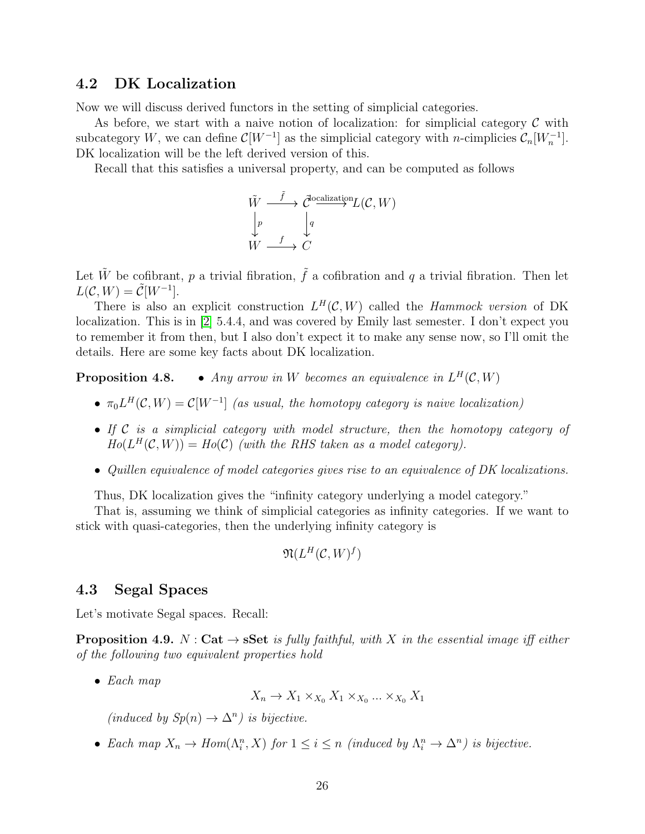#### <span id="page-25-0"></span>4.2 DK Localization

Now we will discuss derived functors in the setting of simplicial categories.

As before, we start with a naive notion of localization: for simplicial category  $\mathcal C$  with subcategory W, we can define  $\mathcal{C}[W^{-1}]$  as the simplicial category with *n*-cimplicies  $\mathcal{C}_n[W_n^{-1}]$ . DK localization will be the left derived version of this.

Recall that this satisfies a universal property, and can be computed as follows

$$
\begin{array}{ccc}\n\tilde{W} & \xrightarrow{\tilde{f}} & \tilde{C}^{\text{localization}}L(\mathcal{C}, W) \\
\downarrow p & & \downarrow q \\
W & \xrightarrow{f} & C\n\end{array}
$$

Let  $\tilde{W}$  be cofibrant, p a trivial fibration,  $\tilde{f}$  a cofibration and q a trivial fibration. Then let  $L(C, W) = \tilde{C}[W^{-1}].$ 

There is also an explicit construction  $L^H(C, W)$  called the Hammock version of DK localization. This is in [\[2\]](#page-55-2) 5.4.4, and was covered by Emily last semester. I don't expect you to remember it from then, but I also don't expect it to make any sense now, so I'll omit the details. Here are some key facts about DK localization.

**Proposition 4.8.** • Any arrow in W becomes an equivalence in  $L^H(C, W)$ 

- $\pi_0 L^H(\mathcal{C}, W) = \mathcal{C}[W^{-1}]$  (as usual, the homotopy category is naive localization)
- If C is a simplicial category with model structure, then the homotopy category of  $Ho(L^H(\mathcal{C}, W)) = Ho(\mathcal{C})$  (with the RHS taken as a model category).
- Quillen equivalence of model categories gives rise to an equivalence of DK localizations.

Thus, DK localization gives the "infinity category underlying a model category."

That is, assuming we think of simplicial categories as infinity categories. If we want to stick with quasi-categories, then the underlying infinity category is

$$
\mathfrak{N}(L^H(\mathcal{C},W)^f)
$$

#### <span id="page-25-1"></span>4.3 Segal Spaces

Let's motivate Segal spaces. Recall:

**Proposition 4.9.** N : Cat  $\rightarrow$  sSet is fully faithful, with X in the essential image iff either of the following two equivalent properties hold

 $\bullet$  Each map

 $X_n \to X_1 \times_{X_0} X_1 \times_{X_0} \ldots \times_{X_0} X_1$ 

 $(induced by Sp(n) \to \Delta^n)$  is bijective.

• Each map  $X_n \to Hom(\Lambda^n_i, X)$  for  $1 \leq i \leq n$  (induced by  $\Lambda^n_i \to \Delta^n$ ) is bijective.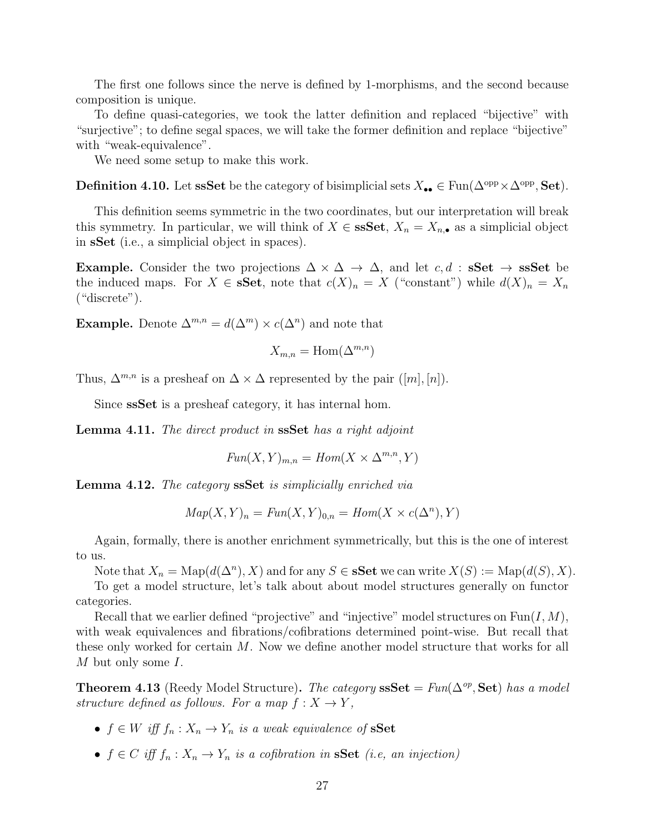The first one follows since the nerve is defined by 1-morphisms, and the second because composition is unique.

To define quasi-categories, we took the latter definition and replaced "bijective" with "surjective"; to define segal spaces, we will take the former definition and replace "bijective" with "weak-equivalence".

We need some setup to make this work.

**Definition 4.10.** Let ssSet be the category of bisimplicial sets  $X_{\bullet\bullet} \in \text{Fun}(\Delta^{\text{opp}} \times \Delta^{\text{opp}}, \text{Set})$ .

This definition seems symmetric in the two coordinates, but our interpretation will break this symmetry. In particular, we will think of  $X \in \mathbf{sSSet}$ ,  $X_n = X_{n,\bullet}$  as a simplicial object in sSet (i.e., a simplicial object in spaces).

Example. Consider the two projections  $\Delta \times \Delta \rightarrow \Delta$ , and let c, d: sSet  $\rightarrow$  ssSet be the induced maps. For  $X \in \mathbf{sSet}$ , note that  $c(X)_n = X$  ("constant") while  $d(X)_n = X_n$ ("discrete").

**Example.** Denote  $\Delta^{m,n} = d(\Delta^m) \times c(\Delta^n)$  and note that

$$
X_{m,n} = \text{Hom}(\Delta^{m,n})
$$

Thus,  $\Delta^{m,n}$  is a presheaf on  $\Delta \times \Delta$  represented by the pair  $([m],[n])$ .

Since ssSet is a presheaf category, it has internal hom.

Lemma 4.11. The direct product in ssSet has a right adjoint

$$
Fun(X, Y)_{m,n} = Hom(X \times \Delta^{m,n}, Y)
$$

Lemma 4.12. The category ssSet is simplicially enriched via

$$
Map(X, Y)_n = Fun(X, Y)_{0,n} = Hom(X \times c(\Delta^n), Y)
$$

Again, formally, there is another enrichment symmetrically, but this is the one of interest to us.

Note that  $X_n = \text{Map}(d(\Delta^n), X)$  and for any  $S \in \mathbf{SSet}$  we can write  $X(S) := \text{Map}(d(S), X)$ .

To get a model structure, let's talk about about model structures generally on functor categories.

Recall that we earlier defined "projective" and "injective" model structures on  $\text{Fun}(I, M)$ , with weak equivalences and fibrations/cofibrations determined point-wise. But recall that these only worked for certain M. Now we define another model structure that works for all M but only some I.

**Theorem 4.13** (Reedy Model Structure). The category  $\textbf{sSet} = \text{Fun}(\Delta^{op}, \textbf{Set})$  has a model structure defined as follows. For a map  $f: X \to Y$ ,

- $f \in W$  iff  $f_n : X_n \to Y_n$  is a weak equivalence of **sSet**
- $f \in C$  iff  $f_n : X_n \to Y_n$  is a cofibration in **sSet** (i.e, an injection)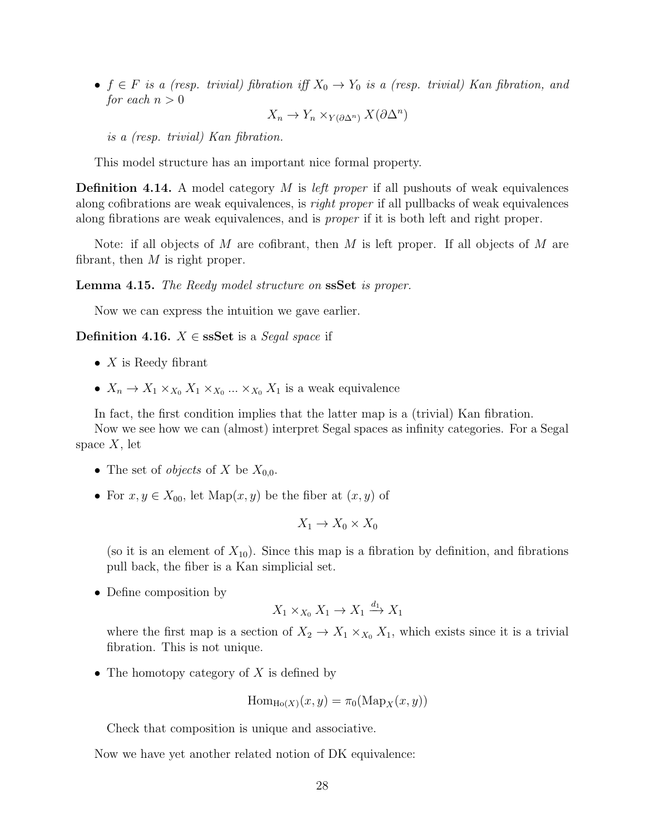•  $f \in F$  is a (resp. trivial) fibration iff  $X_0 \to Y_0$  is a (resp. trivial) Kan fibration, and for each  $n > 0$ 

$$
X_n \to Y_n \times_{Y(\partial \Delta^n)} X(\partial \Delta^n)
$$

is a (resp. trivial) Kan fibration.

This model structure has an important nice formal property.

**Definition 4.14.** A model category  $M$  is *left proper* if all pushouts of weak equivalences along cofibrations are weak equivalences, is right proper if all pullbacks of weak equivalences along fibrations are weak equivalences, and is proper if it is both left and right proper.

Note: if all objects of M are cofibrant, then M is left proper. If all objects of M are fibrant, then  $M$  is right proper.

Lemma 4.15. The Reedy model structure on ssSet is proper.

Now we can express the intuition we gave earlier.

**Definition 4.16.**  $X \in$  **ssSet** is a *Segal space* if

- $X$  is Reedy fibrant
- $X_n \to X_1 \times_{X_0} X_1 \times_{X_0} \ldots \times_{X_0} X_1$  is a weak equivalence

In fact, the first condition implies that the latter map is a (trivial) Kan fibration. Now we see how we can (almost) interpret Segal spaces as infinity categories. For a Segal space  $X$ , let

- The set of *objects* of X be  $X_{0,0}$ .
- For  $x, y \in X_{00}$ , let Map $(x, y)$  be the fiber at  $(x, y)$  of

$$
X_1 \to X_0 \times X_0
$$

(so it is an element of  $X_{10}$ ). Since this map is a fibration by definition, and fibrations pull back, the fiber is a Kan simplicial set.

• Define composition by

$$
X_1 \times_{X_0} X_1 \to X_1 \xrightarrow{d_1} X_1
$$

where the first map is a section of  $X_2 \to X_1 \times_{X_0} X_1$ , which exists since it is a trivial fibration. This is not unique.

• The homotopy category of  $X$  is defined by

$$
\mathrm{Hom}_{\mathrm{Ho}(X)}(x,y)=\pi_0(\mathrm{Map}_X(x,y))
$$

Check that composition is unique and associative.

Now we have yet another related notion of DK equivalence: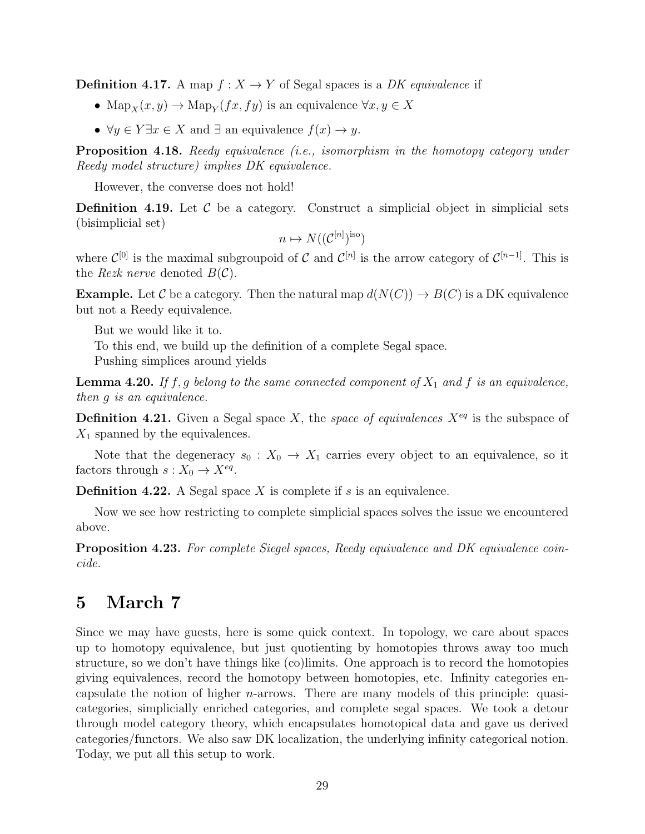**Definition 4.17.** A map  $f: X \to Y$  of Segal spaces is a *DK equivalence* if

- $\text{Map}_X(x, y) \to \text{Map}_Y(fx, fy)$  is an equivalence  $\forall x, y \in X$
- $\forall y \in Y \exists x \in X$  and  $\exists$  an equivalence  $f(x) \to y$ .

Proposition 4.18. Reedy equivalence (i.e., isomorphism in the homotopy category under Reedy model structure) implies DK equivalence.

However, the converse does not hold!

**Definition 4.19.** Let  $\mathcal C$  be a category. Construct a simplicial object in simplicial sets (bisimplicial set)

$$
n \mapsto N((\mathcal{C}^{[n]})^{\text{iso}})
$$

where  $\mathcal{C}^{[0]}$  is the maximal subgroupoid of C and  $\mathcal{C}^{[n]}$  is the arrow category of  $\mathcal{C}^{[n-1]}$ . This is the *Rezk nerve* denoted  $B(\mathcal{C})$ .

**Example.** Let C be a category. Then the natural map  $d(N(C)) \to B(C)$  is a DK equivalence but not a Reedy equivalence.

But we would like it to.

To this end, we build up the definition of a complete Segal space. Pushing simplices around yields

**Lemma 4.20.** If f, g belong to the same connected component of  $X_1$  and f is an equivalence, then g is an equivalence.

**Definition 4.21.** Given a Segal space X, the space of equivalences  $X^{eq}$  is the subspace of  $X_1$  spanned by the equivalences.

Note that the degeneracy  $s_0 : X_0 \to X_1$  carries every object to an equivalence, so it factors through  $s: X_0 \to X^{eq}$ .

**Definition 4.22.** A Segal space X is complete if s is an equivalence.

Now we see how restricting to complete simplicial spaces solves the issue we encountered above.

Proposition 4.23. For complete Siegel spaces, Reedy equivalence and DK equivalence coincide.

### <span id="page-28-0"></span>5 March 7

Since we may have guests, here is some quick context. In topology, we care about spaces up to homotopy equivalence, but just quotienting by homotopies throws away too much structure, so we don't have things like (co)limits. One approach is to record the homotopies giving equivalences, record the homotopy between homotopies, etc. Infinity categories encapsulate the notion of higher n-arrows. There are many models of this principle: quasicategories, simplicially enriched categories, and complete segal spaces. We took a detour through model category theory, which encapsulates homotopical data and gave us derived categories/functors. We also saw DK localization, the underlying infinity categorical notion. Today, we put all this setup to work.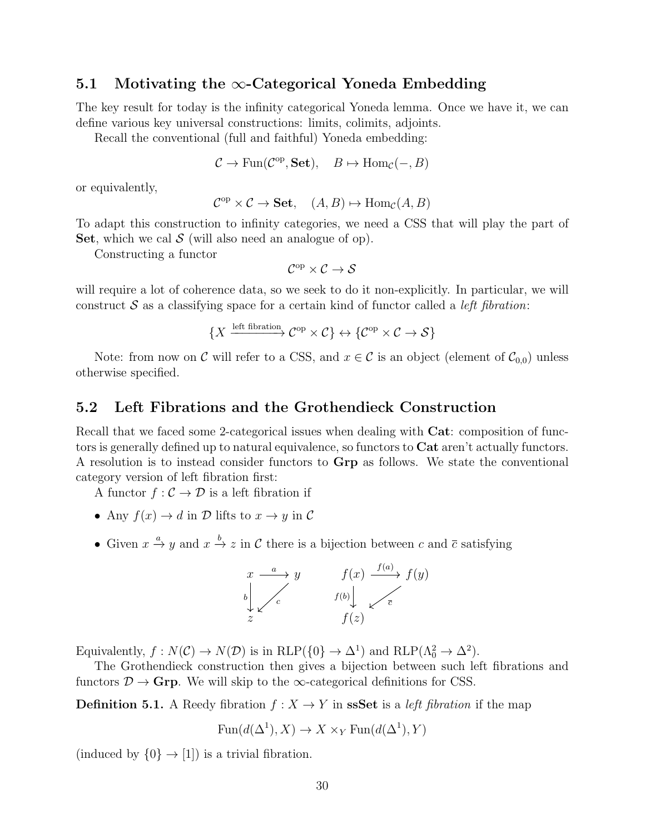#### <span id="page-29-0"></span>5.1 Motivating the  $\infty$ -Categorical Yoneda Embedding

The key result for today is the infinity categorical Yoneda lemma. Once we have it, we can define various key universal constructions: limits, colimits, adjoints.

Recall the conventional (full and faithful) Yoneda embedding:

$$
C \to \text{Fun}(\mathcal{C}^{op}, \mathbf{Set}), \quad B \mapsto \text{Hom}_{\mathcal{C}}(-, B)
$$

or equivalently,

$$
\mathcal{C}^{op} \times \mathcal{C} \to \mathbf{Set}, \quad (A, B) \mapsto \text{Hom}_{\mathcal{C}}(A, B)
$$

To adapt this construction to infinity categories, we need a CSS that will play the part of Set, which we cal  $S$  (will also need an analogue of op).

Constructing a functor

$$
\mathcal{C}^{\mathrm{op}} \times \mathcal{C} \to \mathcal{S}
$$

will require a lot of coherence data, so we seek to do it non-explicitly. In particular, we will construct  $S$  as a classifying space for a certain kind of functor called a *left fibration*:

$$
\{X \xrightarrow{\text{left fibration}} \mathcal{C}^{op} \times \mathcal{C} \} \leftrightarrow \{ \mathcal{C}^{op} \times \mathcal{C} \to \mathcal{S} \}
$$

Note: from now on C will refer to a CSS, and  $x \in C$  is an object (element of  $\mathcal{C}_{0,0}$ ) unless otherwise specified.

#### <span id="page-29-1"></span>5.2 Left Fibrations and the Grothendieck Construction

Recall that we faced some 2-categorical issues when dealing with **Cat**: composition of functors is generally defined up to natural equivalence, so functors to **Cat** aren't actually functors. A resolution is to instead consider functors to Grp as follows. We state the conventional category version of left fibration first:

A functor  $f: \mathcal{C} \to \mathcal{D}$  is a left fibration if

- Any  $f(x) \to d$  in  $\mathcal D$  lifts to  $x \to y$  in  $\mathcal C$
- Given  $x \stackrel{a}{\rightarrow} y$  and  $x \stackrel{b}{\rightarrow} z$  in C there is a bijection between c and  $\overline{c}$  satisfying



Equivalently,  $f: N(\mathcal{C}) \to N(\mathcal{D})$  is in RLP( $\{0\} \to \Delta^1$ ) and RLP( $\Lambda_0^2 \to \Delta^2$ ).

The Grothendieck construction then gives a bijection between such left fibrations and functors  $\mathcal{D} \to \mathbf{Grp}$ . We will skip to the  $\infty$ -categorical definitions for CSS.

**Definition 5.1.** A Reedy fibration  $f : X \to Y$  in **ssSet** is a *left fibration* if the map

$$
Fun(d(\Delta^1),X) \to X \times_Y \text{Fun}(d(\Delta^1),Y)
$$

(induced by  $\{0\} \rightarrow [1]$ ) is a trivial fibration.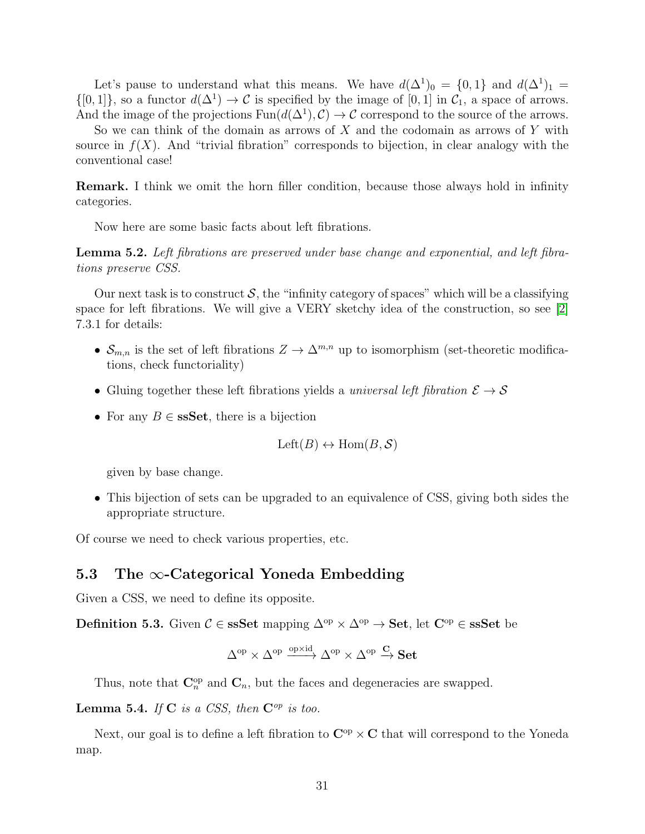Let's pause to understand what this means. We have  $d(\Delta^1)_0 = \{0,1\}$  and  $d(\Delta^1)_1 =$  $\{[0,1]\}\$ , so a functor  $d(\Delta^1) \to \mathcal{C}$  is specified by the image of  $[0,1]$  in  $\mathcal{C}_1$ , a space of arrows. And the image of the projections  $\text{Fun}(d(\Delta^1), \mathcal{C}) \to \mathcal{C}$  correspond to the source of the arrows.

So we can think of the domain as arrows of X and the codomain as arrows of Y with source in  $f(X)$ . And "trivial fibration" corresponds to bijection, in clear analogy with the conventional case!

Remark. I think we omit the horn filler condition, because those always hold in infinity categories.

Now here are some basic facts about left fibrations.

Lemma 5.2. Left fibrations are preserved under base change and exponential, and left fibrations preserve CSS.

Our next task is to construct S, the "infinity category of spaces" which will be a classifying space for left fibrations. We will give a VERY sketchy idea of the construction, so see [\[2\]](#page-55-2) 7.3.1 for details:

- $S_{m,n}$  is the set of left fibrations  $Z \to \Delta^{m,n}$  up to isomorphism (set-theoretic modifications, check functoriality)
- Gluing together these left fibrations yields a universal left fibration  $\mathcal{E} \to \mathcal{S}$
- For any  $B \in \mathbf{s} S_t$ , there is a bijection

$$
Left(B) \leftrightarrow Hom(B, S)
$$

given by base change.

• This bijection of sets can be upgraded to an equivalence of CSS, giving both sides the appropriate structure.

Of course we need to check various properties, etc.

#### <span id="page-30-0"></span>5.3 The  $\infty$ -Categorical Yoneda Embedding

Given a CSS, we need to define its opposite.

**Definition 5.3.** Given  $C \in$  ssSet mapping  $\Delta^{op} \times \Delta^{op} \to$  Set, let  $C^{op} \in$  ssSet be

$$
\Delta^{\mathrm{op}} \times \Delta^{\mathrm{op}} \xrightarrow{\mathrm{op} \times \mathrm{id}} \Delta^{\mathrm{op}} \times \Delta^{\mathrm{op}} \xrightarrow{\mathbf{C}} \mathbf{Set}
$$

Thus, note that  $\mathbf{C}_n^{\mathrm{op}}$  and  $\mathbf{C}_n$ , but the faces and degeneracies are swapped.

#### **Lemma 5.4.** If  $C$  is a CSS, then  $C^{op}$  is too.

Next, our goal is to define a left fibration to  $\mathbf{C}^{\mathrm{op}} \times \mathbf{C}$  that will correspond to the Yoneda map.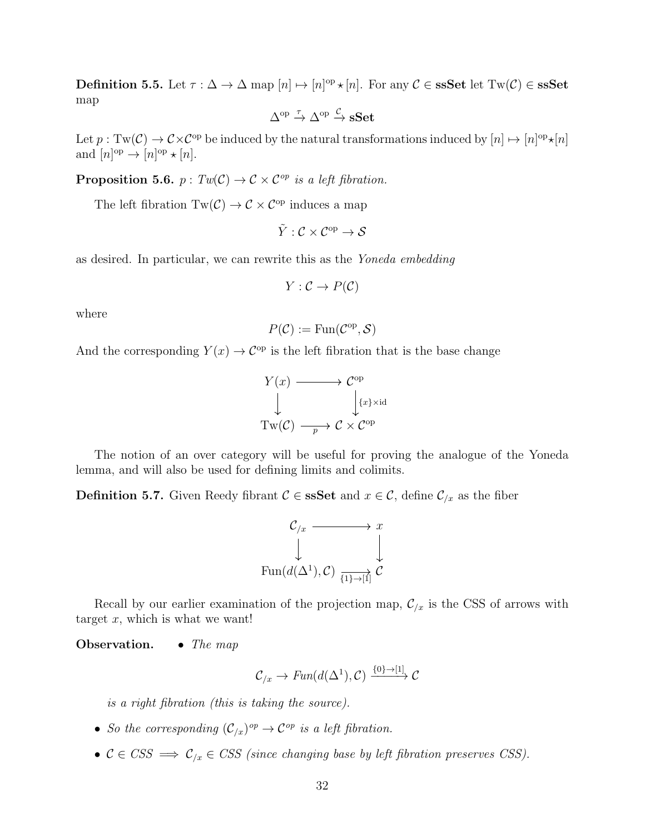**Definition 5.5.** Let  $\tau : \Delta \to \Delta$  map  $[n] \mapsto [n]^{op} \star [n]$ . For any  $C \in \mathbf{ssSet}$  let  $Tw(C) \in \mathbf{ssSet}$ map

$$
\Delta^{\mathrm{op}} \xrightarrow{\tau} \Delta^{\mathrm{op}} \xrightarrow{\mathcal{C}} \mathbf{sSet}
$$

Let  $p: Tw(\mathcal{C}) \to \mathcal{C} \times \mathcal{C}^{op}$  be induced by the natural transformations induced by  $[n] \mapsto [n]^{op} \star [n]$ and  $[n]^\text{op} \to [n]^\text{op} \star [n].$ 

**Proposition 5.6.**  $p: Tw(\mathcal{C}) \to \mathcal{C} \times \mathcal{C}^{op}$  is a left fibration.

The left fibration  $Tw(\mathcal{C}) \to \mathcal{C} \times \mathcal{C}^{op}$  induces a map

 $\tilde{Y}: \mathcal{C} \times \mathcal{C}^{op} \to \mathcal{S}$ 

as desired. In particular, we can rewrite this as the Yoneda embedding

$$
Y:\mathcal{C}\to P(\mathcal{C})
$$

where

$$
P(\mathcal{C}) := \text{Fun}(\mathcal{C}^{\text{op}}, \mathcal{S})
$$

And the corresponding  $Y(x) \to \mathcal{C}^{\text{op}}$  is the left fibration that is the base change

$$
Y(x) \longrightarrow C^{op}
$$
  
\n
$$
\downarrow \qquad \qquad \downarrow
$$
  
\n
$$
Tw(\mathcal{C}) \longrightarrow \mathcal{C} \times C^{op}
$$

The notion of an over category will be useful for proving the analogue of the Yoneda lemma, and will also be used for defining limits and colimits.

**Definition 5.7.** Given Reedy fibrant  $C \in \mathbf{ssSet}$  and  $x \in C$ , define  $C_{/x}$  as the fiber

$$
\begin{array}{ccc}\n\mathcal{C}_{/x} & \longrightarrow & x \\
\downarrow & & \downarrow \\
\text{Fun}(d(\Delta^1), \mathcal{C}) & \xrightarrow{\{1\} \to [1]} \mathcal{C}\n\end{array}
$$

Recall by our earlier examination of the projection map,  $\mathcal{C}_{x}$  is the CSS of arrows with target  $x$ , which is what we want!

Observation. • The map

$$
\mathcal{C}_{/x} \to \text{Fun}(d(\Delta^1), \mathcal{C}) \xrightarrow{\{0\} \to [1]} \mathcal{C}
$$

is a right fibration (this is taking the source).

- So the corresponding  $(\mathcal{C}_{/x})^{op} \to \mathcal{C}^{op}$  is a left fibration.
- $C \in CSS \implies C_{/x} \in CSS$  (since changing base by left fibration preserves CSS).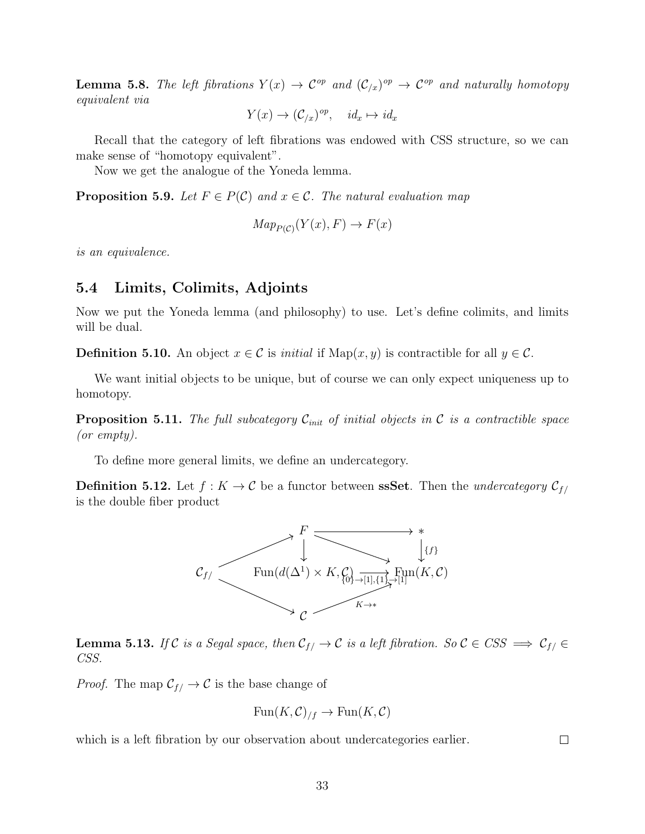**Lemma 5.8.** The left fibrations  $Y(x) \to \mathcal{C}^{op}$  and  $(\mathcal{C}_{/x})^{op} \to \mathcal{C}^{op}$  and naturally homotopy equivalent via

$$
Y(x) \to (\mathcal{C}_{/x})^{op}, \quad id_x \mapsto id_x
$$

Recall that the category of left fibrations was endowed with CSS structure, so we can make sense of "homotopy equivalent".

Now we get the analogue of the Yoneda lemma.

**Proposition 5.9.** Let  $F \in P(\mathcal{C})$  and  $x \in \mathcal{C}$ . The natural evaluation map

$$
Map_{P(\mathcal{C})}(Y(x), F) \to F(x)
$$

is an equivalence.

#### <span id="page-32-0"></span>5.4 Limits, Colimits, Adjoints

Now we put the Yoneda lemma (and philosophy) to use. Let's define colimits, and limits will be dual.

**Definition 5.10.** An object  $x \in \mathcal{C}$  is *initial* if Map $(x, y)$  is contractible for all  $y \in \mathcal{C}$ .

We want initial objects to be unique, but of course we can only expect uniqueness up to homotopy.

**Proposition 5.11.** The full subcategory  $\mathcal{C}_{init}$  of initial objects in  $\mathcal{C}$  is a contractible space (or empty).

To define more general limits, we define an undercategory.

**Definition 5.12.** Let  $f : K \to \mathcal{C}$  be a functor between **ssSet**. Then the *undercategory*  $\mathcal{C}_{f}$ is the double fiber product



**Lemma 5.13.** If C is a Segal space, then  $C_{f/} \to C$  is a left fibration. So  $C \in CSS \implies C_{f/} \in$ CSS.

*Proof.* The map  $C_{f} \rightarrow C$  is the base change of

$$
\text{Fun}(K,\mathcal{C})_{/f} \to \text{Fun}(K,\mathcal{C})
$$

which is a left fibration by our observation about undercategories earlier.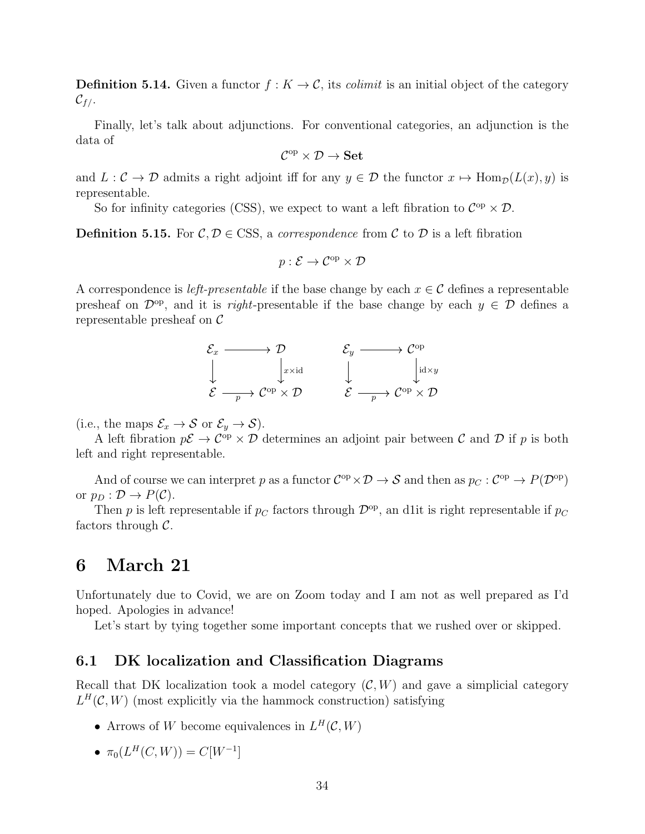**Definition 5.14.** Given a functor  $f: K \to \mathcal{C}$ , its *colimit* is an initial object of the category  $\mathcal{C}_{f/-}$ 

Finally, let's talk about adjunctions. For conventional categories, an adjunction is the data of

$$
\mathcal{C}^{\mathrm{op}}\times \mathcal{D}\to \mathbf{Set}
$$

and  $L: \mathcal{C} \to \mathcal{D}$  admits a right adjoint iff for any  $y \in \mathcal{D}$  the functor  $x \mapsto \text{Hom}_{\mathcal{D}}(L(x), y)$  is representable.

So for infinity categories (CSS), we expect to want a left fibration to  $\mathcal{C}^{\text{op}} \times \mathcal{D}$ .

**Definition 5.15.** For  $\mathcal{C}, \mathcal{D} \in \text{CSS}$ , a correspondence from  $\mathcal{C}$  to  $\mathcal{D}$  is a left fibration

$$
p: \mathcal{E} \to \mathcal{C}^{\mathrm{op}} \times \mathcal{D}
$$

A correspondence is *left-presentable* if the base change by each  $x \in C$  defines a representable presheaf on  $\mathcal{D}^{op}$ , and it is *right*-presentable if the base change by each  $y \in \mathcal{D}$  defines a representable presheaf on  $\mathcal C$ 

$$
\mathcal{E}_x \longrightarrow D \qquad \qquad \mathcal{E}_y \longrightarrow \mathcal{C}^{\mathrm{op}} \\ \downarrow \qquad \qquad \downarrow \qquad \qquad \downarrow \qquad \qquad \downarrow
$$
  

$$
\mathcal{E} \longrightarrow \mathcal{C}^{\mathrm{op}} \times \mathcal{D} \qquad \qquad \mathcal{E} \longrightarrow \mathcal{C}^{\mathrm{op}} \times \mathcal{D}
$$

(i.e., the maps  $\mathcal{E}_x \to \mathcal{S}$  or  $\mathcal{E}_y \to \mathcal{S}$ ).

A left fibration  $p\mathcal{E} \to \mathcal{C}^{\text{op}} \times \mathcal{D}$  determines an adjoint pair between  $\mathcal C$  and  $\mathcal D$  if  $p$  is both left and right representable.

And of course we can interpret p as a functor  $C^{op} \times D \to S$  and then as  $p_C : C^{op} \to P(D^{op})$ or  $p_D : \mathcal{D} \to P(\mathcal{C})$ .

Then p is left representable if  $p_C$  factors through  $\mathcal{D}^{\text{op}}$ , an d1it is right representable if  $p_C$ factors through  $\mathcal{C}$ .

### <span id="page-33-0"></span>6 March 21

Unfortunately due to Covid, we are on Zoom today and I am not as well prepared as I'd hoped. Apologies in advance!

Let's start by tying together some important concepts that we rushed over or skipped.

#### <span id="page-33-1"></span>6.1 DK localization and Classification Diagrams

Recall that DK localization took a model category  $(C, W)$  and gave a simplicial category  $L^H(\mathcal{C}, W)$  (most explicitly via the hammock construction) satisfying

- Arrows of W become equivalences in  $L^H(C, W)$
- $\pi_0(L^H(C, W)) = C[W^{-1}]$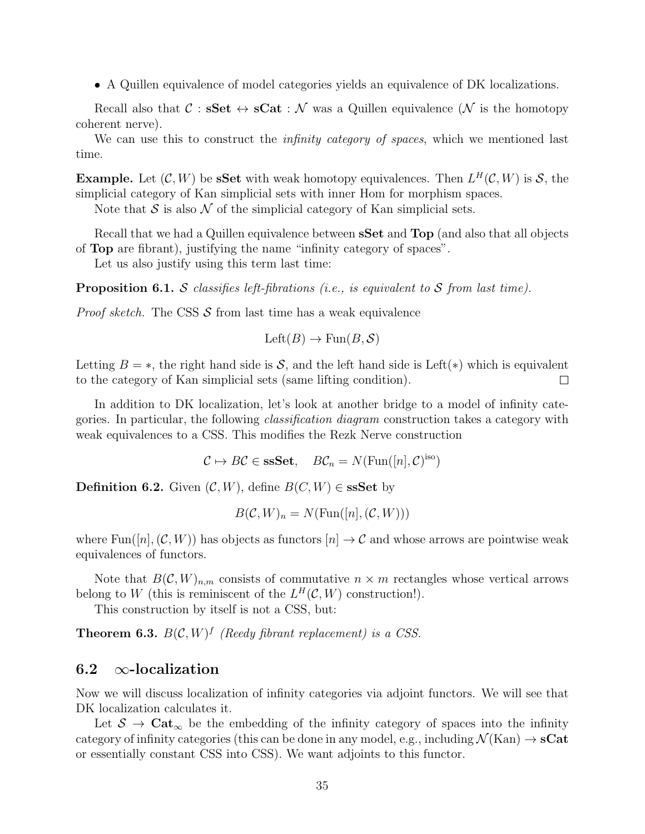• A Quillen equivalence of model categories yields an equivalence of DK localizations.

Recall also that  $C : SSet \leftrightarrow SCat : \mathcal{N}$  was a Quillen equivalence  $(\mathcal{N}$  is the homotopy coherent nerve).

We can use this to construct the *infinity category of spaces*, which we mentioned last time.

**Example.** Let  $(C, W)$  be **sSet** with weak homotopy equivalences. Then  $L^H(C, W)$  is S, the simplicial category of Kan simplicial sets with inner Hom for morphism spaces.

Note that  $S$  is also  $\mathcal N$  of the simplicial category of Kan simplicial sets.

Recall that we had a Quillen equivalence between **sSet** and **Top** (and also that all objects of Top are fibrant), justifying the name "infinity category of spaces".

Let us also justify using this term last time:

**Proposition 6.1.** S classifies left-fibrations (i.e., is equivalent to S from last time).

*Proof sketch.* The CSS  $S$  from last time has a weak equivalence

$$
Left(B) \to Fun(B, S)
$$

Letting  $B = *$ , the right hand side is S, and the left hand side is Left(\*) which is equivalent to the category of Kan simplicial sets (same lifting condition).  $\Box$ 

In addition to DK localization, let's look at another bridge to a model of infinity categories. In particular, the following classification diagram construction takes a category with weak equivalences to a CSS. This modifies the Rezk Nerve construction

 $C \mapsto B C \in \mathbf{ssSet}, \quad B C_n = N(\text{Fun}([n], C)^{\text{iso}})$ 

Definition 6.2. Given  $(C, W)$ , define  $B(C, W) \in$  ssSet by

$$
B(C, W)_n = N(\text{Fun}([n], (C, W)))
$$

where Fun([n],  $(C, W)$ ) has objects as functors  $[n] \to C$  and whose arrows are pointwise weak equivalences of functors.

Note that  $B(C, W)_{n,m}$  consists of commutative  $n \times m$  rectangles whose vertical arrows belong to W (this is reminiscent of the  $L^H(\mathcal{C}, W)$  construction!).

This construction by itself is not a CSS, but:

**Theorem 6.3.**  $B(C, W)^f$  (Reedy fibrant replacement) is a CSS.

#### <span id="page-34-0"></span>6.2  $\infty$ -localization

Now we will discuss localization of infinity categories via adjoint functors. We will see that DK localization calculates it.

Let  $S \to \text{Cat}_{\infty}$  be the embedding of the infinity category of spaces into the infinity category of infinity categories (this can be done in any model, e.g., including  $\mathcal{N}(Kan) \to \mathbf{sCat}$ or essentially constant CSS into CSS). We want adjoints to this functor.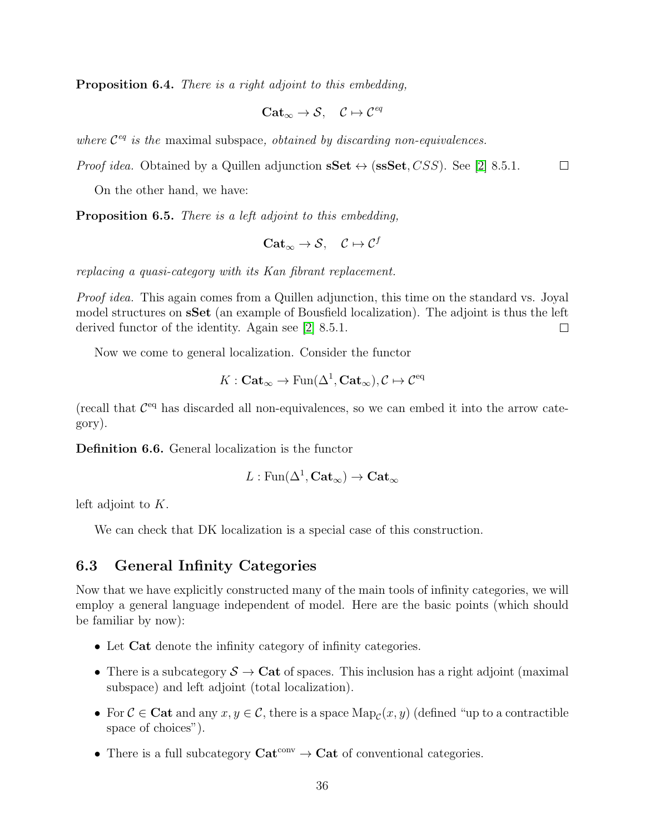Proposition 6.4. There is a right adjoint to this embedding,

$$
\mathbf{Cat}_{\infty} \to \mathcal{S}, \quad \mathcal{C} \mapsto \mathcal{C}^{eq}
$$

where  $\mathcal{C}^{eq}$  is the maximal subspace, obtained by discarding non-equivalences.

*Proof idea.* Obtained by a Quillen adjunction  $\mathbf{sSet} \leftrightarrow (\mathbf{sssSet}, CSS)$ . See [\[2\]](#page-55-2) 8.5.1.  $\Box$ 

On the other hand, we have:

**Proposition 6.5.** There is a left adjoint to this embedding,

$$
\mathbf{Cat}_{\infty} \to \mathcal{S}, \quad \mathcal{C} \mapsto \mathcal{C}^f
$$

replacing a quasi-category with its Kan fibrant replacement.

Proof idea. This again comes from a Quillen adjunction, this time on the standard vs. Joyal model structures on sSet (an example of Bousfield localization). The adjoint is thus the left derived functor of the identity. Again see [\[2\]](#page-55-2) 8.5.1.  $\Box$ 

Now we come to general localization. Consider the functor

$$
K: \mathbf{Cat}_{\infty} \to \mathrm{Fun}(\Delta^1, \mathbf{Cat}_{\infty}), \mathcal{C} \mapsto \mathcal{C}^{\mathrm{eq}}
$$

(recall that  $\mathcal{C}^{\text{eq}}$  has discarded all non-equivalences, so we can embed it into the arrow category).

Definition 6.6. General localization is the functor

$$
L:\operatorname{Fun}(\Delta^1,\operatorname{\mathbf{Cat}}_\infty)\to\operatorname{\mathbf{Cat}}_\infty
$$

left adjoint to K.

We can check that DK localization is a special case of this construction.

#### <span id="page-35-0"></span>6.3 General Infinity Categories

Now that we have explicitly constructed many of the main tools of infinity categories, we will employ a general language independent of model. Here are the basic points (which should be familiar by now):

- Let Cat denote the infinity category of infinity categories.
- There is a subcategory  $S \to \text{Cat}$  of spaces. This inclusion has a right adjoint (maximal subspace) and left adjoint (total localization).
- For  $C \in \mathbf{Cat}$  and any  $x, y \in C$ , there is a space  $\mathrm{Map}_{\mathcal{C}}(x, y)$  (defined "up to a contractible space of choices").
- There is a full subcategory  $Cat^{conv} \rightarrow Cat$  of conventional categories.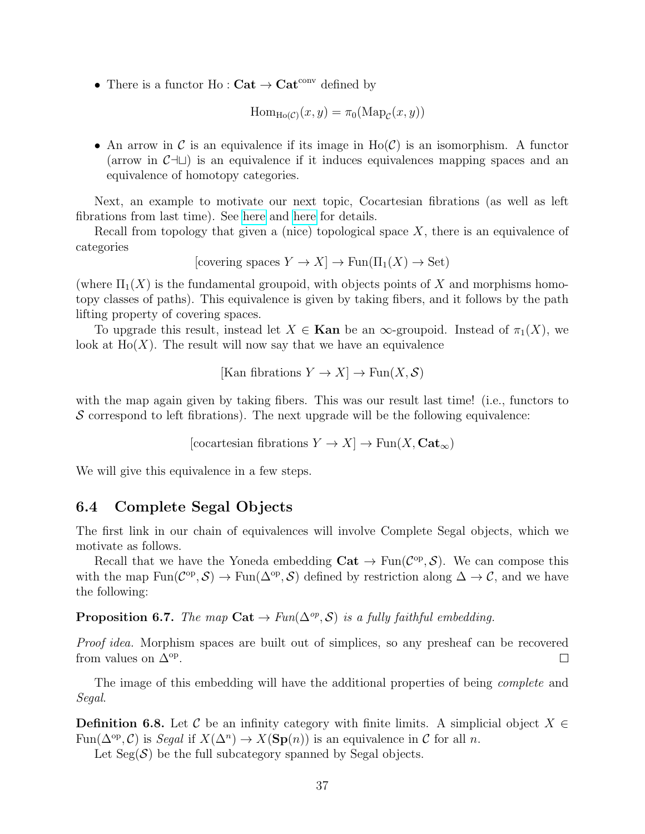• There is a functor  $Ho : \mathbf{Cat} \to \mathbf{Cat}^{\mathrm{conv}}$  defined by

$$
\mathrm{Hom}_{\mathrm{Ho}(\mathcal{C})}(x,y) = \pi_0(\mathrm{Map}_{\mathcal{C}}(x,y))
$$

• An arrow in C is an equivalence if its image in  $H_0(\mathcal{C})$  is an isomorphism. A functor (arrow in  $\mathcal{C}$ ⊣∟) is an equivalence if it induces equivalences mapping spaces and an equivalence of homotopy categories.

Next, an example to motivate our next topic, Cocartesian fibrations (as well as left fibrations from last time). See [here](https://www.math.univ-paris13.fr/~harpaz/cartesian_fibrations.pdf) and [here](https://arxiv.org/pdf/1510.02402.pdf) for details.

Recall from topology that given a (nice) topological space  $X$ , there is an equivalence of categories

[covering spaces  $Y \to X$ ]  $\to$  Fun( $\Pi_1(X) \to$  Set)

(where  $\Pi_1(X)$  is the fundamental groupoid, with objects points of X and morphisms homotopy classes of paths). This equivalence is given by taking fibers, and it follows by the path lifting property of covering spaces.

To upgrade this result, instead let  $X \in \mathbf{Kan}$  be an  $\infty$ -groupoid. Instead of  $\pi_1(X)$ , we look at  $Ho(X)$ . The result will now say that we have an equivalence

$$
[\text{Kan fibrations } Y \to X] \to \text{Fun}(X, \mathcal{S})
$$

with the map again given by taking fibers. This was our result last time! (i.e., functors to  $\mathcal S$  correspond to left fibrations). The next upgrade will be the following equivalence:

[cocartesian fibrations  $Y \to X$ ]  $\to$  Fun(X, Cat<sub>∞</sub>)

We will give this equivalence in a few steps.

#### <span id="page-36-0"></span>6.4 Complete Segal Objects

The first link in our chain of equivalences will involve Complete Segal objects, which we motivate as follows.

Recall that we have the Yoneda embedding  $Cat \rightarrow Fun(\mathcal{C}^{op}, \mathcal{S})$ . We can compose this with the map  $\text{Fun}(\mathcal{C}^{op}, \mathcal{S}) \to \text{Fun}(\Delta^{op}, \mathcal{S})$  defined by restriction along  $\Delta \to \mathcal{C}$ , and we have the following:

**Proposition 6.7.** The map Cat  $\rightarrow$  Fun( $\Delta^{op}, S$ ) is a fully faithful embedding.

Proof idea. Morphism spaces are built out of simplices, so any presheaf can be recovered from values on  $\Delta^{op}$ .  $\Box$ 

The image of this embedding will have the additional properties of being *complete* and Segal.

**Definition 6.8.** Let C be an infinity category with finite limits. A simplicial object  $X \in$ Fun( $\Delta^{op}, \mathcal{C}$ ) is *Segal* if  $X(\Delta^n) \to X(\mathbf{Sp}(n))$  is an equivalence in  $\mathcal C$  for all *n*.

Let  $Seg(S)$  be the full subcategory spanned by Segal objects.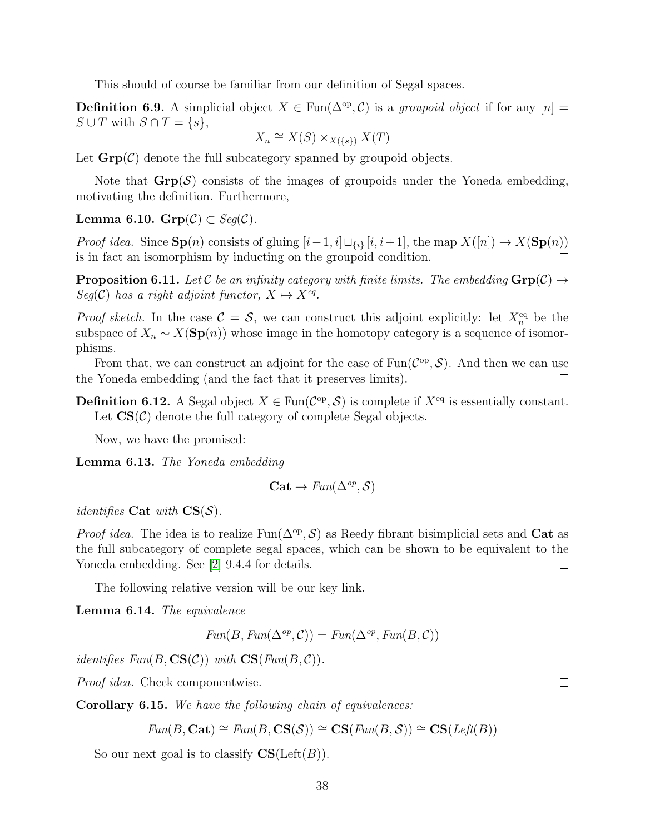This should of course be familiar from our definition of Segal spaces.

**Definition 6.9.** A simplicial object  $X \in \text{Fun}(\Delta^{\text{op}}, \mathcal{C})$  is a groupoid object if for any  $[n] =$  $S \cup T$  with  $S \cap T = \{s\},\$ 

$$
X_n \cong X(S) \times_{X(\{s\})} X(T)
$$

Let  $\mathbf{Grp}(\mathcal{C})$  denote the full subcategory spanned by groupoid objects.

Note that  $\text{Grp}(\mathcal{S})$  consists of the images of groupoids under the Yoneda embedding, motivating the definition. Furthermore,

Lemma 6.10.  $Grp(\mathcal{C}) \subset Seg(\mathcal{C})$ .

*Proof idea.* Since  $\mathbf{Sp}(n)$  consists of gluing  $[i-1, i] \sqcup_{\{i\}} [i, i+1]$ , the map  $X([n]) \to X(\mathbf{Sp}(n))$ is in fact an isomorphism by inducting on the groupoid condition. П

**Proposition 6.11.** Let C be an infinity category with finite limits. The embedding  $\mathbf{Grp}(\mathcal{C}) \rightarrow$  $Seg(\mathcal{C})$  has a right adjoint functor,  $X \mapsto X^{eq}$ .

*Proof sketch*. In the case  $C = S$ , we can construct this adjoint explicitly: let  $X_n^{eq}$  be the subspace of  $X_n \sim X(\mathbf{Sp}(n))$  whose image in the homotopy category is a sequence of isomorphisms.

From that, we can construct an adjoint for the case of  $\text{Fun}(\mathcal{C}^{op}, \mathcal{S})$ . And then we can use the Yoneda embedding (and the fact that it preserves limits).  $\Box$ 

**Definition 6.12.** A Segal object  $X \in \text{Fun}(\mathcal{C}^{op}, \mathcal{S})$  is complete if  $X^{eq}$  is essentially constant. Let  $\mathbf{CS}(\mathcal{C})$  denote the full category of complete Segal objects.

Now, we have the promised:

Lemma 6.13. The Yoneda embedding

$$
\mathbf{Cat} \to \text{Fun}(\Delta^{op}, \mathcal{S})
$$

*identifies* Cat with  $CS(S)$ .

*Proof idea*. The idea is to realize  $Fun(\Delta^{\rm op}, \mathcal{S})$  as Reedy fibrant bisimplicial sets and Cat as the full subcategory of complete segal spaces, which can be shown to be equivalent to the Yoneda embedding. See [\[2\]](#page-55-2) 9.4.4 for details.  $\Box$ 

The following relative version will be our key link.

Lemma 6.14. The equivalence

$$
Fun(B, Fun(\Delta^{op}, \mathcal{C})) = Fun(\Delta^{op}, Fun(B, \mathcal{C}))
$$

*identifies Fun*( $B$ ,  $CS(\mathcal{C})$ ) with  $CS(Fun(B, \mathcal{C}))$ .

Proof idea. Check componentwise.

Corollary 6.15. We have the following chain of equivalences:

 $Fun(B, \text{Cat}) \cong Fun(B, \text{CS}(S)) \cong \text{CS}(Fun(B, S)) \cong \text{CS}(Left(B))$ 

So our next goal is to classify  $CS(Left(B)).$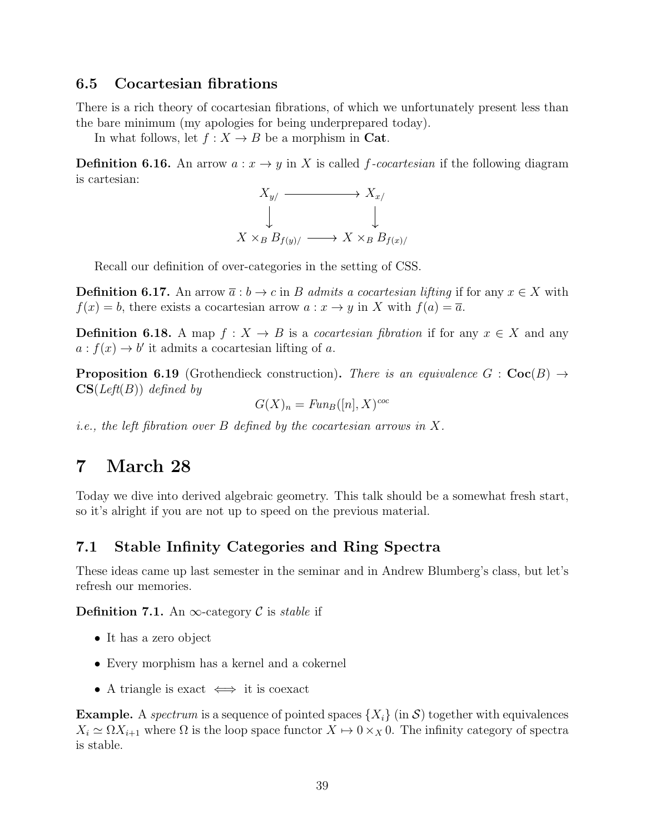#### <span id="page-38-0"></span>6.5 Cocartesian fibrations

There is a rich theory of cocartesian fibrations, of which we unfortunately present less than the bare minimum (my apologies for being underprepared today).

In what follows, let  $f: X \to B$  be a morphism in Cat.

**Definition 6.16.** An arrow  $a: x \to y$  in X is called f-cocartesian if the following diagram is cartesian:



Recall our definition of over-categories in the setting of CSS.

**Definition 6.17.** An arrow  $\overline{a}: b \to c$  in B admits a cocartesian lifting if for any  $x \in X$  with  $f(x) = b$ , there exists a cocartesian arrow  $a: x \to y$  in X with  $f(a) = \overline{a}$ .

**Definition 6.18.** A map  $f: X \to B$  is a *cocartesian fibration* if for any  $x \in X$  and any  $a: f(x) \to b'$  it admits a cocartesian lifting of a.

**Proposition 6.19** (Grothendieck construction). There is an equivalence  $G : \mathbf{Coc}(B) \rightarrow$  $CS(Left(B))$  defined by

$$
G(X)_n = \text{Fun}_B([n], X)^{\text{coc}}
$$

*i.e.*, the left fibration over B defined by the cocartesian arrows in X.

### <span id="page-38-1"></span>7 March 28

Today we dive into derived algebraic geometry. This talk should be a somewhat fresh start, so it's alright if you are not up to speed on the previous material.

#### <span id="page-38-2"></span>7.1 Stable Infinity Categories and Ring Spectra

These ideas came up last semester in the seminar and in Andrew Blumberg's class, but let's refresh our memories.

**Definition 7.1.** An  $\infty$ -category C is *stable* if

- It has a zero object
- Every morphism has a kernel and a cokernel
- A triangle is exact  $\iff$  it is coexact

**Example.** A spectrum is a sequence of pointed spaces  $\{X_i\}$  (in S) together with equivalences  $X_i \simeq \Omega X_{i+1}$  where  $\Omega$  is the loop space functor  $X \mapsto 0 \times_X 0$ . The infinity category of spectra is stable.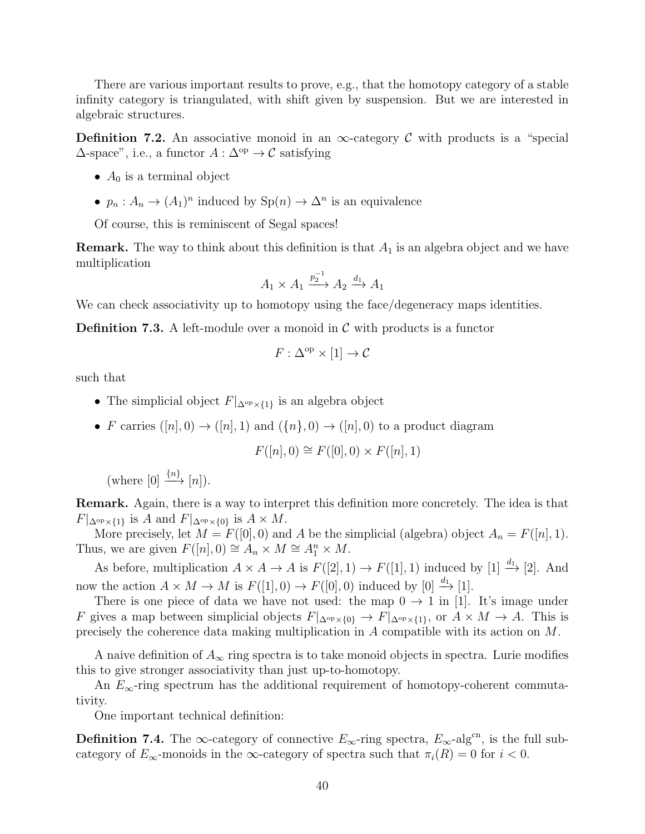There are various important results to prove, e.g., that the homotopy category of a stable infinity category is triangulated, with shift given by suspension. But we are interested in algebraic structures.

**Definition 7.2.** An associative monoid in an  $\infty$ -category C with products is a "special"  $\Delta$ -space", i.e., a functor  $A : \Delta^{\rm op} \to \mathcal{C}$  satisfying

- $A_0$  is a terminal object
- $p_n: A_n \to (A_1)^n$  induced by  $\text{Sp}(n) \to \Delta^n$  is an equivalence

Of course, this is reminiscent of Segal spaces!

**Remark.** The way to think about this definition is that  $A_1$  is an algebra object and we have multiplication

$$
A_1 \times A_1 \xrightarrow{p_2^{-1}} A_2 \xrightarrow{d_1} A_1
$$

We can check associativity up to homotopy using the face/degeneracy maps identities.

**Definition 7.3.** A left-module over a monoid in  $\mathcal{C}$  with products is a functor

$$
F: \Delta^{\mathrm{op}} \times [1] \to \mathcal{C}
$$

such that

- The simplicial object  $F|_{\Delta^{\text{op}} \times \{1\}}$  is an algebra object
- F carries  $([n], 0) \rightarrow ([n], 1)$  and  $({n}, 0) \rightarrow ([n], 0)$  to a product diagram

$$
F([n], 0) \cong F([0], 0) \times F([n], 1)
$$

(where  $[0] \xrightarrow{\{n\}} [n]$ ).

Remark. Again, there is a way to interpret this definition more concretely. The idea is that  $F|_{\Delta^{\text{op}}\times\{1\}}$  is A and  $F|_{\Delta^{\text{op}}\times\{0\}}$  is  $A\times M$ .

More precisely, let  $M = F([0], 0)$  and A be the simplicial (algebra) object  $A_n = F([n], 1)$ . Thus, we are given  $F([n], 0) \cong A_n \times M \cong A_1^n \times M$ .

As before, multiplication  $A \times A \to A$  is  $F([2], 1) \to F([1], 1)$  induced by [1]  $\stackrel{d_1}{\to}$  [2]. And now the action  $A \times M \to M$  is  $F([1], 0) \to F([0], 0)$  induced by  $[0] \xrightarrow{d_1} [1]$ .

There is one piece of data we have not used: the map  $0 \rightarrow 1$  in [1]. It's image under F gives a map between simplicial objects  $F|_{\Delta^{op} \times \{0\}} \to F|_{\Delta^{op} \times \{1\}},$  or  $A \times M \to A$ . This is precisely the coherence data making multiplication in A compatible with its action on M.

A naive definition of  $A_{\infty}$  ring spectra is to take monoid objects in spectra. Lurie modifies this to give stronger associativity than just up-to-homotopy.

An  $E_{\infty}$ -ring spectrum has the additional requirement of homotopy-coherent commutativity.

One important technical definition:

**Definition 7.4.** The ∞-category of connective  $E_{\infty}$ -ring spectra,  $E_{\infty}$ -alg<sup>cn</sup>, is the full subcategory of  $E_{\infty}$ -monoids in the  $\infty$ -category of spectra such that  $\pi_i(R) = 0$  for  $i < 0$ .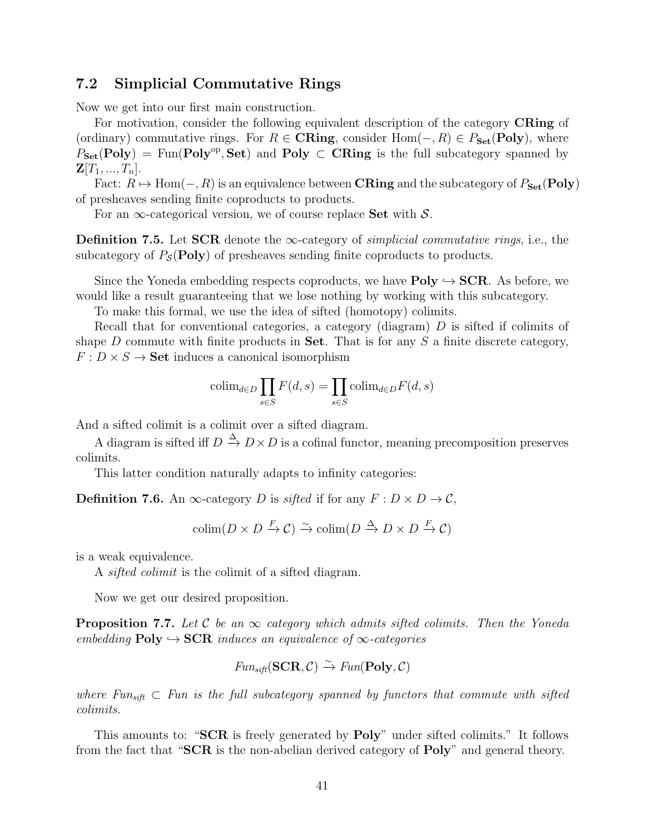#### <span id="page-40-0"></span>7.2 Simplicial Commutative Rings

Now we get into our first main construction.

For motivation, consider the following equivalent description of the category **CRing** of (ordinary) commutative rings. For  $R \in \mathbf{CRing}$ , consider  $Hom(-, R) \in P_{\mathbf{Set}}(\mathbf{Poly})$ , where  $P_{\mathbf{Set}}(\mathbf{Poly}) = \text{Fun}(\mathbf{Poly}^{\text{op}}, \mathbf{Set})$  and  $\mathbf{Poly} \subset \mathbf{CRing}$  is the full subcategory spanned by  $\mathbf{Z}[T_1, ..., T_n].$ 

Fact:  $R \mapsto \text{Hom}(-, R)$  is an equivalence between **CRing** and the subcategory of  $P_{\text{Set}}(\text{Poly})$ of presheaves sending finite coproducts to products.

For an  $\infty$ -categorical version, we of course replace Set with S.

Definition 7.5. Let SCR denote the  $\infty$ -category of *simplicial commutative rings*, i.e., the subcategory of  $P_{\mathcal{S}}(Poly)$  of presheaves sending finite coproducts to products.

Since the Yoneda embedding respects coproducts, we have  $Poly \hookrightarrow \text{SCR}$ . As before, we would like a result guaranteeing that we lose nothing by working with this subcategory.

To make this formal, we use the idea of sifted (homotopy) colimits.

Recall that for conventional categories, a category (diagram)  $D$  is sifted if colimits of shape D commute with finite products in Set. That is for any  $S$  a finite discrete category,  $F: D \times S \to \mathbf{Set}$  induces a canonical isomorphism

$$
\operatorname{colim}_{d \in D} \prod_{s \in S} F(d, s) = \prod_{s \in S} \operatorname{colim}_{d \in D} F(d, s)
$$

And a sifted colimit is a colimit over a sifted diagram.

A diagram is sifted iff  $D \stackrel{\Delta}{\to} D \times D$  is a cofinal functor, meaning precomposition preserves colimits.

This latter condition naturally adapts to infinity categories:

**Definition 7.6.** An  $\infty$ -category D is sifted if for any  $F: D \times D \rightarrow C$ ,

 $\text{colim}(D \times D \xrightarrow{F} \mathcal{C}) \xrightarrow{\sim} \text{colim}(D \xrightarrow{\Delta} D \times D \xrightarrow{F} \mathcal{C})$ 

is a weak equivalence.

A sifted colimit is the colimit of a sifted diagram.

Now we get our desired proposition.

**Proposition 7.7.** Let C be an  $\infty$  category which admits sifted colimits. Then the Yoneda embedding  $Poly \hookrightarrow SCR$  induces an equivalence of  $\infty$ -categories

$$
\text{Fun}_{\text{sift}}(\text{SCR}, \mathcal{C}) \xrightarrow{\sim} \text{Fun}(\text{Poly}, \mathcal{C})
$$

where  $Fun_{sift} \subset Fun$  is the full subcategory spanned by functors that commute with sifted colimits.

This amounts to: "SCR is freely generated by **Poly**" under sifted colimits." It follows from the fact that "SCR is the non-abelian derived category of Poly" and general theory.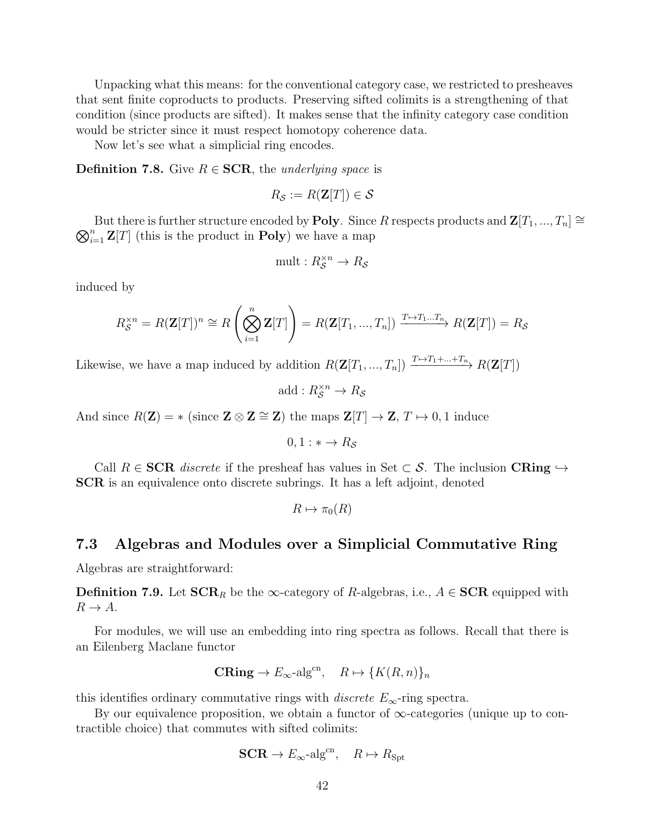Unpacking what this means: for the conventional category case, we restricted to presheaves that sent finite coproducts to products. Preserving sifted colimits is a strengthening of that condition (since products are sifted). It makes sense that the infinity category case condition would be stricter since it must respect homotopy coherence data.

Now let's see what a simplicial ring encodes.

**Definition 7.8.** Give  $R \in \text{SCR}$ , the underlying space is

$$
R_{\mathcal{S}} := R(\mathbf{Z}[T]) \in \mathcal{S}
$$

 $\bigotimes_{i=1}^n \mathbf{Z}[T]$  (this is the product in **Poly**) we have a map But there is further structure encoded by **Poly**. Since R respects products and  $\mathbf{Z}[T_1, ..., T_n] \cong$ 

$$
\operatorname{mult}: R_{\mathcal{S}}^{\times n} \to R_{\mathcal{S}}
$$

induced by

$$
R_{\mathcal{S}}^{\times n} = R(\mathbf{Z}[T])^n \cong R\left(\bigotimes_{i=1}^n \mathbf{Z}[T]\right) = R(\mathbf{Z}[T_1, ..., T_n]) \xrightarrow{T \mapsto T_1...T_n} R(\mathbf{Z}[T]) = R_{\mathcal{S}}
$$

Likewise, we have a map induced by addition  $R(\mathbf{Z}[T_1, ..., T_n]) \xrightarrow{T \mapsto T_1 + ... + T_n} R(\mathbf{Z}[T])$ 

add :  $R_{\mathcal{S}}^{\times n} \to R_{\mathcal{S}}$ 

And since  $R(\mathbf{Z}) = *$  (since  $\mathbf{Z} \otimes \mathbf{Z} \cong \mathbf{Z}$ ) the maps  $\mathbf{Z}[T] \to \mathbf{Z}, T \mapsto 0, 1$  induce

 $0.1 : * \rightarrow R_s$ 

Call  $R \in \mathbf{SCR}$  discrete if the presheaf has values in Set  $\subset \mathcal{S}$ . The inclusion  $\mathbf{CRing} \hookrightarrow$ SCR is an equivalence onto discrete subrings. It has a left adjoint, denoted

$$
R \mapsto \pi_0(R)
$$

#### <span id="page-41-0"></span>7.3 Algebras and Modules over a Simplicial Commutative Ring

Algebras are straightforward:

**Definition 7.9.** Let  $\text{SCR}_R$  be the  $\infty$ -category of R-algebras, i.e.,  $A \in \text{SCR}$  equipped with  $R \to A$ .

For modules, we will use an embedding into ring spectra as follows. Recall that there is an Eilenberg Maclane functor

$$
\mathbf{CRing} \to E_{\infty} \text{-alg}^{\text{cn}}, \quad R \mapsto \{ K(R, n) \}_n
$$

this identifies ordinary commutative rings with *discrete*  $E_{\infty}$ -ring spectra.

By our equivalence proposition, we obtain a functor of  $\infty$ -categories (unique up to contractible choice) that commutes with sifted colimits:

$$
SCR \to E_{\infty} \text{-alg}^{\text{cn}}, \quad R \mapsto R_{\text{Spt}}
$$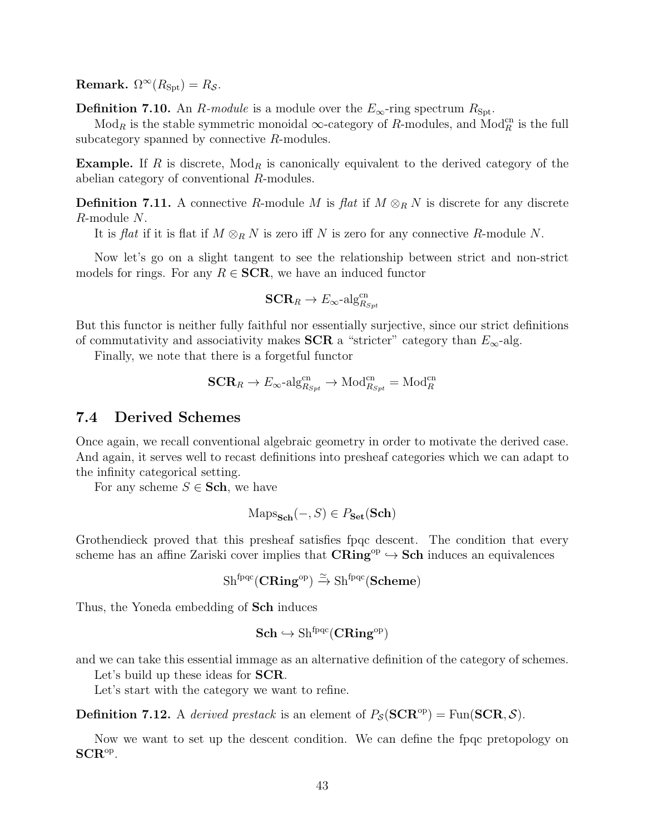Remark.  $\Omega^{\infty}(R_{\text{Spt}})=R_{\mathcal{S}}$ .

**Definition 7.10.** An R-module is a module over the  $E_{\infty}$ -ring spectrum  $R_{\text{Spt}}$ .

 $\text{Mod}_R$  is the stable symmetric monoidal  $\infty$ -category of R-modules, and  $\text{Mod}_R^{\text{cn}}$  is the full subcategory spanned by connective R-modules.

**Example.** If R is discrete,  $Mod_R$  is canonically equivalent to the derived category of the abelian category of conventional R-modules.

**Definition 7.11.** A connective R-module M is flat if  $M \otimes_R N$  is discrete for any discrete R-module N.

It is flat if it is flat if  $M \otimes_R N$  is zero iff N is zero for any connective R-module N.

Now let's go on a slight tangent to see the relationship between strict and non-strict models for rings. For any  $R \in \mathbf{SCR}$ , we have an induced functor

$$
\mathbf{SCR}_R \rightarrow E_{\infty}\text{-alg}^{\mathrm{cn}}_{R_{Spt}}
$$

But this functor is neither fully faithful nor essentially surjective, since our strict definitions of commutativity and associativity makes SCR a "stricter" category than  $E_{\infty}$ -alg.

Finally, we note that there is a forgetful functor

$$
\mathbf{SCR}_R \to E_{\infty}\text{-alg}_{R_{Spt}}^{\text{cn}} \to \text{Mod}_{R_{Spt}}^{\text{cn}} = \text{Mod}_R^{\text{cn}}
$$

#### <span id="page-42-0"></span>7.4 Derived Schemes

Once again, we recall conventional algebraic geometry in order to motivate the derived case. And again, it serves well to recast definitions into presheaf categories which we can adapt to the infinity categorical setting.

For any scheme  $S \in$  **Sch**, we have

$$
Maps_{\mathbf{Sch}}(-, S) \in P_{\mathbf{Set}}(\mathbf{Sch})
$$

Grothendieck proved that this presheaf satisfies fpqc descent. The condition that every scheme has an affine Zariski cover implies that  $CRing^{op} \hookrightarrow Sch$  induces an equivalences

$$
\mathrm{Sh}^{\mathrm{fpqc}}(\mathbf{CRing}^{\mathrm{op}}) \xrightarrow{\simeq} \mathrm{Sh}^{\mathrm{fpqc}}(\mathbf{Scheme})
$$

Thus, the Yoneda embedding of Sch induces

$$
\mathbf{Sch} \hookrightarrow \mathrm{Sh}^{\mathrm{fpqc}}(\mathbf{CRing}^{\mathrm{op}})
$$

and we can take this essential immage as an alternative definition of the category of schemes.

Let's build up these ideas for **SCR**.

Let's start with the category we want to refine.

**Definition 7.12.** A derived prestack is an element of  $P_S(\text{SCR}^{\text{op}}) = \text{Fun}(\text{SCR}, S)$ .

Now we want to set up the descent condition. We can define the fpqc pretopology on  $\mathbf{SCR}^\mathrm{op}.$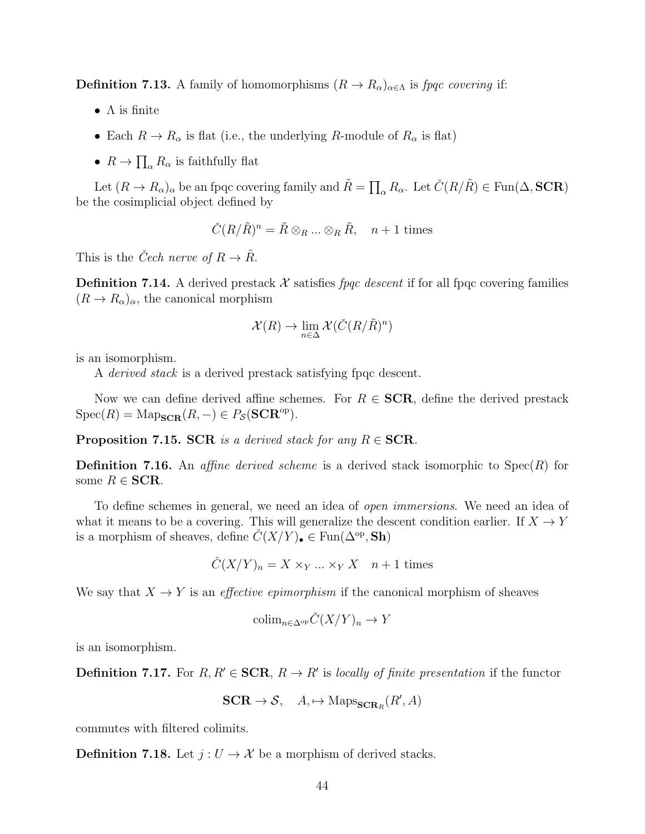**Definition 7.13.** A family of homomorphisms  $(R \to R_\alpha)_{\alpha \in \Lambda}$  is fpqc covering if:

- $\bullet$   $\Lambda$  is finite
- Each  $R \to R_\alpha$  is flat (i.e., the underlying R-module of  $R_\alpha$  is flat)
- $R \to \prod_{\alpha} R_{\alpha}$  is faithfully flat

Let  $(R \to R_\alpha)_\alpha$  be an fpqc covering family and  $\tilde{R} = \prod_\alpha R_\alpha$ . Let  $\check{C}(R/\tilde{R}) \in \text{Fun}(\Delta, \text{SCR})$ be the cosimplicial object defined by

$$
\check{C}(R/\tilde{R})^n = \tilde{R} \otimes_R \dots \otimes_R \tilde{R}, \quad n+1 \text{ times}
$$

This is the *Čech nerve of*  $R \to \tilde{R}$ .

**Definition 7.14.** A derived prestack X satisfies *fpqc descent* if for all fpqc covering families  $(R \to R_\alpha)_{\alpha}$ , the canonical morphism

$$
\mathcal{X}(R) \to \lim_{n \in \Delta} \mathcal{X}(\check{C}(R/\tilde{R})^n)
$$

is an isomorphism.

A *derived stack* is a derived prestack satisfying fpqc descent.

Now we can define derived affine schemes. For  $R \in \mathbf{SCR}$ , define the derived prestack  $Spec(R) = Map_{SCR}(R, -) \in P_S(\text{SCR}^{op}).$ 

**Proposition 7.15. SCR** is a derived stack for any  $R \in \mathbf{SCR}$ .

**Definition 7.16.** An *affine derived scheme* is a derived stack isomorphic to  $Spec(R)$  for some  $R \in \mathbf{SCR}$ .

To define schemes in general, we need an idea of *open immersions*. We need an idea of what it means to be a covering. This will generalize the descent condition earlier. If  $X \to Y$ is a morphism of sheaves, define  $\check{C}(X/Y)_\bullet \in \text{Fun}(\Delta^{\text{op}}, \text{Sh})$ 

$$
\check{C}(X/Y)_n = X \times_Y \dots \times_Y X \quad n+1 \text{ times}
$$

We say that  $X \to Y$  is an *effective epimorphism* if the canonical morphism of sheaves

$$
\mathrm{colim}_{n \in \Delta^{\mathrm{op}}} \check{C}(X/Y)_n \to Y
$$

is an isomorphism.

**Definition 7.17.** For  $R, R' \in \mathbf{SCR}, R \to R'$  is locally of finite presentation if the functor

$$
SCR \to S, \quad A, \mapsto \text{Maps}_{\text{SCR}_R}(R', A)
$$

commutes with filtered colimits.

**Definition 7.18.** Let  $j: U \to \mathcal{X}$  be a morphism of derived stacks.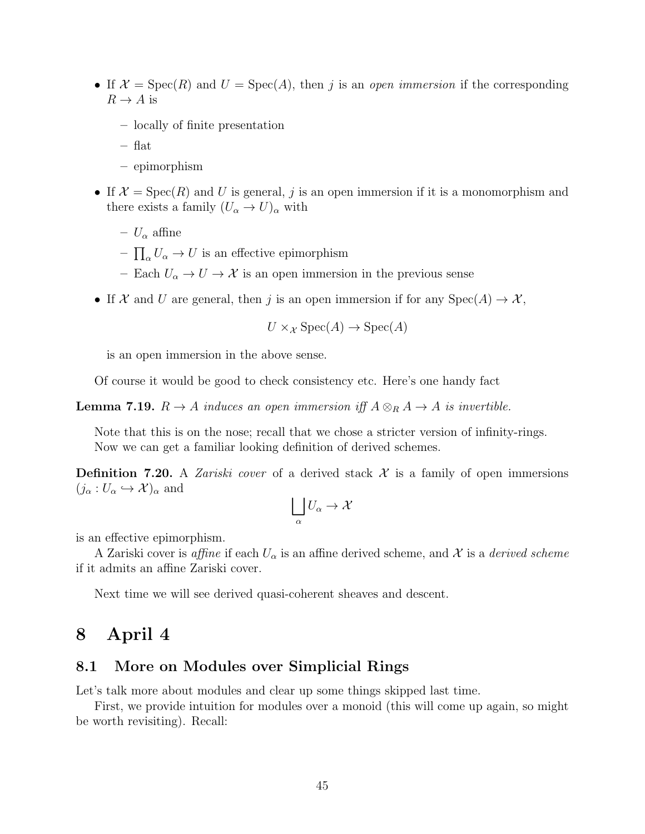- If  $\mathcal{X} = \text{Spec}(R)$  and  $U = \text{Spec}(A)$ , then j is an open immersion if the corresponding  $R \to A$  is
	- locally of finite presentation
	- flat
	- epimorphism
- If  $\mathcal{X} = \text{Spec}(R)$  and U is general, j is an open immersion if it is a monomorphism and there exists a family  $(U_{\alpha} \to U)_{\alpha}$  with
	- $U_{\alpha}$  affine
	- $\prod_{\alpha} U_{\alpha} \rightarrow U$  is an effective epimorphism
	- Each  $U_{\alpha} \to U \to \mathcal{X}$  is an open immersion in the previous sense
- If X and U are general, then j is an open immersion if for any  $Spec(A) \to X$ ,

 $U \times_{\mathcal{X}} \text{Spec}(A) \to \text{Spec}(A)$ 

is an open immersion in the above sense.

Of course it would be good to check consistency etc. Here's one handy fact

**Lemma 7.19.**  $R \to A$  induces an open immersion iff  $A \otimes_R A \to A$  is invertible.

Note that this is on the nose; recall that we chose a stricter version of infinity-rings. Now we can get a familiar looking definition of derived schemes.

**Definition 7.20.** A *Zariski cover* of a derived stack  $\mathcal{X}$  is a family of open immersions  $(j_{\alpha}:U_{\alpha}\hookrightarrow\mathcal{X})_{\alpha}$  and

$$
\bigsqcup_\alpha U_\alpha \to \mathcal{X}
$$

is an effective epimorphism.

A Zariski cover is *affine* if each  $U_{\alpha}$  is an affine derived scheme, and X is a *derived scheme* if it admits an affine Zariski cover.

Next time we will see derived quasi-coherent sheaves and descent.

### <span id="page-44-0"></span>8 April 4

#### <span id="page-44-1"></span>8.1 More on Modules over Simplicial Rings

Let's talk more about modules and clear up some things skipped last time.

First, we provide intuition for modules over a monoid (this will come up again, so might be worth revisiting). Recall: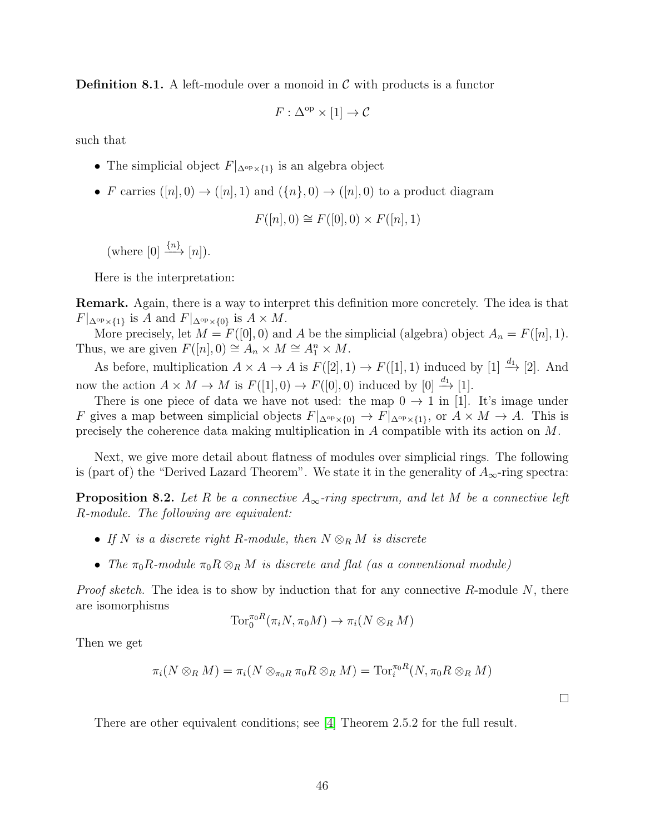**Definition 8.1.** A left-module over a monoid in  $\mathcal{C}$  with products is a functor

 $F: \Delta^{\rm op} \times [1] \to \mathcal{C}$ 

such that

- The simplicial object  $F|_{\Delta^{\text{op}} \times \{1\}}$  is an algebra object
- F carries  $([n], 0) \rightarrow ([n], 1)$  and  $(\{n\}, 0) \rightarrow ([n], 0)$  to a product diagram

$$
F([n], 0) \cong F([0], 0) \times F([n], 1)
$$

(where  $[0] \xrightarrow{\{n\}} [n]$ ).

Here is the interpretation:

Remark. Again, there is a way to interpret this definition more concretely. The idea is that  $F|_{\Delta^{\text{op}}\times\{1\}}$  is A and  $F|_{\Delta^{\text{op}}\times\{0\}}$  is  $A\times M$ .

More precisely, let  $M = F([0], 0)$  and A be the simplicial (algebra) object  $A_n = F([n], 1)$ . Thus, we are given  $F([n], 0) \cong A_n \times M \cong A_1^n \times M$ .

As before, multiplication  $A \times A \to A$  is  $F([2], 1) \to F([1], 1)$  induced by [1]  $\stackrel{d_1}{\to}$  [2]. And now the action  $A \times M \to M$  is  $F([1], 0) \to F([0], 0)$  induced by  $[0] \stackrel{d_1}{\to} [1]$ .

There is one piece of data we have not used: the map  $0 \rightarrow 1$  in [1]. It's image under F gives a map between simplicial objects  $F|_{\Delta^{op} \times \{0\}} \to F|_{\Delta^{op} \times \{1\}},$  or  $A \times M \to A$ . This is precisely the coherence data making multiplication in A compatible with its action on M.

Next, we give more detail about flatness of modules over simplicial rings. The following is (part of) the "Derived Lazard Theorem". We state it in the generality of  $A_{\infty}$ -ring spectra:

**Proposition 8.2.** Let R be a connective  $A_{\infty}$ -ring spectrum, and let M be a connective left R-module. The following are equivalent:

- If N is a discrete right R-module, then  $N \otimes_R M$  is discrete
- The  $\pi_0R$ -module  $\pi_0R\otimes_R M$  is discrete and flat (as a conventional module)

*Proof sketch.* The idea is to show by induction that for any connective  $R$ -module  $N$ , there are isomorphisms

$$
\operatorname{Tor}_0^{\pi_0 R}(\pi_i N, \pi_0 M) \to \pi_i(N \otimes_R M)
$$

Then we get

$$
\pi_i(N \otimes_R M) = \pi_i(N \otimes_{\pi_0 R} \pi_0 R \otimes_R M) = \text{Tor}_i^{\pi_0 R}(N, \pi_0 R \otimes_R M)
$$

There are other equivalent conditions; see [\[4\]](#page-55-4) Theorem 2.5.2 for the full result.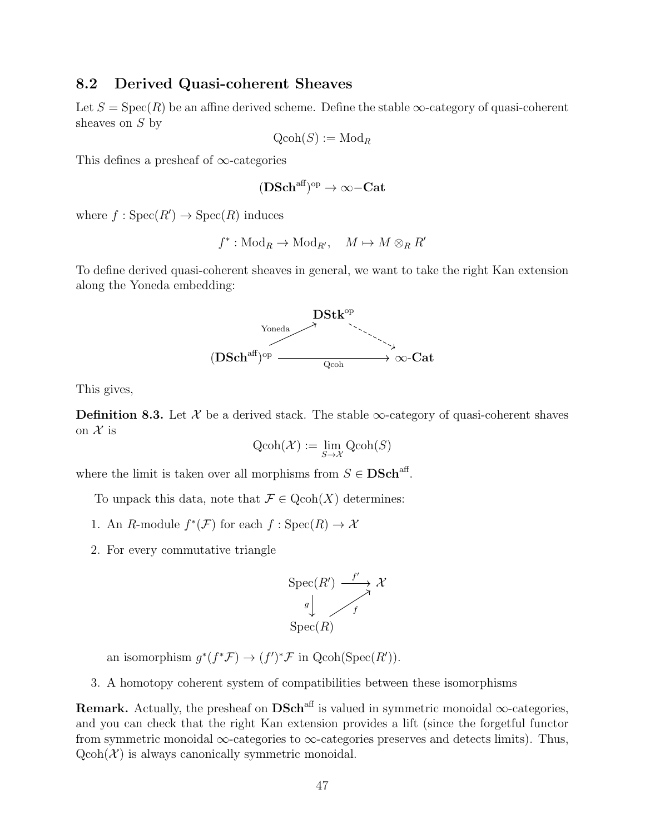#### <span id="page-46-0"></span>8.2 Derived Quasi-coherent Sheaves

Let  $S = \text{Spec}(R)$  be an affine derived scheme. Define the stable  $\infty$ -category of quasi-coherent sheaves on S by

$$
\operatorname{Qcoh}(S):=\operatorname{Mod}_R
$$

This defines a presheaf of ∞-categories

$$
(\mathbf{DSch}^\mathrm{aff})^\mathrm{op}\to\infty\mathrm{-}\mathbf{Cat}
$$

where  $f : \text{Spec}(R') \to \text{Spec}(R)$  induces

$$
f^*:\text{Mod}_R \to \text{Mod}_{R'}, \quad M \mapsto M \otimes_R R'
$$

To define derived quasi-coherent sheaves in general, we want to take the right Kan extension along the Yoneda embedding:



This gives,

**Definition 8.3.** Let X be a derived stack. The stable  $\infty$ -category of quasi-coherent shaves on  $\mathcal X$  is

$$
\mathrm{Qcoh}(\mathcal{X}) := \lim_{S \to \mathcal{X}} \mathrm{Qcoh}(S)
$$

where the limit is taken over all morphisms from  $S \in \mathbf{DSch}^{\text{aff}}$ .

To unpack this data, note that  $\mathcal{F} \in \text{Qcoh}(X)$  determines:

- 1. An R-module  $f^*(\mathcal{F})$  for each  $f:Spec(R) \to \mathcal{X}$
- 2. For every commutative triangle

$$
\operatorname{Spec}(R') \xrightarrow{f'} \mathcal{X}
$$

$$
\downarrow \qquad \qquad \downarrow
$$

$$
\operatorname{Spec}(R)
$$

an isomorphism  $g^*(f^*\mathcal{F}) \to (f')^*\mathcal{F}$  in  $Qcoh(Spec(R'))$ .

3. A homotopy coherent system of compatibilities between these isomorphisms

Remark. Actually, the presheaf on  $DSch<sup>aff</sup>$  is valued in symmetric monoidal  $\infty$ -categories, and you can check that the right Kan extension provides a lift (since the forgetful functor from symmetric monoidal  $\infty$ -categories to  $\infty$ -categories preserves and detects limits). Thus,  $Qcoh(\mathcal{X})$  is always canonically symmetric monoidal.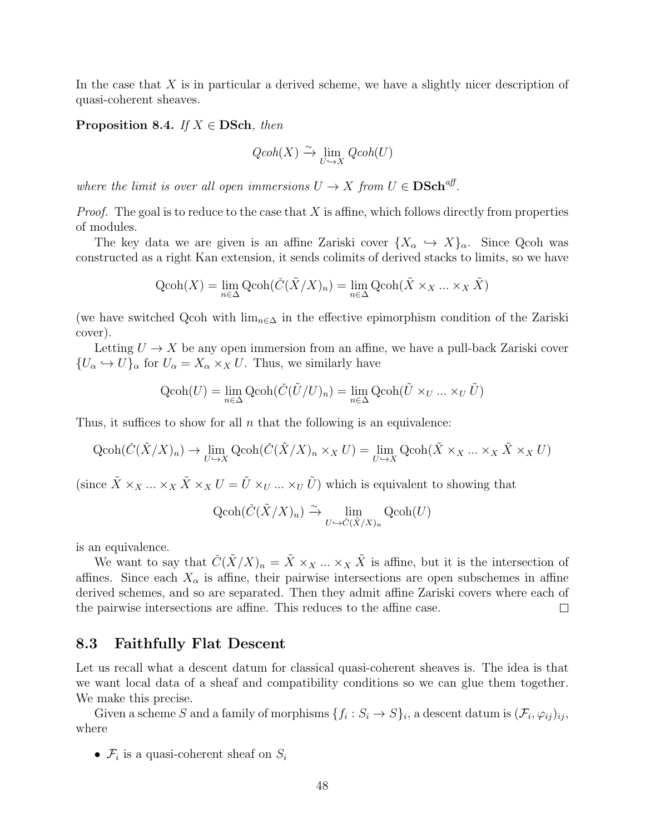In the case that X is in particular a derived scheme, we have a slightly nicer description of quasi-coherent sheaves.

**Proposition 8.4.** If  $X \in \mathbf{DSch}$ , then

$$
\mathit{Qcoh}(X)\xrightarrow{\sim}\lim_{U\hookrightarrow X}\mathit{Qcoh}(U)
$$

where the limit is over all open immersions  $U \to X$  from  $U \in \mathbf{DSch}^{\text{aff}}$ .

*Proof.* The goal is to reduce to the case that X is affine, which follows directly from properties of modules.

The key data we are given is an affine Zariski cover  $\{X_\alpha \hookrightarrow X\}_\alpha$ . Since Qcoh was constructed as a right Kan extension, it sends colimits of derived stacks to limits, so we have

$$
\text{Qcoh}(X) = \lim_{n \in \Delta} \text{Qcoh}(\check{C}(\check{X}/X)_n) = \lim_{n \in \Delta} \text{Qcoh}(\check{X} \times_X ... \times_X \check{X})
$$

(we have switched Qcoh with  $\lim_{n\in\Delta}$  in the effective epimorphism condition of the Zariski cover).

Letting  $U \to X$  be any open immersion from an affine, we have a pull-back Zariski cover  $\{U_{\alpha} \hookrightarrow U\}_{\alpha}$  for  $U_{\alpha} = X_{\alpha} \times_X U$ . Thus, we similarly have

$$
\text{Qcoh}(U) = \lim_{n \in \Delta} \text{Qcoh}(\check{C}(\tilde{U}/U)_n) = \lim_{n \in \Delta} \text{Qcoh}(\tilde{U} \times_U ... \times_U \tilde{U})
$$

Thus, it suffices to show for all  $n$  that the following is an equivalence:

$$
\operatorname{Qcoh}(\check{C}(\tilde{X}/X)_n) \to \lim_{U \to X} \operatorname{Qcoh}(\check{C}(\tilde{X}/X)_n \times_X U) = \lim_{U \to X} \operatorname{Qcoh}(\tilde{X} \times_X \dots \times_X \tilde{X} \times_X U)
$$

(since  $\tilde{X} \times_X \ldots \times_X \tilde{X} \times_X U = \tilde{U} \times_U \ldots \times_U \tilde{U}$ ) which is equivalent to showing that

$$
\operatorname{Qcoh}(\check{C}(\check{X}/X)_n) \xrightarrow{\sim} \lim_{U \hookrightarrow \check{C}(\check{X}/X)_n} \operatorname{Qcoh}(U)
$$

is an equivalence.

We want to say that  $\check{C}(\check{X}/X)_n = \check{X} \times_X \ldots \times_X \check{X}$  is affine, but it is the intersection of affines. Since each  $X_{\alpha}$  is affine, their pairwise intersections are open subschemes in affine derived schemes, and so are separated. Then they admit affine Zariski covers where each of the pairwise intersections are affine. This reduces to the affine case.  $\Box$ 

#### <span id="page-47-0"></span>8.3 Faithfully Flat Descent

Let us recall what a descent datum for classical quasi-coherent sheaves is. The idea is that we want local data of a sheaf and compatibility conditions so we can glue them together. We make this precise.

Given a scheme S and a family of morphisms  $\{f_i: S_i \to S\}_i$ , a descent datum is  $(\mathcal{F}_i, \varphi_{ij})_{ij}$ , where

•  $\mathcal{F}_i$  is a quasi-coherent sheaf on  $S_i$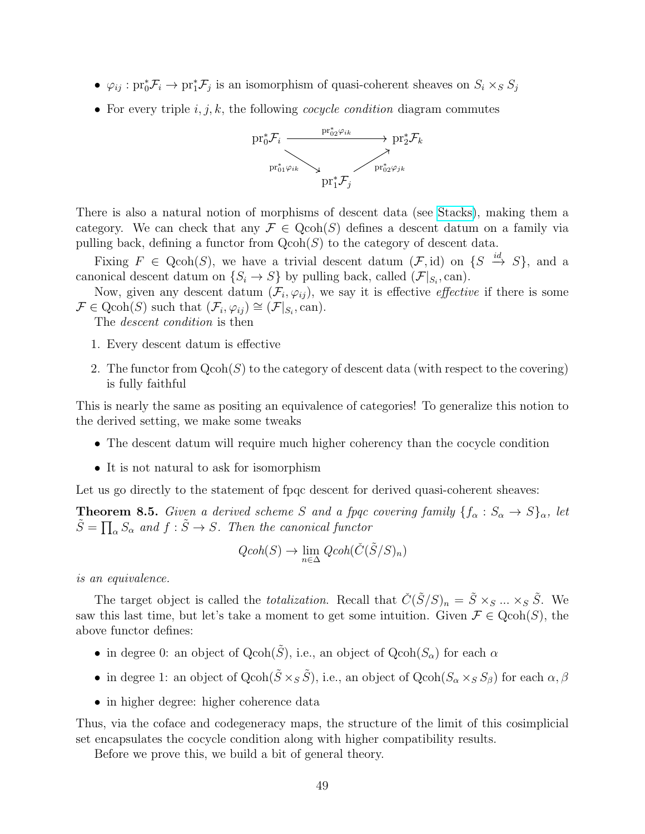- $\varphi_{ij}: pr_0^* \mathcal{F}_i \to pr_1^* \mathcal{F}_j$  is an isomorphism of quasi-coherent sheaves on  $S_i \times_S S_j$
- For every triple  $i, j, k$ , the following *cocycle condition* diagram commutes



There is also a natural notion of morphisms of descent data (see [Stacks\)](https://stacks.math.columbia.edu/tag/023A), making them a category. We can check that any  $\mathcal{F} \in \text{Qcoh}(S)$  defines a descent datum on a family via pulling back, defining a functor from  $Qcoh(S)$  to the category of descent data.

Fixing  $F \in \text{Qcoh}(S)$ , we have a trivial descent datum  $(\mathcal{F}, id)$  on  $\{S \stackrel{id}{\rightarrow} S\}$ , and a canonical descent datum on  $\{S_i \to S\}$  by pulling back, called  $(\mathcal{F}|_{S_i}, \text{can})$ .

Now, given any descent datum  $(\mathcal{F}_i, \varphi_{ij})$ , we say it is effective *effective* if there is some  $\mathcal{F} \in \text{Qcoh}(S)$  such that  $(\mathcal{F}_i, \varphi_{ij}) \cong (\mathcal{F}|_{S_i}, \text{can}).$ 

The descent condition is then

- 1. Every descent datum is effective
- 2. The functor from  $Qcoh(S)$  to the category of descent data (with respect to the covering) is fully faithful

This is nearly the same as positing an equivalence of categories! To generalize this notion to the derived setting, we make some tweaks

- The descent datum will require much higher coherency than the cocycle condition
- It is not natural to ask for isomorphism

Let us go directly to the statement of fpqc descent for derived quasi-coherent sheaves:

**Theorem 8.5.** Given a derived scheme S and a fpqc covering family  $\{f_{\alpha}: S_{\alpha} \to S\}_{\alpha}$ , let  $\tilde{S} = \prod_{\alpha} S_{\alpha}$  and  $f : \tilde{S} \to S$ . Then the canonical functor

$$
Qcoh(S) \to \lim_{n \in \Delta} Qcoh(\check{C}(\tilde{S}/S)_n)
$$

is an equivalence.

The target object is called the *totalization*. Recall that  $\check{C}(\tilde{S}/S)_n = \tilde{S} \times_S \dots \times_S \tilde{S}$ . We saw this last time, but let's take a moment to get some intuition. Given  $\mathcal{F} \in \text{Qcoh}(S)$ , the above functor defines:

- in degree 0: an object of  $Qcoh(\tilde{S})$ , i.e., an object of  $Qcoh(S_\alpha)$  for each  $\alpha$
- in degree 1: an object of  $Qcoh(\tilde{S} \times_S \tilde{S})$ , i.e., an object of  $Qcoh(S_\alpha \times_S S_\beta)$  for each  $\alpha, \beta$
- in higher degree: higher coherence data

Thus, via the coface and codegeneracy maps, the structure of the limit of this cosimplicial set encapsulates the cocycle condition along with higher compatibility results.

Before we prove this, we build a bit of general theory.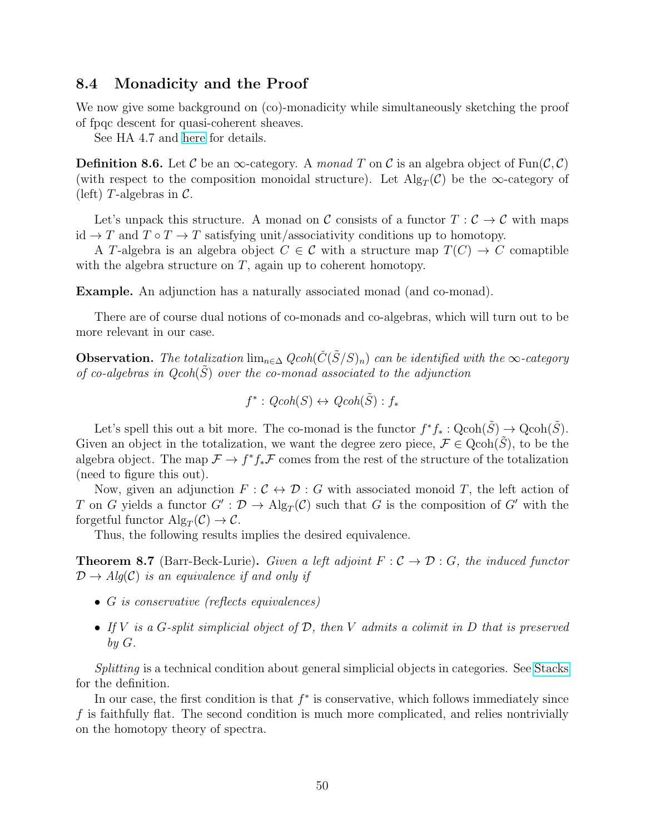#### <span id="page-49-0"></span>8.4 Monadicity and the Proof

We now give some background on (co)-monadicity while simultaneously sketching the proof of fpqc descent for quasi-coherent sheaves.

See HA 4.7 and [here](https://people.maths.ox.ac.uk/brantner/L5.pdf) for details.

**Definition 8.6.** Let C be an  $\infty$ -category. A monad T on C is an algebra object of Fun $(\mathcal{C}, \mathcal{C})$ (with respect to the composition monoidal structure). Let  $\text{Alg}_T(\mathcal{C})$  be the  $\infty$ -category of (left) T-algebras in  $\mathcal{C}$ .

Let's unpack this structure. A monad on C consists of a functor  $T : \mathcal{C} \to \mathcal{C}$  with maps id  $\rightarrow$  T and  $T \circ T \rightarrow T$  satisfying unit/associativity conditions up to homotopy.

A T-algebra is an algebra object  $C \in \mathcal{C}$  with a structure map  $T(C) \to C$  comaptible with the algebra structure on  $T$ , again up to coherent homotopy.

Example. An adjunction has a naturally associated monad (and co-monad).

There are of course dual notions of co-monads and co-algebras, which will turn out to be more relevant in our case.

**Observation.** The totalization lim<sub>n∈△</sub>  $Qcoh(\check{C}(\check{S}/S)_n)$  can be identified with the ∞-category of co-algebras in  $Qcoh(S)$  over the co-monad associated to the adjunction

$$
f^*: Qcoh(S) \leftrightarrow Qcoh(\tilde{S}): f_*
$$

Let's spell this out a bit more. The co-monad is the functor  $f^*f_* : \text{Qcoh}(\tilde{S}) \to \text{Qcoh}(\tilde{S})$ . Given an object in the totalization, we want the degree zero piece,  $\mathcal{F} \in \text{Qcoh}(S)$ , to be the algebra object. The map  $\mathcal{F} \to f^* f_* \mathcal{F}$  comes from the rest of the structure of the totalization (need to figure this out).

Now, given an adjunction  $F: \mathcal{C} \leftrightarrow \mathcal{D} : G$  with associated monoid T, the left action of T on G yields a functor  $G' : \mathcal{D} \to \mathrm{Alg}_T(\mathcal{C})$  such that G is the composition of G' with the forgetful functor  $\mathrm{Alg}_T(\mathcal{C}) \to \mathcal{C}.$ 

Thus, the following results implies the desired equivalence.

**Theorem 8.7** (Barr-Beck-Lurie). Given a left adjoint  $F : C \rightarrow \mathcal{D} : G$ , the induced functor  $\mathcal{D} \rightarrow Alg(\mathcal{C})$  is an equivalence if and only if

- G is conservative (reflects equivalences)
- If  $V$  is a G-split simplicial object of  $D$ , then  $V$  admits a colimit in  $D$  that is preserved by G.

Splitting is a technical condition about general simplicial objects in categories. See [Stacks](https://stacks.math.columbia.edu/tag/017O) for the definition.

In our case, the first condition is that  $f^*$  is conservative, which follows immediately since  $f$  is faithfully flat. The second condition is much more complicated, and relies nontrivially on the homotopy theory of spectra.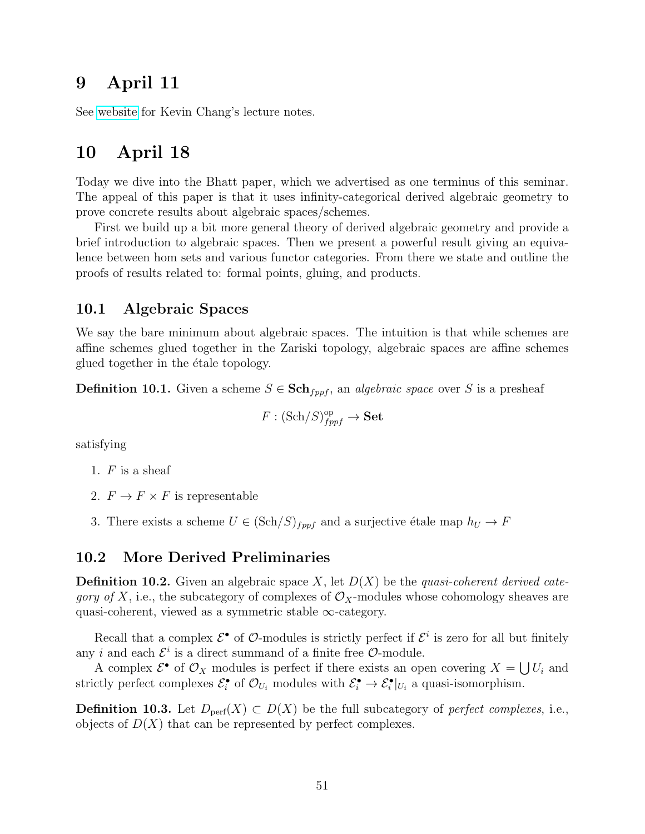### <span id="page-50-0"></span>9 April 11

See [website](https://math.columbia.edu/~amattoo/infinity) for Kevin Chang's lecture notes.

### <span id="page-50-1"></span>10 April 18

Today we dive into the Bhatt paper, which we advertised as one terminus of this seminar. The appeal of this paper is that it uses infinity-categorical derived algebraic geometry to prove concrete results about algebraic spaces/schemes.

First we build up a bit more general theory of derived algebraic geometry and provide a brief introduction to algebraic spaces. Then we present a powerful result giving an equivalence between hom sets and various functor categories. From there we state and outline the proofs of results related to: formal points, gluing, and products.

#### <span id="page-50-2"></span>10.1 Algebraic Spaces

We say the bare minimum about algebraic spaces. The intuition is that while schemes are affine schemes glued together in the Zariski topology, algebraic spaces are affine schemes glued together in the étale topology.

**Definition 10.1.** Given a scheme  $S \in \mathbf{Sch}_{fppf}$ , an *algebraic space* over S is a presheaf

$$
F: (\mathrm{Sch}/S)_{fppf}^{\mathrm{op}} \to \mathbf{Set}
$$

satisfying

- 1.  $F$  is a sheaf
- 2.  $F \to F \times F$  is representable
- 3. There exists a scheme  $U \in (\text{Sch}/S)_{fppf}$  and a surjective étale map  $h_U \to F$

#### <span id="page-50-3"></span>10.2 More Derived Preliminaries

**Definition 10.2.** Given an algebraic space X, let  $D(X)$  be the quasi-coherent derived cate*gory of X*, i.e., the subcategory of complexes of  $\mathcal{O}_X$ -modules whose cohomology sheaves are quasi-coherent, viewed as a symmetric stable ∞-category.

Recall that a complex  $\mathcal{E}^{\bullet}$  of  $\mathcal{O}$ -modules is strictly perfect if  $\mathcal{E}^i$  is zero for all but finitely any *i* and each  $\mathcal{E}^i$  is a direct summand of a finite free  $\mathcal{O}$ -module.

A complex  $\mathcal{E}^{\bullet}$  of  $\mathcal{O}_X$  modules is perfect if there exists an open covering  $X = \bigcup U_i$  and strictly perfect complexes  $\mathcal{E}_i^{\bullet}$  of  $\mathcal{O}_{U_i}$  modules with  $\mathcal{E}_i^{\bullet} \to \mathcal{E}_i^{\bullet}|_{U_i}$  a quasi-isomorphism.

**Definition 10.3.** Let  $D_{\text{perf}}(X)$  ⊂  $D(X)$  be the full subcategory of *perfect complexes*, i.e., objects of  $D(X)$  that can be represented by perfect complexes.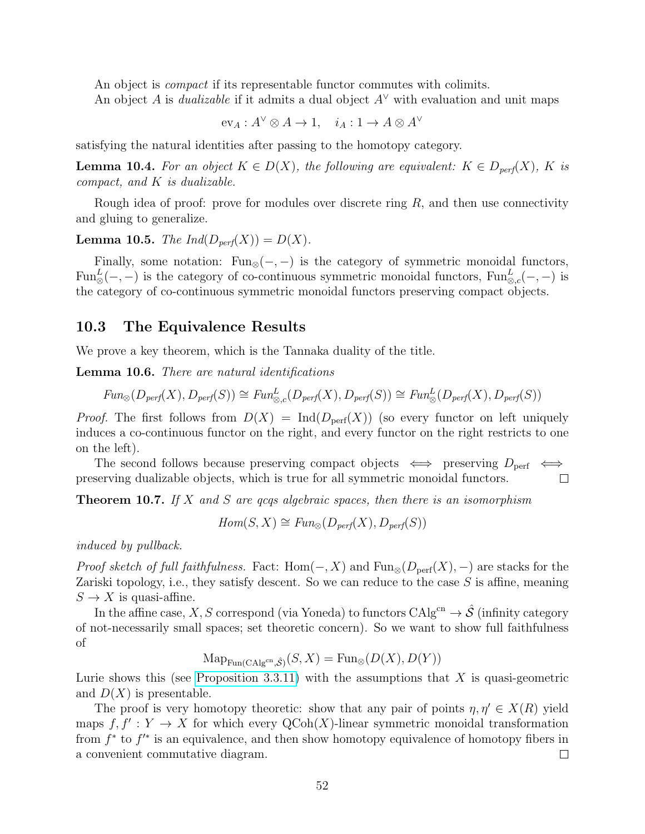An object is *compact* if its representable functor commutes with colimits.

An object A is *dualizable* if it admits a dual object  $A^{\vee}$  with evaluation and unit maps

$$
ev_A: A^{\vee} \otimes A \to 1, \quad i_A: 1 \to A \otimes A^{\vee}
$$

satisfying the natural identities after passing to the homotopy category.

**Lemma 10.4.** For an object  $K \in D(X)$ , the following are equivalent:  $K \in D_{\text{perf}}(X)$ , K is  $compact, and K is dualizable.$ 

Rough idea of proof: prove for modules over discrete ring  $R$ , and then use connectivity and gluing to generalize.

#### **Lemma 10.5.** The  $Ind(D_{perf}(X)) = D(X)$ .

Finally, some notation: Fun<sub>⊗</sub> $(-,-)$  is the category of symmetric monoidal functors, Fun<sup>L</sup><sub>⊗</sub>(-,-) is the category of co-continuous symmetric monoidal functors, Fun<sup>L</sup><sub>⊗,c</sub>(-,-) is the category of co-continuous symmetric monoidal functors preserving compact objects.

#### <span id="page-51-0"></span>10.3 The Equivalence Results

We prove a key theorem, which is the Tannaka duality of the title.

Lemma 10.6. There are natural identifications

$$
\text{Fun}_{\otimes}(D_{\text{perf}}(X), D_{\text{perf}}(S)) \cong \text{Fun}_{\otimes, c}^L(D_{\text{perf}}(X), D_{\text{perf}}(S)) \cong \text{Fun}_{\otimes}^L(D_{\text{perf}}(X), D_{\text{perf}}(S))
$$

*Proof.* The first follows from  $D(X) = \text{Ind}(D_{\text{perf}}(X))$  (so every functor on left uniquely induces a co-continuous functor on the right, and every functor on the right restricts to one on the left).

The second follows because preserving compact objects  $\iff$  preserving  $D_{\text{perf}} \iff$ preserving dualizable objects, which is true for all symmetric monoidal functors.  $\Box$ 

**Theorem 10.7.** If X and S are gcgs algebraic spaces, then there is an isomorphism

 $Hom(S, X) \cong Fun_{\otimes}(D_{nerf}(X), D_{nerf}(S))$ 

induced by pullback.

*Proof sketch of full faithfulness.* Fact: Hom $(-, X)$  and Fun<sub>⊗</sub>( $D_{\text{perf}}(X)$ , -) are stacks for the Zariski topology, i.e., they satisfy descent. So we can reduce to the case S is affine, meaning  $S \to X$  is quasi-affine.

In the affine case, X, S correspond (via Yoneda) to functors  $CAlg^{cn} \to \hat{\mathcal{S}}$  (infinity category of not-necessarily small spaces; set theoretic concern). So we want to show full faithfulness of

 $\operatorname{Map}_{\text{Fun}(\operatorname{CAlg}^{\text{cn}}, \hat{\mathcal{S}})}(S, X) = \text{Fun}_{\otimes}(D(X), D(Y))$ 

Lurie shows this (see [Proposition 3.3.11\)](https://people.math.harvard.edu/~lurie/papers/DAG-VIII.pdf) with the assumptions that  $X$  is quasi-geometric and  $D(X)$  is presentable.

The proof is very homotopy theoretic: show that any pair of points  $\eta, \eta' \in X(R)$  yield maps  $f, f' : Y \to X$  for which every  $\text{QCoh}(X)$ -linear symmetric monoidal transformation from  $f^*$  to  $f'^*$  is an equivalence, and then show homotopy equivalence of homotopy fibers in a convenient commutative diagram.  $\Box$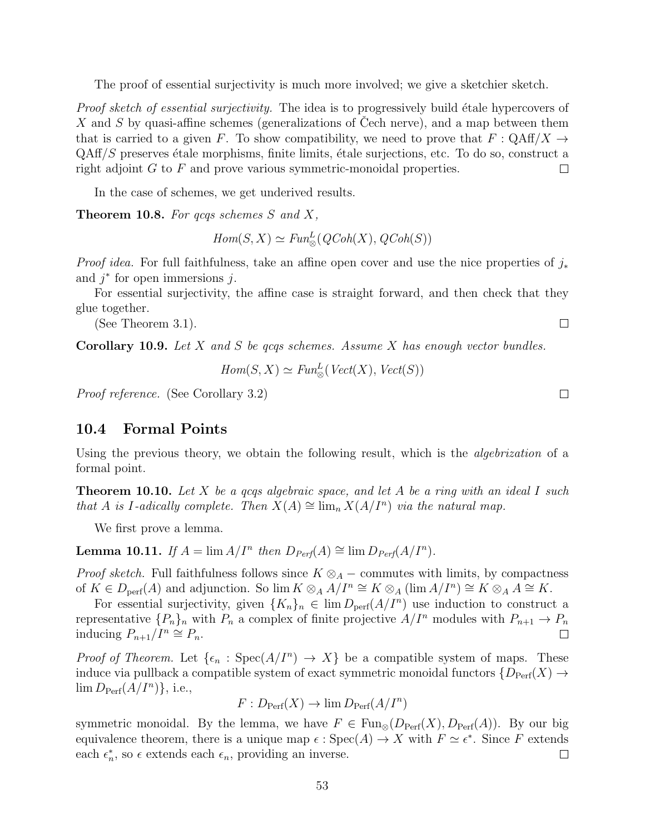The proof of essential surjectivity is much more involved; we give a sketchier sketch.

*Proof sketch of essential surjectivity.* The idea is to progressively build étale hypercovers of X and S by quasi-affine schemes (generalizations of Cech nerve), and a map between them that is carried to a given F. To show compatibility, we need to prove that  $F: \mathrm{QAff}/X \to$  $QAff/S$  preserves étale morphisms, finite limits, étale surjections, etc. To do so, construct a right adjoint  $G$  to  $F$  and prove various symmetric-monoidal properties.  $\Box$ 

In the case of schemes, we get underived results.

**Theorem 10.8.** For gcgs schemes S and X,

 $Hom(S, X) \simeq Fun_{\otimes}^{L}(QCoh(X), QCoh(S))$ 

*Proof idea.* For full faithfulness, take an affine open cover and use the nice properties of  $j_*$ and  $j^*$  for open immersions  $j$ .

For essential surjectivity, the affine case is straight forward, and then check that they glue together.

(See Theorem 3.1).

**Corollary 10.9.** Let X and S be qcqs schemes. Assume X has enough vector bundles.

$$
Hom(S, X) \simeq Fun_{\otimes}^{L}(\mathit{Vect}(X), \mathit{Vect}(S))
$$

Proof reference. (See Corollary 3.2)

#### <span id="page-52-0"></span>10.4 Formal Points

Using the previous theory, we obtain the following result, which is the *algebrization* of a formal point.

**Theorem 10.10.** Let X be a gcgs algebraic space, and let A be a ring with an ideal I such that A is I-adically complete. Then  $X(A) \cong \lim_{n} X(A/I^{n})$  via the natural map.

We first prove a lemma.

**Lemma 10.11.** If  $A = \lim A/I^n$  then  $D_{Perf}(A) \cong \lim D_{Perf}(A/I^n)$ .

*Proof sketch.* Full faithfulness follows since  $K \otimes_A -$  commutes with limits, by compactness of  $K \in D_{\text{perf}}(A)$  and adjunction. So  $\lim K \otimes_A A/I^n \cong K \otimes_A (\lim A/I^n) \cong K \otimes_A A \cong K$ .

For essential surjectivity, given  $\{K_n\}_n \in \lim D_{\text{perf}}(A/I^n)$  use induction to construct a representative  $\{P_n\}_n$  with  $P_n$  a complex of finite projective  $A/I^n$  modules with  $P_{n+1} \to P_n$ inducing  $P_{n+1}/I^n \cong P_n$ . П

*Proof of Theorem.* Let  $\{\epsilon_n : \text{Spec}(A/I^n) \to X\}$  be a compatible system of maps. These induce via pullback a compatible system of exact symmetric monoidal functors  $\{D_{\text{Perf}}(X) \to$  $\lim D_{\text{Perf}}(A/I^n)\}, \text{ i.e.,}$ 

$$
F: D_{\text{Perf}}(X) \to \lim D_{\text{Perf}}(A/I^n)
$$

symmetric monoidal. By the lemma, we have  $F \in \text{Fun}_{\otimes}(D_{\text{Perf}}(X), D_{\text{Perf}}(A))$ . By our big equivalence theorem, there is a unique map  $\epsilon : \text{Spec}(A) \to X$  with  $F \simeq \epsilon^*$ . Since F extends each  $\epsilon_n^*$ , so  $\epsilon$  extends each  $\epsilon_n$ , providing an inverse.  $\Box$ 

 $\Box$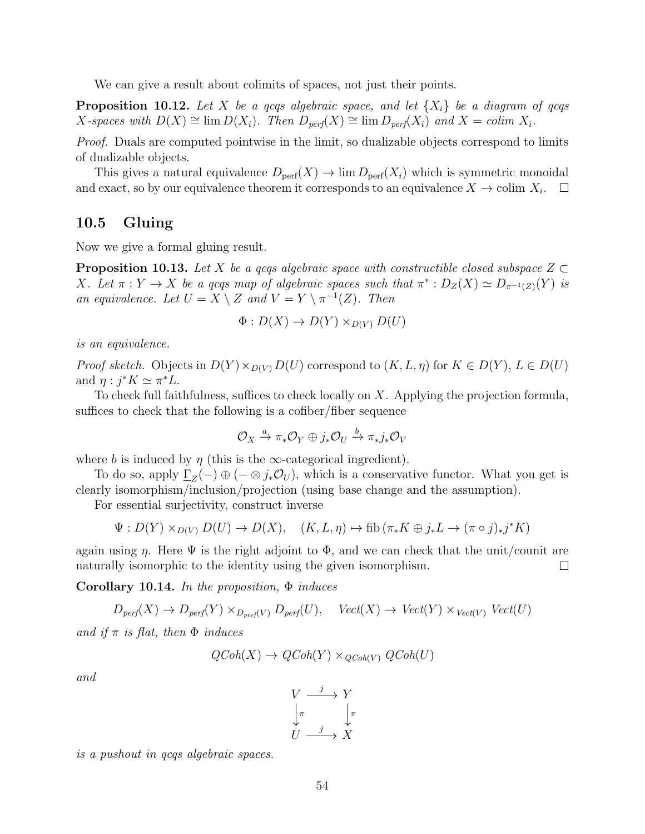We can give a result about colimits of spaces, not just their points.

**Proposition 10.12.** Let X be a gcqs algebraic space, and let  $\{X_i\}$  be a diagram of gcqs X-spaces with  $D(X) \cong \lim D(X_i)$ . Then  $D_{\text{perf}}(X) \cong \lim D_{\text{perf}}(X_i)$  and  $X = \text{colim } X_i$ .

Proof. Duals are computed pointwise in the limit, so dualizable objects correspond to limits of dualizable objects.

This gives a natural equivalence  $D_{\text{perf}}(X) \to \lim D_{\text{perf}}(X_i)$  which is symmetric monoidal and exact, so by our equivalence theorem it corresponds to an equivalence  $X \to \text{colim } X_i$ .

#### <span id="page-53-0"></span>10.5 Gluing

Now we give a formal gluing result.

**Proposition 10.13.** Let X be a gcgs algebraic space with constructible closed subspace  $Z \subset$ X. Let  $\pi: Y \to X$  be a qcqs map of algebraic spaces such that  $\pi^*: D_Z(X) \simeq D_{\pi^{-1}(Z)}(Y)$  is an equivalence. Let  $U = X \setminus Z$  and  $V = Y \setminus \pi^{-1}(Z)$ . Then

$$
\Phi: D(X) \to D(Y) \times_{D(V)} D(U)
$$

is an equivalence.

*Proof sketch.* Objects in  $D(Y) \times_{D(Y)} D(U)$  correspond to  $(K, L, \eta)$  for  $K \in D(Y)$ ,  $L \in D(U)$ and  $\eta : j^*K \simeq \pi^*L$ .

To check full faithfulness, suffices to check locally on  $X$ . Applying the projection formula, suffices to check that the following is a cofiber/fiber sequence

$$
\mathcal{O}_X \xrightarrow{a} \pi_* \mathcal{O}_Y \oplus j_* \mathcal{O}_U \xrightarrow{b} \pi_* j_* \mathcal{O}_V
$$

where b is induced by  $\eta$  (this is the  $\infty$ -categorical ingredient).

To do so, apply  $\underline{\Gamma}_Z(-) \oplus (-\otimes j_*\mathcal{O}_U)$ , which is a conservative functor. What you get is clearly isomorphism/inclusion/projection (using base change and the assumption).

For essential surjectivity, construct inverse

$$
\Psi: D(Y) \times_{D(V)} D(U) \to D(X), \quad (K, L, \eta) \mapsto \text{fib}(\pi_* K \oplus j_* L \to (\pi \circ j)_* j^* K)
$$

again using  $\eta$ . Here  $\Psi$  is the right adjoint to  $\Phi$ , and we can check that the unit/counit are naturally isomorphic to the identity using the given isomorphism.  $\Box$ 

Corollary 10.14. In the proposition,  $\Phi$  induces

$$
D_{\text{perf}}(X) \to D_{\text{perf}}(Y) \times_{D_{\text{perf}}(V)} D_{\text{perf}}(U), \quad \text{Vect}(X) \to \text{Vect}(Y) \times \text{Vect}(V) \text{Vect}(U)
$$

and if  $\pi$  is flat, then  $\Phi$  induces

$$
QCoh(X) \to QCoh(Y) \times_{QCoh(V)} QCoh(U)
$$

and

$$
\begin{array}{ccc}\nV & \xrightarrow{j} & Y \\
\downarrow^{\pi} & & \downarrow^{\pi} \\
U & \xrightarrow{j} & X\n\end{array}
$$

is a pushout in qcqs algebraic spaces.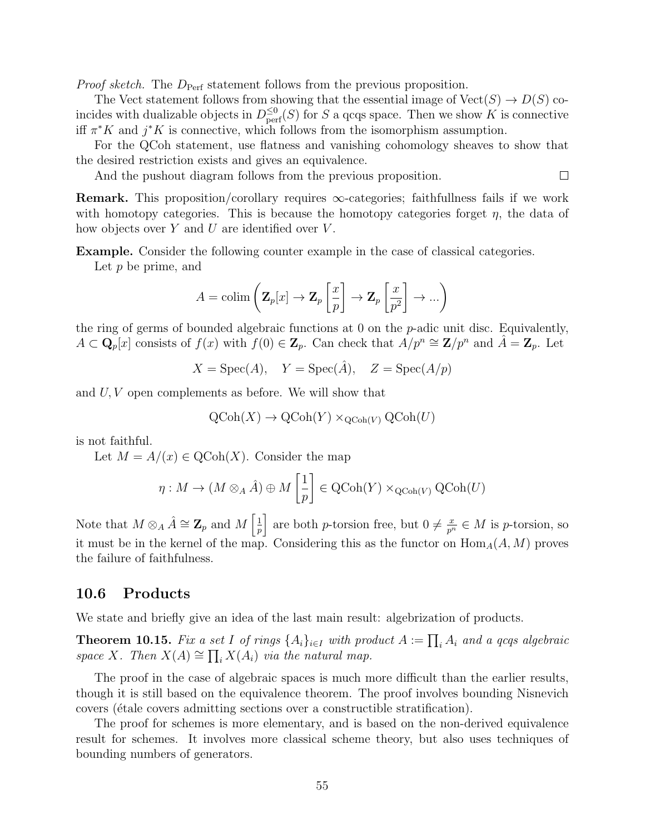*Proof sketch.* The  $D_{\text{Perf}}$  statement follows from the previous proposition.

The Vect statement follows from showing that the essential image of  $Vect(S) \to D(S)$  coincides with dualizable objects in  $D^{\leq 0}_{\text{perf}}(S)$  for S a qcqs space. Then we show K is connective iff  $\pi^* K$  and  $j^* K$  is connective, which follows from the isomorphism assumption.

For the QCoh statement, use flatness and vanishing cohomology sheaves to show that the desired restriction exists and gives an equivalence.

 $\Box$ 

And the pushout diagram follows from the previous proposition.

**Remark.** This proposition/corollary requires  $\infty$ -categories; faithfullness fails if we work with homotopy categories. This is because the homotopy categories forget  $\eta$ , the data of how objects over  $Y$  and  $U$  are identified over  $V$ .

Example. Consider the following counter example in the case of classical categories.

Let  $p$  be prime, and

$$
A = \operatorname{colim}\left(\mathbf{Z}_p[x] \to \mathbf{Z}_p\left[\frac{x}{p}\right] \to \mathbf{Z}_p\left[\frac{x}{p^2}\right] \to \dots\right)
$$

the ring of germs of bounded algebraic functions at 0 on the p-adic unit disc. Equivalently,  $A \subset \mathbf{Q}_p[x]$  consists of  $f(x)$  with  $f(0) \in \mathbf{Z}_p$ . Can check that  $A/p^n \cong \mathbf{Z}/p^n$  and  $\hat{A} = \mathbf{Z}_p$ . Let

 $X = \text{Spec}(A),$   $Y = \text{Spec}(\hat{A}),$   $Z = \text{Spec}(A/p)$ 

and U, V open complements as before. We will show that

$$
\mathrm{QCoh}(X) \to \mathrm{QCoh}(Y) \times_{\mathrm{QCoh}(V)} \mathrm{QCoh}(U)
$$

is not faithful.

Let  $M = A/(x) \in \text{QCoh}(X)$ . Consider the map

$$
\eta: M \to (M \otimes_A \hat{A}) \oplus M\left[\frac{1}{p}\right] \in \operatorname{QCoh}(Y) \times_{\operatorname{QCoh}(V)} \operatorname{QCoh}(U)
$$

Note that  $M \otimes_A \hat{A} \cong \mathbf{Z}_p$  and  $M \left[\frac{1}{n}\right]$  $\frac{1}{p}$  are both *p*-torsion free, but  $0 \neq \frac{x}{p^n} \in M$  is *p*-torsion, so it must be in the kernel of the map. Considering this as the functor on  $\text{Hom}_A(A, M)$  proves the failure of faithfulness.

#### <span id="page-54-0"></span>10.6 Products

We state and briefly give an idea of the last main result: algebrization of products.

**Theorem 10.15.** Fix a set I of rings  $\{A_i\}_{i\in I}$  with product  $A := \prod_i A_i$  and a qcqs algebraic space X. Then  $X(A) \cong \prod_i X(A_i)$  via the natural map.

The proof in the case of algebraic spaces is much more difficult than the earlier results, though it is still based on the equivalence theorem. The proof involves bounding Nisnevich covers ( $\acute{e}t$  covers admitting sections over a constructible stratification).

The proof for schemes is more elementary, and is based on the non-derived equivalence result for schemes. It involves more classical scheme theory, but also uses techniques of bounding numbers of generators.